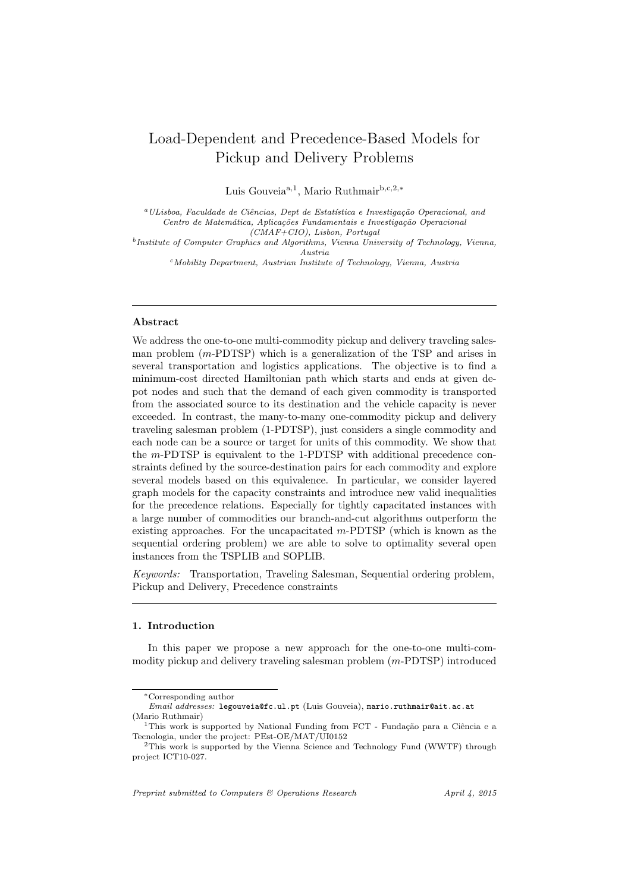# Load-Dependent and Precedence-Based Models for Pickup and Delivery Problems

Luis Gouveia<sup>a,1</sup>, Mario Ruthmair<sup>b,c,2,∗</sup>

 $^{a}$ ULisboa, Faculdade de Ciências, Dept de Estatística e Investigação Operacional, and Centro de Matemática, Aplicações Fundamentais e Investigação Operacional (CMAF+CIO), Lisbon, Portugal

<sup>b</sup>Institute of Computer Graphics and Algorithms, Vienna University of Technology, Vienna, Austria

 $c$ Mobility Department, Austrian Institute of Technology, Vienna, Austria

# Abstract

We address the one-to-one multi-commodity pickup and delivery traveling salesman problem (m-PDTSP) which is a generalization of the TSP and arises in several transportation and logistics applications. The objective is to find a minimum-cost directed Hamiltonian path which starts and ends at given depot nodes and such that the demand of each given commodity is transported from the associated source to its destination and the vehicle capacity is never exceeded. In contrast, the many-to-many one-commodity pickup and delivery traveling salesman problem (1-PDTSP), just considers a single commodity and each node can be a source or target for units of this commodity. We show that the m-PDTSP is equivalent to the 1-PDTSP with additional precedence constraints defined by the source-destination pairs for each commodity and explore several models based on this equivalence. In particular, we consider layered graph models for the capacity constraints and introduce new valid inequalities for the precedence relations. Especially for tightly capacitated instances with a large number of commodities our branch-and-cut algorithms outperform the existing approaches. For the uncapacitated  $m$ -PDTSP (which is known as the sequential ordering problem) we are able to solve to optimality several open instances from the TSPLIB and SOPLIB.

Keywords: Transportation, Traveling Salesman, Sequential ordering problem, Pickup and Delivery, Precedence constraints

#### 1. Introduction

In this paper we propose a new approach for the one-to-one multi-commodity pickup and delivery traveling salesman problem (m-PDTSP) introduced

Preprint submitted to Computers & Operations Research  $Arril 4, 2015$ 

<sup>∗</sup>Corresponding author

Email addresses: legouveia@fc.ul.pt (Luis Gouveia), mario.ruthmair@ait.ac.at (Mario Ruthmair)

 $1$ This work is supported by National Funding from FCT - Fundação para a Ciência e a Tecnologia, under the project: PEst-OE/MAT/UI0152

<sup>&</sup>lt;sup>2</sup>This work is supported by the Vienna Science and Technology Fund (WWTF) through project ICT10-027.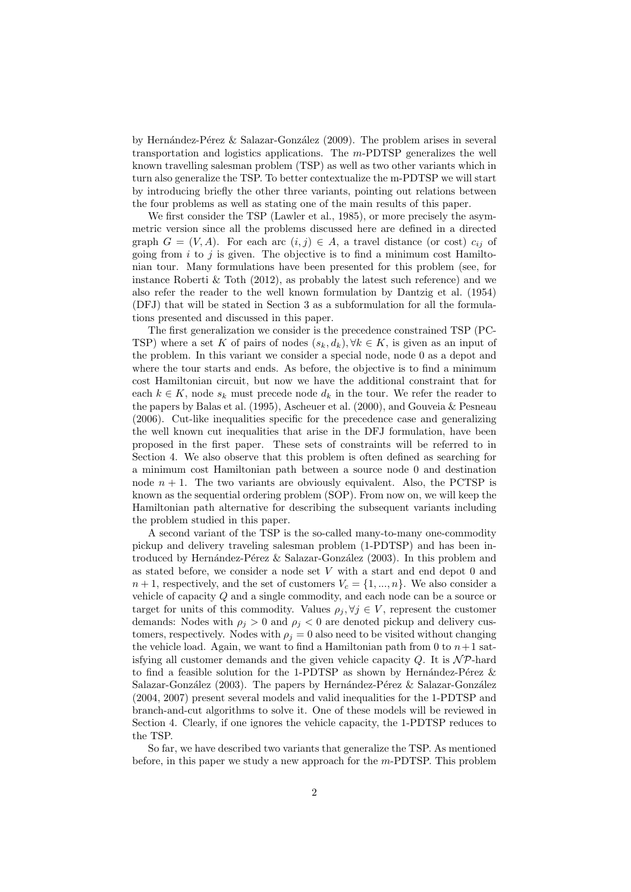by Hernández-Pérez  $&$  Salazar-González (2009). The problem arises in several transportation and logistics applications. The m-PDTSP generalizes the well known travelling salesman problem (TSP) as well as two other variants which in turn also generalize the TSP. To better contextualize the m-PDTSP we will start by introducing briefly the other three variants, pointing out relations between the four problems as well as stating one of the main results of this paper.

We first consider the TSP (Lawler et al., 1985), or more precisely the asymmetric version since all the problems discussed here are defined in a directed graph  $G = (V, A)$ . For each arc  $(i, j) \in A$ , a travel distance (or cost)  $c_{ij}$  of going from  $i$  to  $j$  is given. The objective is to find a minimum cost Hamiltonian tour. Many formulations have been presented for this problem (see, for instance Roberti & Toth  $(2012)$ , as probably the latest such reference) and we also refer the reader to the well known formulation by Dantzig et al. (1954) (DFJ) that will be stated in Section 3 as a subformulation for all the formulations presented and discussed in this paper.

The first generalization we consider is the precedence constrained TSP (PC-TSP) where a set K of pairs of nodes  $(s_k, d_k)$ ,  $\forall k \in K$ , is given as an input of the problem. In this variant we consider a special node, node 0 as a depot and where the tour starts and ends. As before, the objective is to find a minimum cost Hamiltonian circuit, but now we have the additional constraint that for each  $k \in K$ , node  $s_k$  must precede node  $d_k$  in the tour. We refer the reader to the papers by Balas et al. (1995), Ascheuer et al. (2000), and Gouveia & Pesneau (2006). Cut-like inequalities specific for the precedence case and generalizing the well known cut inequalities that arise in the DFJ formulation, have been proposed in the first paper. These sets of constraints will be referred to in Section 4. We also observe that this problem is often defined as searching for a minimum cost Hamiltonian path between a source node 0 and destination node  $n + 1$ . The two variants are obviously equivalent. Also, the PCTSP is known as the sequential ordering problem (SOP). From now on, we will keep the Hamiltonian path alternative for describing the subsequent variants including the problem studied in this paper.

A second variant of the TSP is the so-called many-to-many one-commodity pickup and delivery traveling salesman problem (1-PDTSP) and has been introduced by Hernández-Pérez  $&$  Salazar-González (2003). In this problem and as stated before, we consider a node set V with a start and end depot 0 and  $n+1$ , respectively, and the set of customers  $V_c = \{1, ..., n\}$ . We also consider a vehicle of capacity Q and a single commodity, and each node can be a source or target for units of this commodity. Values  $\rho_i, \forall j \in V$ , represent the customer demands: Nodes with  $\rho_i > 0$  and  $\rho_i < 0$  are denoted pickup and delivery customers, respectively. Nodes with  $\rho_j = 0$  also need to be visited without changing the vehicle load. Again, we want to find a Hamiltonian path from 0 to  $n+1$  satisfying all customer demands and the given vehicle capacity Q. It is  $\mathcal{NP}$ -hard to find a feasible solution for the 1-PDTSP as shown by Hernández-Pérez  $\&$ Salazar-González (2003). The papers by Hernández-Pérez & Salazar-González (2004, 2007) present several models and valid inequalities for the 1-PDTSP and branch-and-cut algorithms to solve it. One of these models will be reviewed in Section 4. Clearly, if one ignores the vehicle capacity, the 1-PDTSP reduces to the TSP.

So far, we have described two variants that generalize the TSP. As mentioned before, in this paper we study a new approach for the  $m$ -PDTSP. This problem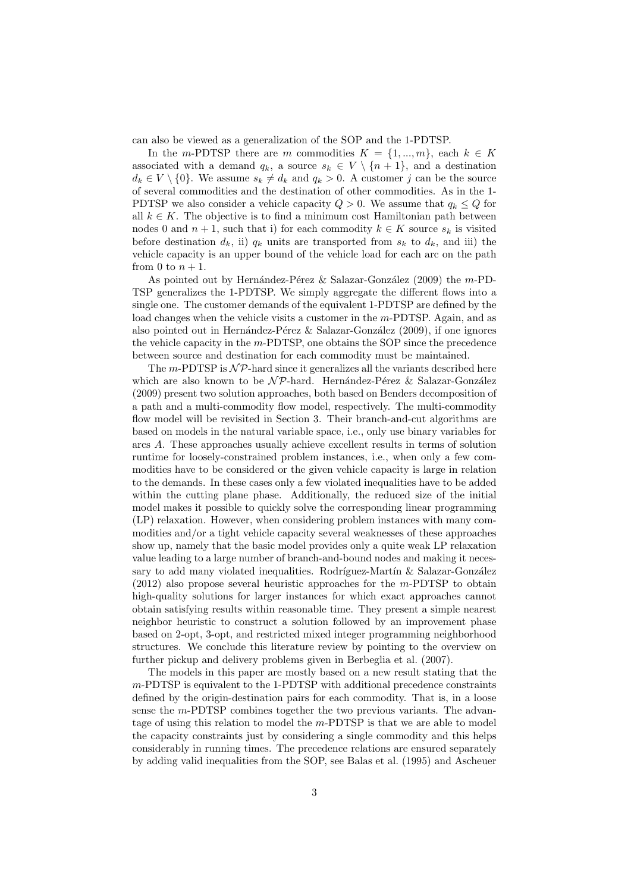can also be viewed as a generalization of the SOP and the 1-PDTSP.

In the m-PDTSP there are m commodities  $K = \{1, ..., m\}$ , each  $k \in K$ associated with a demand  $q_k$ , a source  $s_k \in V \setminus \{n+1\}$ , and a destination  $d_k \in V \setminus \{0\}$ . We assume  $s_k \neq d_k$  and  $q_k > 0$ . A customer j can be the source of several commodities and the destination of other commodities. As in the 1- PDTSP we also consider a vehicle capacity  $Q > 0$ . We assume that  $q_k \leq Q$  for all  $k \in K$ . The objective is to find a minimum cost Hamiltonian path between nodes 0 and  $n + 1$ , such that i) for each commodity  $k \in K$  source  $s_k$  is visited before destination  $d_k$ , ii)  $q_k$  units are transported from  $s_k$  to  $d_k$ , and iii) the vehicle capacity is an upper bound of the vehicle load for each arc on the path from 0 to  $n + 1$ .

As pointed out by Hernández-Pérez & Salazar-González (2009) the  $m$ -PD-TSP generalizes the 1-PDTSP. We simply aggregate the different flows into a single one. The customer demands of the equivalent 1-PDTSP are defined by the load changes when the vehicle visits a customer in the m-PDTSP. Again, and as also pointed out in Hernández-Pérez  $&$  Salazar-González (2009), if one ignores the vehicle capacity in the m-PDTSP, one obtains the SOP since the precedence between source and destination for each commodity must be maintained.

The  $m$ -PDTSP is  $\mathcal{NP}$ -hard since it generalizes all the variants described here which are also known to be  $N\mathcal{P}$ -hard. Hernández-Pérez & Salazar-González (2009) present two solution approaches, both based on Benders decomposition of a path and a multi-commodity flow model, respectively. The multi-commodity flow model will be revisited in Section 3. Their branch-and-cut algorithms are based on models in the natural variable space, i.e., only use binary variables for arcs A. These approaches usually achieve excellent results in terms of solution runtime for loosely-constrained problem instances, i.e., when only a few commodities have to be considered or the given vehicle capacity is large in relation to the demands. In these cases only a few violated inequalities have to be added within the cutting plane phase. Additionally, the reduced size of the initial model makes it possible to quickly solve the corresponding linear programming (LP) relaxation. However, when considering problem instances with many commodities and/or a tight vehicle capacity several weaknesses of these approaches show up, namely that the basic model provides only a quite weak LP relaxation value leading to a large number of branch-and-bound nodes and making it necessary to add many violated inequalities. Rodríguez-Martín & Salazar-González (2012) also propose several heuristic approaches for the m-PDTSP to obtain high-quality solutions for larger instances for which exact approaches cannot obtain satisfying results within reasonable time. They present a simple nearest neighbor heuristic to construct a solution followed by an improvement phase based on 2-opt, 3-opt, and restricted mixed integer programming neighborhood structures. We conclude this literature review by pointing to the overview on further pickup and delivery problems given in Berbeglia et al. (2007).

The models in this paper are mostly based on a new result stating that the m-PDTSP is equivalent to the 1-PDTSP with additional precedence constraints defined by the origin-destination pairs for each commodity. That is, in a loose sense the m-PDTSP combines together the two previous variants. The advantage of using this relation to model the  $m$ -PDTSP is that we are able to model the capacity constraints just by considering a single commodity and this helps considerably in running times. The precedence relations are ensured separately by adding valid inequalities from the SOP, see Balas et al. (1995) and Ascheuer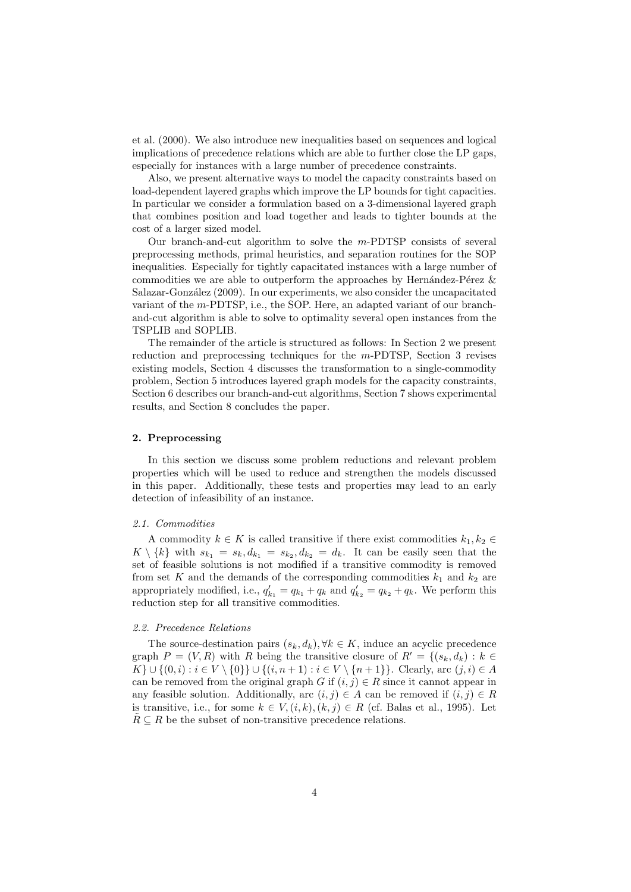et al. (2000). We also introduce new inequalities based on sequences and logical implications of precedence relations which are able to further close the LP gaps, especially for instances with a large number of precedence constraints.

Also, we present alternative ways to model the capacity constraints based on load-dependent layered graphs which improve the LP bounds for tight capacities. In particular we consider a formulation based on a 3-dimensional layered graph that combines position and load together and leads to tighter bounds at the cost of a larger sized model.

Our branch-and-cut algorithm to solve the  $m$ -PDTSP consists of several preprocessing methods, primal heuristics, and separation routines for the SOP inequalities. Especially for tightly capacitated instances with a large number of commodities we are able to outperform the approaches by Hernández-Pérez  $\&$ Salazar-González (2009). In our experiments, we also consider the uncapacitated variant of the m-PDTSP, i.e., the SOP. Here, an adapted variant of our branchand-cut algorithm is able to solve to optimality several open instances from the TSPLIB and SOPLIB.

The remainder of the article is structured as follows: In Section 2 we present reduction and preprocessing techniques for the m-PDTSP, Section 3 revises existing models, Section 4 discusses the transformation to a single-commodity problem, Section 5 introduces layered graph models for the capacity constraints, Section 6 describes our branch-and-cut algorithms, Section 7 shows experimental results, and Section 8 concludes the paper.

#### 2. Preprocessing

In this section we discuss some problem reductions and relevant problem properties which will be used to reduce and strengthen the models discussed in this paper. Additionally, these tests and properties may lead to an early detection of infeasibility of an instance.

#### 2.1. Commodities

A commodity  $k \in K$  is called transitive if there exist commodities  $k_1, k_2 \in$  $K \setminus \{k\}$  with  $s_{k_1} = s_k, d_{k_1} = s_{k_2}, d_{k_2} = d_k$ . It can be easily seen that the set of feasible solutions is not modified if a transitive commodity is removed from set K and the demands of the corresponding commodities  $k_1$  and  $k_2$  are appropriately modified, i.e.,  $q'_{k_1} = q_{k_1} + q_k$  and  $q'_{k_2} = q_{k_2} + q_k$ . We perform this reduction step for all transitive commodities.

## 2.2. Precedence Relations

The source-destination pairs  $(s_k, d_k)$ ,  $\forall k \in K$ , induce an acyclic precedence graph  $P = (V, R)$  with R being the transitive closure of  $R' = \{(s_k, d_k) : k \in$  $K$  ∪ {(0, i) : i ∈ V \ {0}} ∪ {(i, n + 1) : i ∈ V \ {n + 1}}. Clearly, arc (j, i) ∈ A can be removed from the original graph G if  $(i, j) \in R$  since it cannot appear in any feasible solution. Additionally, arc  $(i, j) \in A$  can be removed if  $(i, j) \in R$ is transitive, i.e., for some  $k \in V, (i, k), (k, j) \in R$  (cf. Balas et al., 1995). Let  $R \subseteq R$  be the subset of non-transitive precedence relations.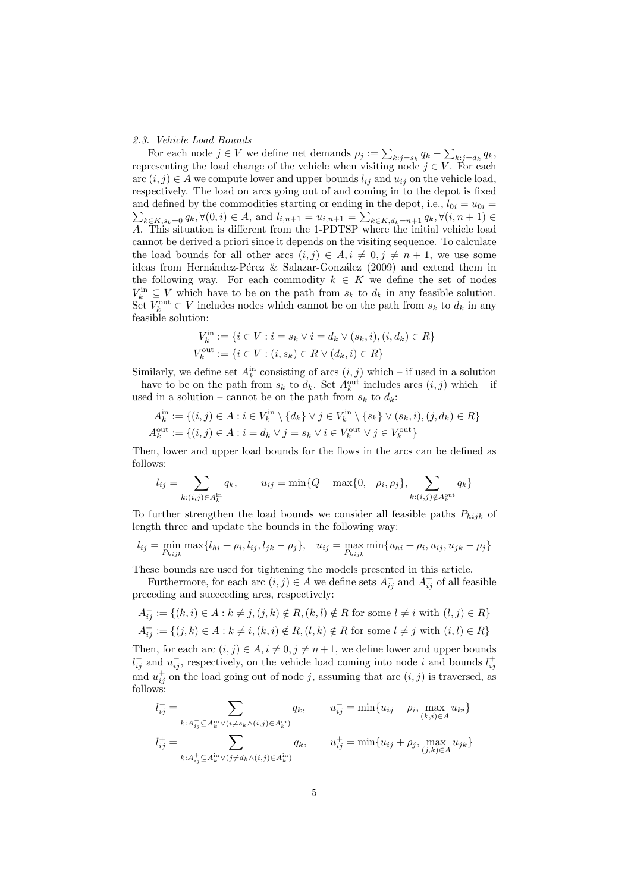#### 2.3. Vehicle Load Bounds

For each node  $j \in V$  we define net demands  $\rho_j := \sum_{k:j=s_k} q_k - \sum_{k:j=d_k} q_k$ , representing the load change of the vehicle when visiting node  $j \in V$ . For each arc  $(i, j) \in A$  we compute lower and upper bounds  $l_{ij}$  and  $u_{ij}$  on the vehicle load, respectively. The load on arcs going out of and coming in to the depot is fixed and defined by the commodities starting or ending in the depot, i.e.,  $l_{0i} = u_{0i} =$  $\sum_{k \in K, s_k = 0} q_k, \forall (0, i) \in A$ , and  $l_{i, n+1} = u_{i, n+1} = \sum_{k \in K, d_k = n+1} q_k, \forall (i, n+1) \in A$ A. This situation is different from the 1-PDTSP where the initial vehicle load cannot be derived a priori since it depends on the visiting sequence. To calculate the load bounds for all other arcs  $(i, j) \in A, i \neq 0, j \neq n + 1$ , we use some ideas from Hernández-Pérez & Salazar-González (2009) and extend them in the following way. For each commodity  $k \in K$  we define the set of nodes  $V_k^{\text{in}} \subseteq V$  which have to be on the path from  $s_k$  to  $d_k$  in any feasible solution. Set  $V_k^{\text{out}} \subset V$  includes nodes which cannot be on the path from  $s_k$  to  $d_k$  in any feasible solution:

$$
V_k^{\text{in}} := \{ i \in V : i = s_k \lor i = d_k \lor (s_k, i), (i, d_k) \in R \}
$$
  

$$
V_k^{\text{out}} := \{ i \in V : (i, s_k) \in R \lor (d_k, i) \in R \}
$$

Similarly, we define set  $A_k^{\text{in}}$  consisting of arcs  $(i, j)$  which – if used in a solution – have to be on the path from  $s_k$  to  $d_k$ . Set  $A_k^{\text{out}}$  includes arcs  $(i, j)$  which – if used in a solution – cannot be on the path from  $s_k$  to  $d_k$ :

$$
A_k^{\text{in}} := \{(i,j) \in A : i \in V_k^{\text{in}} \setminus \{d_k\} \vee j \in V_k^{\text{in}} \setminus \{s_k\} \vee (s_k, i), (j, d_k) \in R\}
$$
  

$$
A_k^{\text{out}} := \{(i,j) \in A : i = d_k \vee j = s_k \vee i \in V_k^{\text{out}} \vee j \in V_k^{\text{out}}\}
$$

Then, lower and upper load bounds for the flows in the arcs can be defined as follows:

$$
l_{ij} = \sum_{k:(i,j)\in A_k^{\text{in}}} q_k, \qquad u_{ij} = \min\{Q - \max\{0, -\rho_i, \rho_j\}, \sum_{k:(i,j)\notin A_k^{\text{out}}} q_k\}
$$

To further strengthen the load bounds we consider all feasible paths  $P_{hijk}$  of length three and update the bounds in the following way:

$$
l_{ij} = \min_{P_{hijk}} \max\{l_{hi} + \rho_i, l_{ij}, l_{jk} - \rho_j\}, \quad u_{ij} = \max_{P_{hijk}} \min\{u_{hi} + \rho_i, u_{ij}, u_{jk} - \rho_j\}
$$

These bounds are used for tightening the models presented in this article.

Furthermore, for each arc  $(i, j) \in A$  we define sets  $A_{ij}^-$  and  $A_{ij}^+$  of all feasible preceding and succeeding arcs, respectively:

$$
A_{ij}^- := \{(k, i) \in A : k \neq j, (j, k) \notin R, (k, l) \notin R \text{ for some } l \neq i \text{ with } (l, j) \in R\}
$$
  

$$
A_{ij}^+ := \{(j, k) \in A : k \neq i, (k, i) \notin R, (l, k) \notin R \text{ for some } l \neq j \text{ with } (i, l) \in R\}
$$

Then, for each arc  $(i, j) \in A$ ,  $i \neq 0$ ,  $j \neq n+1$ , we define lower and upper bounds  $l_{ij}^-$  and  $u_{ij}^-$ , respectively, on the vehicle load coming into node i and bounds  $l_{ij}^+$ and  $u_{ij}^+$  on the load going out of node j, assuming that arc  $(i, j)$  is traversed, as follows:

$$
l_{ij}^{-} = \sum_{k:A_{ij}^{-} \subseteq A_k^{\text{in}} \vee (i \neq s_k \wedge (i,j) \in A_k^{\text{in}})} q_k, \qquad u_{ij}^{-} = \min\{u_{ij} - \rho_i, \max_{(k,i) \in A} u_{ki}\}
$$
  

$$
l_{ij}^{+} = \sum_{k:A_{ij}^{+} \subseteq A_k^{\text{in}} \vee (j \neq d_k \wedge (i,j) \in A_k^{\text{in}})} q_k, \qquad u_{ij}^{+} = \min\{u_{ij} + \rho_j, \max_{(j,k) \in A} u_{jk}\}
$$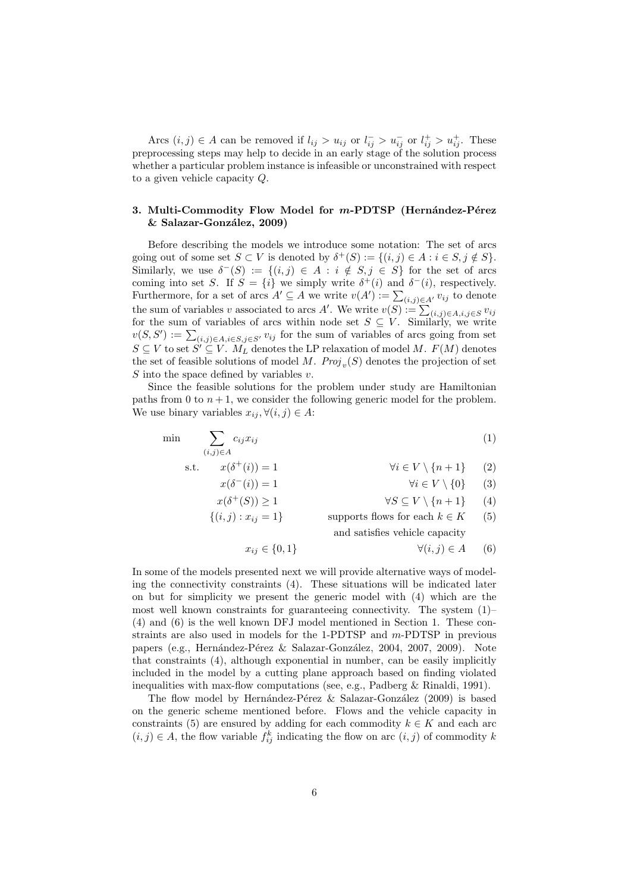Arcs  $(i, j) \in A$  can be removed if  $l_{ij} > u_{ij}$  or  $l_{ij}^- > u_{ij}^-$  or  $l_{ij}^+ > u_{ij}^+$ . These preprocessing steps may help to decide in an early stage of the solution process whether a particular problem instance is infeasible or unconstrained with respect to a given vehicle capacity Q.

## 3. Multi-Commodity Flow Model for m-PDTSP (Hernández-Pérez  $&$  Salazar-González, 2009)

Before describing the models we introduce some notation: The set of arcs going out of some set  $S \subset V$  is denoted by  $\delta^+(S) := \{(i,j) \in A : i \in S, j \notin S\}.$ Similarly, we use  $\delta^{-}(S) := \{(i, j) \in A : i \notin S, j \in S\}$  for the set of arcs coming into set S. If  $S = \{i\}$  we simply write  $\delta^+(i)$  and  $\delta^-(i)$ , respectively. Furthermore, for a set of arcs  $A' \subseteq A$  we write  $v(A') := \sum_{(i,j) \in A'} v_{ij}$  to denote the sum of variables v associated to arcs A'. We write  $v(S) := \sum_{(i,j) \in A, i,j \in S} v_{ij}$ for the sum of variables of arcs within node set  $S \subseteq V$ . Similarly, we write  $v(S, S') := \sum_{(i,j) \in A, i \in S, j \in S'} v_{ij}$  for the sum of variables of arcs going from set  $S \subseteq V$  to set  $S' \subseteq V$ .  $M_L$  denotes the LP relaxation of model M.  $F(M)$  denotes the set of feasible solutions of model M.  $Proj_v(S)$  denotes the projection of set S into the space defined by variables  $v$ .

Since the feasible solutions for the problem under study are Hamiltonian paths from 0 to  $n + 1$ , we consider the following generic model for the problem. We use binary variables  $x_{ij}, \forall (i, j) \in A$ :

$$
\min \qquad \sum_{(i,j)\in A} c_{ij} x_{ij} \tag{1}
$$

s.t. 
$$
x(\delta^+(i)) = 1
$$
  $\forall i \in V \setminus \{n+1\}$  (2)

$$
x(\delta^{-}(i)) = 1 \qquad \forall i \in V \setminus \{0\} \qquad (3)
$$

$$
x(0 \mid (S)) \ge 1 \qquad \qquad \forall S \subseteq V \setminus \{n+1\} \qquad (4)
$$
  

$$
\{(i,j) : x_{ij} = 1\} \qquad \qquad \text{supports flows for each } k \in K \qquad (5)
$$

and satisfies vehicle capacity

$$
x_{ij} \in \{0, 1\} \qquad \qquad \forall (i, j) \in A \qquad (6)
$$

In some of the models presented next we will provide alternative ways of modeling the connectivity constraints (4). These situations will be indicated later on but for simplicity we present the generic model with (4) which are the most well known constraints for guaranteeing connectivity. The system  $(1)$ (4) and (6) is the well known DFJ model mentioned in Section 1. These constraints are also used in models for the 1-PDTSP and m-PDTSP in previous papers (e.g., Hernández-Pérez & Salazar-González, 2004, 2007, 2009). Note that constraints (4), although exponential in number, can be easily implicitly included in the model by a cutting plane approach based on finding violated inequalities with max-flow computations (see, e.g., Padberg & Rinaldi, 1991).

The flow model by Hernández-Pérez & Salazar-González (2009) is based on the generic scheme mentioned before. Flows and the vehicle capacity in constraints (5) are ensured by adding for each commodity  $k \in K$  and each arc  $(i, j) \in A$ , the flow variable  $f_{ij}^k$  indicating the flow on arc  $(i, j)$  of commodity k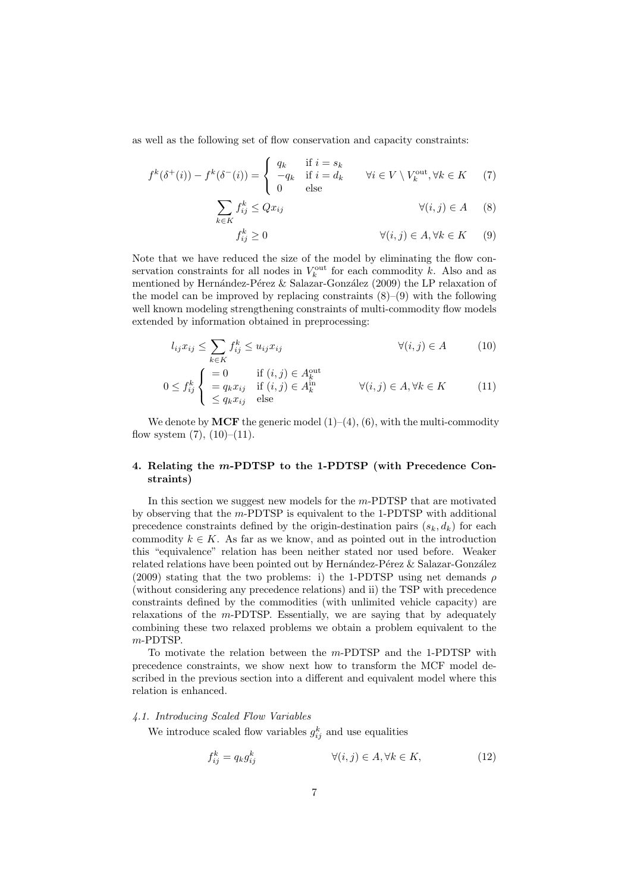as well as the following set of flow conservation and capacity constraints:

$$
f^{k}(\delta^{+}(i)) - f^{k}(\delta^{-}(i)) = \begin{cases} q_{k} & \text{if } i = s_{k} \\ -q_{k} & \text{if } i = d_{k} \\ 0 & \text{else} \end{cases} \forall i \in V \setminus V_{k}^{\text{out}}, \forall k \in K \quad (7)
$$

$$
\sum_{k \in K} f_{ij}^k \le Q x_{ij} \qquad \forall (i, j) \in A \qquad (8)
$$

$$
f_{ij}^k \ge 0 \qquad \qquad \forall (i,j) \in A, \forall k \in K \qquad (9)
$$

Note that we have reduced the size of the model by eliminating the flow conservation constraints for all nodes in  $V_k^{\text{out}}$  for each commodity k. Also and as mentioned by Hernández-Pérez & Salazar-González (2009) the LP relaxation of the model can be improved by replacing constraints  $(8)$ – $(9)$  with the following well known modeling strengthening constraints of multi-commodity flow models extended by information obtained in preprocessing:

$$
l_{ij}x_{ij} \le \sum_{k \in K} f_{ij}^k \le u_{ij}x_{ij} \qquad \qquad \forall (i, j) \in A \qquad (10)
$$

$$
0 \le f_{ij}^k \begin{cases} = 0 & \text{if } (i,j) \in A_k^{\text{out}} \\ = q_k x_{ij} & \text{if } (i,j) \in A_k^{\text{in}} \\ \le q_k x_{ij} & \text{else} \end{cases} \qquad \forall (i,j) \in A, \forall k \in K \tag{11}
$$

We denote by **MCF** the generic model  $(1)–(4)$ ,  $(6)$ , with the multi-commodity flow system  $(7)$ ,  $(10)–(11)$ .

## 4. Relating the m-PDTSP to the 1-PDTSP (with Precedence Constraints)

In this section we suggest new models for the m-PDTSP that are motivated by observing that the m-PDTSP is equivalent to the 1-PDTSP with additional precedence constraints defined by the origin-destination pairs  $(s_k, d_k)$  for each commodity  $k \in K$ . As far as we know, and as pointed out in the introduction this "equivalence" relation has been neither stated nor used before. Weaker related relations have been pointed out by Hernández-Pérez & Salazar-González (2009) stating that the two problems: i) the 1-PDTSP using net demands  $\rho$ (without considering any precedence relations) and ii) the TSP with precedence constraints defined by the commodities (with unlimited vehicle capacity) are relaxations of the m-PDTSP. Essentially, we are saying that by adequately combining these two relaxed problems we obtain a problem equivalent to the m-PDTSP.

To motivate the relation between the m-PDTSP and the 1-PDTSP with precedence constraints, we show next how to transform the MCF model described in the previous section into a different and equivalent model where this relation is enhanced.

#### 4.1. Introducing Scaled Flow Variables

We introduce scaled flow variables  $g_{ij}^k$  and use equalities

$$
f_{ij}^k = q_k g_{ij}^k \qquad \qquad \forall (i, j) \in A, \forall k \in K,
$$
 (12)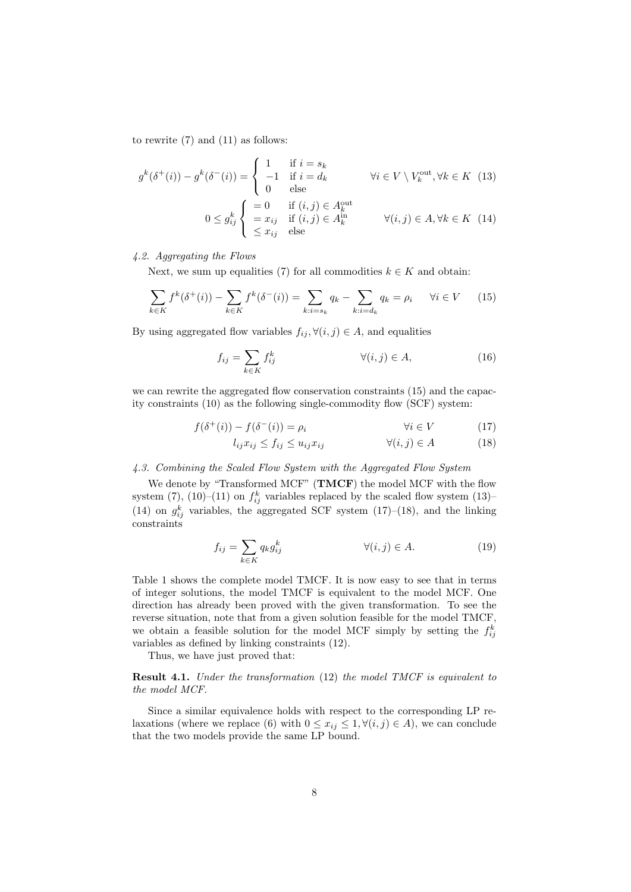to rewrite  $(7)$  and  $(11)$  as follows:

$$
g^{k}(\delta^{+}(i)) - g^{k}(\delta^{-}(i)) = \begin{cases} 1 & \text{if } i = s_{k} \\ -1 & \text{if } i = d_{k} \\ 0 & \text{else} \end{cases} \forall i \in V \setminus V_{k}^{\text{out}}, \forall k \in K \quad (13)
$$

$$
0 \le g_{ij}^{k} \begin{cases} = 0 & \text{if } (i, j) \in A_{k}^{\text{out}} \\ = x_{ij} & \text{if } (i, j) \in A_{k}^{\text{in}} \\ \le x_{ij} & \text{else} \end{cases} \forall (i, j) \in A, \forall k \in K \quad (14)
$$

# 4.2. Aggregating the Flows

Next, we sum up equalities (7) for all commodities  $k \in K$  and obtain:

$$
\sum_{k \in K} f^k(\delta^+(i)) - \sum_{k \in K} f^k(\delta^-(i)) = \sum_{k:i=s_k} q_k - \sum_{k:i=d_k} q_k = \rho_i \quad \forall i \in V \quad (15)
$$

By using aggregated flow variables  $f_{ij}, \forall (i, j) \in A$ , and equalities

$$
f_{ij} = \sum_{k \in K} f_{ij}^k \qquad \qquad \forall (i, j) \in A,
$$
 (16)

we can rewrite the aggregated flow conservation constraints (15) and the capacity constraints (10) as the following single-commodity flow (SCF) system:

$$
f(\delta^+(i)) - f(\delta^-(i)) = \rho_i \qquad \forall i \in V \tag{17}
$$

$$
l_{ij}x_{ij} \le f_{ij} \le u_{ij}x_{ij} \qquad \qquad \forall (i,j) \in A \tag{18}
$$

#### 4.3. Combining the Scaled Flow System with the Aggregated Flow System

We denote by "Transformed MCF" (TMCF) the model MCF with the flow system (7), (10)–(11) on  $f_{ij}^k$  variables replaced by the scaled flow system (13)– (14) on  $g_{ij}^k$  variables, the aggregated SCF system (17)–(18), and the linking constraints

$$
f_{ij} = \sum_{k \in K} q_k g_{ij}^k \qquad \forall (i, j) \in A.
$$
 (19)

Table 1 shows the complete model TMCF. It is now easy to see that in terms of integer solutions, the model TMCF is equivalent to the model MCF. One direction has already been proved with the given transformation. To see the reverse situation, note that from a given solution feasible for the model TMCF, we obtain a feasible solution for the model MCF simply by setting the  $f_{ij}^k$ variables as defined by linking constraints (12).

Thus, we have just proved that:

Result 4.1. Under the transformation (12) the model TMCF is equivalent to the model MCF.

Since a similar equivalence holds with respect to the corresponding LP relaxations (where we replace (6) with  $0 \leq x_{ij} \leq 1, \forall (i, j) \in A$ ), we can conclude that the two models provide the same LP bound.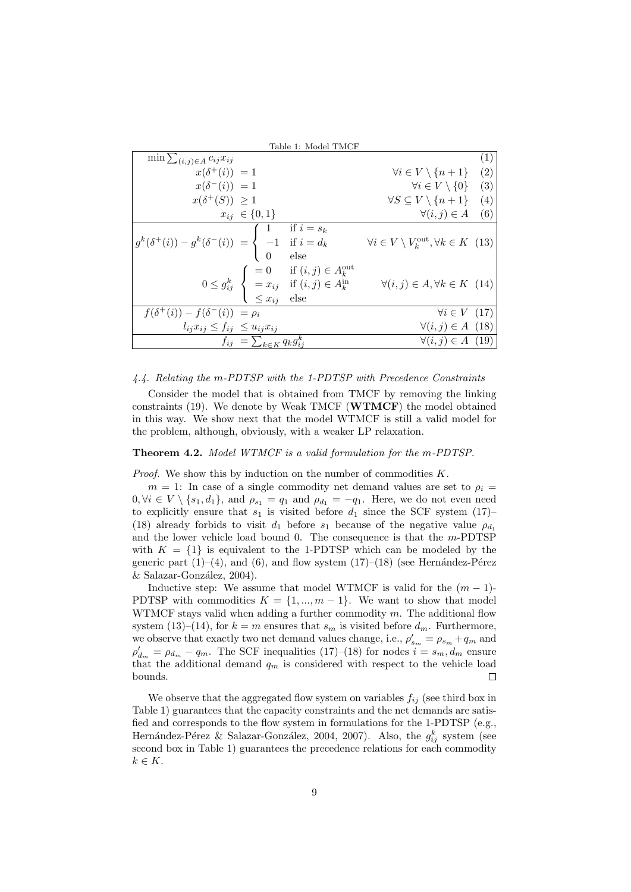|                                                                                                                                                                         | Table 1: Model TMCF                                                                                                                                                                                                                                                          |                                                                      |     |
|-------------------------------------------------------------------------------------------------------------------------------------------------------------------------|------------------------------------------------------------------------------------------------------------------------------------------------------------------------------------------------------------------------------------------------------------------------------|----------------------------------------------------------------------|-----|
| $\min \sum_{(i,j) \in A} c_{ij} x_{ij}$                                                                                                                                 |                                                                                                                                                                                                                                                                              |                                                                      | (1) |
| $x(\delta^+(i)) = 1$                                                                                                                                                    |                                                                                                                                                                                                                                                                              | $\forall i \in V \setminus \{n+1\}$                                  | (2) |
| $x(\delta^{-}(i)) = 1$                                                                                                                                                  |                                                                                                                                                                                                                                                                              | $\forall i \in V \setminus \{0\}$                                    | (3) |
| $x(\delta^+(S)) \geq 1$                                                                                                                                                 |                                                                                                                                                                                                                                                                              | $\forall S \subseteq V \setminus \{n+1\}$                            | (4) |
| $x_{ij} \in \{0,1\}$                                                                                                                                                    |                                                                                                                                                                                                                                                                              | $\forall (i, j) \in A$                                               | (6) |
| $\boxed{g^k(\delta^+(i)) - g^k(\delta^-(i)) \; = \left\{ \begin{array}{ll} 1 & \mbox{if $i = s_k$} \\ -1 & \mbox{if $i = d_k$} \\ 0 & \mbox{else} \end{array} \right.}$ |                                                                                                                                                                                                                                                                              | $\forall i \in V \setminus V_k^{\text{out}}, \forall k \in K \ (13)$ |     |
|                                                                                                                                                                         | $0 \leq g_{ij}^k \hspace{0.2cm} \left\{ \begin{array}{l} = 0 \hspace{0.5cm} \text{if} \hspace{0.1cm} (i,j) \in A_k^{\text{out}} \\ = x_{ij} \hspace{0.3cm} \text{if} \hspace{0.1cm} (i,j) \in A_k^{\text{in}} \\ \leq x_{ij} \hspace{0.3cm} \text{else} \end{array} \right.$ | $\forall (i, j) \in A, \forall k \in K \ (14)$                       |     |
| $f(\delta^+(i)) - f(\delta^-(i)) = \rho_i$                                                                                                                              |                                                                                                                                                                                                                                                                              | $\forall i \in V$ (17)                                               |     |
| $l_{ij}x_{ij} \leq f_{ij} \leq u_{ij}x_{ij}$                                                                                                                            |                                                                                                                                                                                                                                                                              | $\forall (i, j) \in A$ (18)                                          |     |
| $f_{ij} = \sum_{k \in K} q_k g_{ij}^k$                                                                                                                                  |                                                                                                                                                                                                                                                                              | $\forall (i, j) \in A$ (19)                                          |     |

## 4.4. Relating the m-PDTSP with the 1-PDTSP with Precedence Constraints

Consider the model that is obtained from TMCF by removing the linking constraints  $(19)$ . We denote by Weak TMCF (WTMCF) the model obtained in this way. We show next that the model WTMCF is still a valid model for the problem, although, obviously, with a weaker LP relaxation.

Theorem 4.2. Model WTMCF is a valid formulation for the m-PDTSP.

*Proof.* We show this by induction on the number of commodities  $K$ .

 $m = 1$ : In case of a single commodity net demand values are set to  $\rho_i =$  $0, \forall i \in V \setminus \{s_1, d_1\},$  and  $\rho_{s_1} = q_1$  and  $\rho_{d_1} = -q_1$ . Here, we do not even need to explicitly ensure that  $s_1$  is visited before  $d_1$  since the SCF system (17)– (18) already forbids to visit  $d_1$  before  $s_1$  because of the negative value  $\rho_{d_1}$ and the lower vehicle load bound 0. The consequence is that the  $m$ -PDTSP with  $K = \{1\}$  is equivalent to the 1-PDTSP which can be modeled by the generic part  $(1)–(4)$ , and  $(6)$ , and flow system  $(17)–(18)$  (see Hernández-Pérez  $&$  Salazar-González, 2004).

Inductive step: We assume that model WTMCF is valid for the  $(m-1)$ -PDTSP with commodities  $K = \{1, ..., m-1\}$ . We want to show that model WTMCF stays valid when adding a further commodity  $m$ . The additional flow system (13)–(14), for  $k = m$  ensures that  $s_m$  is visited before  $d_m$ . Furthermore, we observe that exactly two net demand values change, i.e.,  $\rho'_{s_m} = \rho_{s_m} + q_m$  and  $\rho'_{d_m} = \rho_{d_m} - q_m$ . The SCF inequalities (17)–(18) for nodes  $i = s_m, d_m$  ensure that the additional demand  $q_m$  is considered with respect to the vehicle load bounds.  $\Box$ 

We observe that the aggregated flow system on variables  $f_{ij}$  (see third box in Table 1) guarantees that the capacity constraints and the net demands are satisfied and corresponds to the flow system in formulations for the 1-PDTSP (e.g., Hernández-Pérez & Salazar-González, 2004, 2007). Also, the  $g_{ij}^k$  system (see second box in Table 1) guarantees the precedence relations for each commodity  $k \in K$ .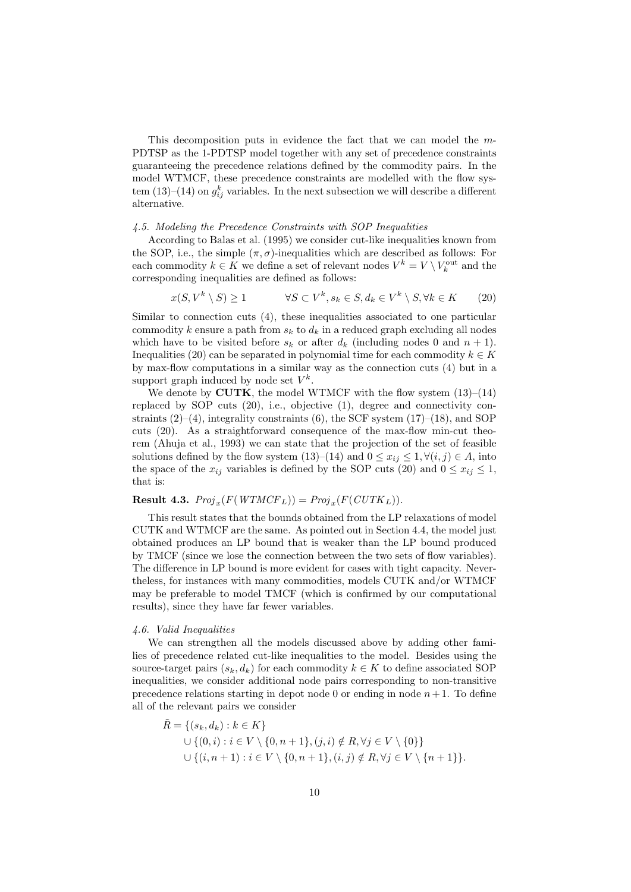This decomposition puts in evidence the fact that we can model the m-PDTSP as the 1-PDTSP model together with any set of precedence constraints guaranteeing the precedence relations defined by the commodity pairs. In the model WTMCF, these precedence constraints are modelled with the flow system (13)–(14) on  $g_{ij}^k$  variables. In the next subsection we will describe a different alternative.

#### 4.5. Modeling the Precedence Constraints with SOP Inequalities

According to Balas et al. (1995) we consider cut-like inequalities known from the SOP, i.e., the simple  $(\pi, \sigma)$ -inequalities which are described as follows: For each commodity  $k \in K$  we define a set of relevant nodes  $V^k = V \setminus V^{\text{out}}_k$  and the corresponding inequalities are defined as follows:

$$
x(S, V^k \setminus S) \ge 1 \qquad \forall S \subset V^k, s_k \in S, d_k \in V^k \setminus S, \forall k \in K \qquad (20)
$$

Similar to connection cuts (4), these inequalities associated to one particular commodity k ensure a path from  $s_k$  to  $d_k$  in a reduced graph excluding all nodes which have to be visited before  $s_k$  or after  $d_k$  (including nodes 0 and  $n + 1$ ). Inequalities (20) can be separated in polynomial time for each commodity  $k \in K$ by max-flow computations in a similar way as the connection cuts (4) but in a support graph induced by node set  $V^k$ .

We denote by  $CUTK$ , the model WTMCF with the flow system  $(13)–(14)$ replaced by SOP cuts (20), i.e., objective (1), degree and connectivity constraints  $(2)-(4)$ , integrality constraints  $(6)$ , the SCF system  $(17)-(18)$ , and SOP cuts (20). As a straightforward consequence of the max-flow min-cut theorem (Ahuja et al., 1993) we can state that the projection of the set of feasible solutions defined by the flow system (13)–(14) and  $0 \leq x_{ij} \leq 1, \forall (i, j) \in A$ , into the space of the  $x_{ij}$  variables is defined by the SOP cuts (20) and  $0 \le x_{ij} \le 1$ , that is:

# **Result 4.3.**  $Proj_x(F(WTMCF_L)) = Proj_x(F(CUTK_L)).$

This result states that the bounds obtained from the LP relaxations of model CUTK and WTMCF are the same. As pointed out in Section 4.4, the model just obtained produces an LP bound that is weaker than the LP bound produced by TMCF (since we lose the connection between the two sets of flow variables). The difference in LP bound is more evident for cases with tight capacity. Nevertheless, for instances with many commodities, models CUTK and/or WTMCF may be preferable to model TMCF (which is confirmed by our computational results), since they have far fewer variables.

#### 4.6. Valid Inequalities

We can strengthen all the models discussed above by adding other families of precedence related cut-like inequalities to the model. Besides using the source-target pairs  $(s_k, d_k)$  for each commodity  $k \in K$  to define associated SOP inequalities, we consider additional node pairs corresponding to non-transitive precedence relations starting in depot node 0 or ending in node  $n+1$ . To define all of the relevant pairs we consider

$$
\tilde{R} = \{(s_k, d_k) : k \in K\}
$$
  
\n
$$
\cup \{(0, i) : i \in V \setminus \{0, n+1\}, (j, i) \notin R, \forall j \in V \setminus \{0\}\}
$$
  
\n
$$
\cup \{(i, n+1) : i \in V \setminus \{0, n+1\}, (i, j) \notin R, \forall j \in V \setminus \{n+1\}\}.
$$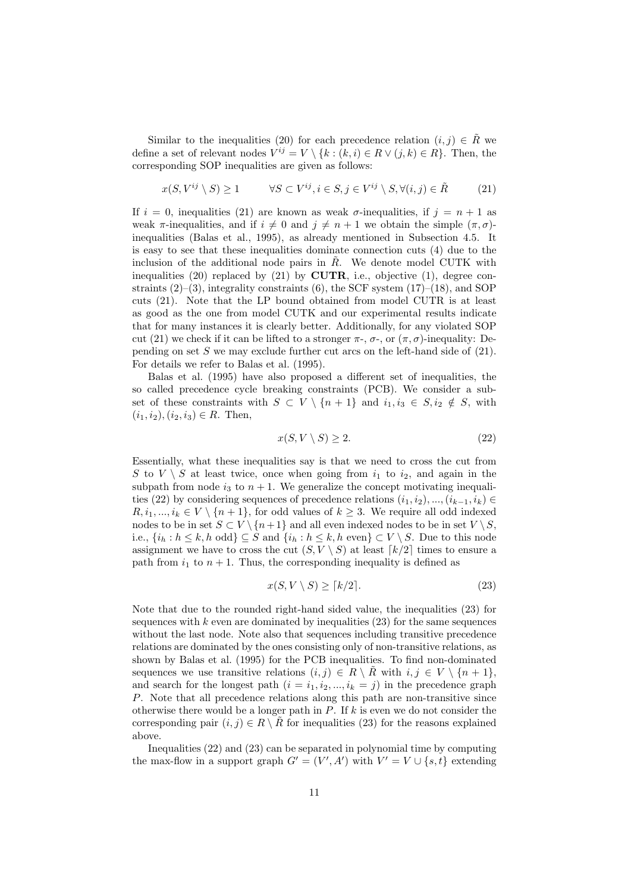Similar to the inequalities (20) for each precedence relation  $(i, j) \in \tilde{R}$  we define a set of relevant nodes  $V^{ij} = V \setminus \{k : (k, i) \in R \vee (j, k) \in R\}$ . Then, the corresponding SOP inequalities are given as follows:

$$
x(S, V^{ij} \setminus S) \ge 1 \qquad \forall S \subset V^{ij}, i \in S, j \in V^{ij} \setminus S, \forall (i, j) \in \tilde{R} \tag{21}
$$

If  $i = 0$ , inequalities (21) are known as weak  $\sigma$ -inequalities, if  $j = n + 1$  as weak  $\pi$ -inequalities, and if  $i \neq 0$  and  $j \neq n + 1$  we obtain the simple  $(\pi, \sigma)$ inequalities (Balas et al., 1995), as already mentioned in Subsection 4.5. It is easy to see that these inequalities dominate connection cuts (4) due to the inclusion of the additional node pairs in  $\tilde{R}$ . We denote model CUTK with inequalities (20) replaced by (21) by  $CUTR$ , i.e., objective (1), degree constraints  $(2)$ – $(3)$ , integrality constraints  $(6)$ , the SCF system  $(17)$ – $(18)$ , and SOP cuts (21). Note that the LP bound obtained from model CUTR is at least as good as the one from model CUTK and our experimental results indicate that for many instances it is clearly better. Additionally, for any violated SOP cut (21) we check if it can be lifted to a stronger  $\pi$ -,  $\sigma$ -, or  $(\pi, \sigma)$ -inequality: Depending on set S we may exclude further cut arcs on the left-hand side of  $(21)$ . For details we refer to Balas et al. (1995).

Balas et al. (1995) have also proposed a different set of inequalities, the so called precedence cycle breaking constraints (PCB). We consider a subset of these constraints with  $S \subset V \setminus \{n+1\}$  and  $i_1, i_3 \in S, i_2 \notin S$ , with  $(i_1, i_2), (i_2, i_3) \in R$ . Then,

$$
x(S, V \setminus S) \ge 2. \tag{22}
$$

Essentially, what these inequalities say is that we need to cross the cut from S to  $V \setminus S$  at least twice, once when going from  $i_1$  to  $i_2$ , and again in the subpath from node  $i_3$  to  $n + 1$ . We generalize the concept motivating inequalities (22) by considering sequences of precedence relations  $(i_1, i_2), ..., (i_{k-1}, i_k) \in$  $R, i_1, ..., i_k \in V \setminus \{n+1\}$ , for odd values of  $k \geq 3$ . We require all odd indexed nodes to be in set  $S \subset V \setminus \{n+1\}$  and all even indexed nodes to be in set  $V \setminus S$ , i.e.,  $\{i_h : h \leq k, h \text{ odd}\}\subseteq S$  and  $\{i_h : h \leq k, h \text{ even}\}\subset V\setminus S$ . Due to this node assignment we have to cross the cut  $(S, V \setminus S)$  at least  $\lceil k/2 \rceil$  times to ensure a path from  $i_1$  to  $n + 1$ . Thus, the corresponding inequality is defined as

$$
x(S, V \setminus S) \ge \lceil k/2 \rceil. \tag{23}
$$

Note that due to the rounded right-hand sided value, the inequalities (23) for sequences with  $k$  even are dominated by inequalities  $(23)$  for the same sequences without the last node. Note also that sequences including transitive precedence relations are dominated by the ones consisting only of non-transitive relations, as shown by Balas et al. (1995) for the PCB inequalities. To find non-dominated sequences we use transitive relations  $(i, j) \in R \setminus R$  with  $i, j \in V \setminus \{n + 1\},$ and search for the longest path  $(i = i_1, i_2, ..., i_k = j)$  in the precedence graph P. Note that all precedence relations along this path are non-transitive since otherwise there would be a longer path in  $P$ . If k is even we do not consider the corresponding pair  $(i, j) \in R \setminus \tilde{R}$  for inequalities (23) for the reasons explained above.

Inequalities (22) and (23) can be separated in polynomial time by computing the max-flow in a support graph  $G' = (V', A')$  with  $V' = V \cup \{s, t\}$  extending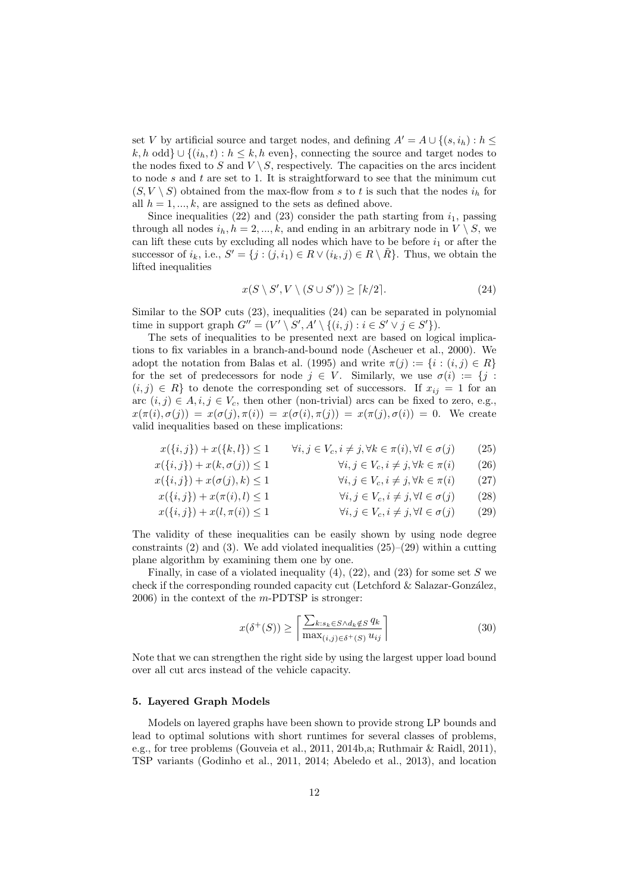set V by artificial source and target nodes, and defining  $A' = A \cup \{(s, i_h) : h \leq$ k, h odd}  $\cup$  { $(i_h, t)$  :  $h \leq k$ , h even}, connecting the source and target nodes to the nodes fixed to S and  $V \setminus S$ , respectively. The capacities on the arcs incident to node  $s$  and  $t$  are set to 1. It is straightforward to see that the minimum cut  $(S, V \setminus S)$  obtained from the max-flow from s to t is such that the nodes  $i_h$  for all  $h = 1, ..., k$ , are assigned to the sets as defined above.

Since inequalities (22) and (23) consider the path starting from  $i_1$ , passing through all nodes  $i_h$ ,  $h = 2, ..., k$ , and ending in an arbitrary node in  $V \setminus S$ , we can lift these cuts by excluding all nodes which have to be before  $i_1$  or after the successor of  $i_k$ , i.e.,  $S' = \{j : (j, i_1) \in R \vee (i_k, j) \in R \setminus \tilde{R}\}\.$  Thus, we obtain the lifted inequalities

$$
x(S \setminus S', V \setminus (S \cup S')) \ge \lceil k/2 \rceil. \tag{24}
$$

Similar to the SOP cuts (23), inequalities (24) can be separated in polynomial time in support graph  $G'' = (V' \setminus S', A' \setminus \{(i,j) : i \in S' \setminus j \in S'\}).$ 

The sets of inequalities to be presented next are based on logical implications to fix variables in a branch-and-bound node (Ascheuer et al., 2000). We adopt the notation from Balas et al. (1995) and write  $\pi(j) := \{i : (i, j) \in R\}$ for the set of predecessors for node  $j \in V$ . Similarly, we use  $\sigma(i) := \{j :$  $(i, j) \in R$  to denote the corresponding set of successors. If  $x_{ij} = 1$  for an arc  $(i, j) \in A$ ,  $i, j \in V_c$ , then other (non-trivial) arcs can be fixed to zero, e.g.,  $x(\pi(i), \sigma(j)) = x(\sigma(j), \pi(i)) = x(\sigma(i), \pi(j)) = x(\pi(j), \sigma(i)) = 0$ . We create valid inequalities based on these implications:

$$
x(\{i, j\}) + x(\{k, l\}) \le 1 \qquad \forall i, j \in V_c, i \ne j, \forall k \in \pi(i), \forall l \in \sigma(j) \tag{25}
$$

$$
x(\{i, j\}) + x(k, \sigma(j)) \le 1 \qquad \forall i, j \in V_c, i \ne j, \forall k \in \pi(i) \qquad (26)
$$

$$
x(\{i, j\}) + x(\sigma(j), k) \le 1 \qquad \forall i, j \in V_c, i \ne j, \forall k \in \pi(i) \qquad (27)
$$

$$
x(\{i, j\}) + x(\pi(i), l) \le 1 \qquad \forall i, j \in V_c, i \ne j, \forall l \in \sigma(j) \tag{28}
$$

$$
x(\{i, j\}) + x(l, \pi(i)) \le 1 \qquad \forall i, j \in V_c, i \ne j, \forall l \in \sigma(j) \qquad (29)
$$

The validity of these inequalities can be easily shown by using node degree constraints (2) and (3). We add violated inequalities  $(25)-(29)$  within a cutting plane algorithm by examining them one by one.

Finally, in case of a violated inequality  $(4)$ ,  $(22)$ , and  $(23)$  for some set S we check if the corresponding rounded capacity cut (Letchford  $&$  Salazar-González,  $2006$ ) in the context of the *m*-PDTSP is stronger:

$$
x(\delta^+(S)) \ge \left\lceil \frac{\sum_{k:s_k \in S \land d_k \notin S} q_k}{\max_{(i,j) \in \delta^+(S)} u_{ij}} \right\rceil \tag{30}
$$

Note that we can strengthen the right side by using the largest upper load bound over all cut arcs instead of the vehicle capacity.

#### 5. Layered Graph Models

Models on layered graphs have been shown to provide strong LP bounds and lead to optimal solutions with short runtimes for several classes of problems, e.g., for tree problems (Gouveia et al., 2011, 2014b,a; Ruthmair & Raidl, 2011), TSP variants (Godinho et al., 2011, 2014; Abeledo et al., 2013), and location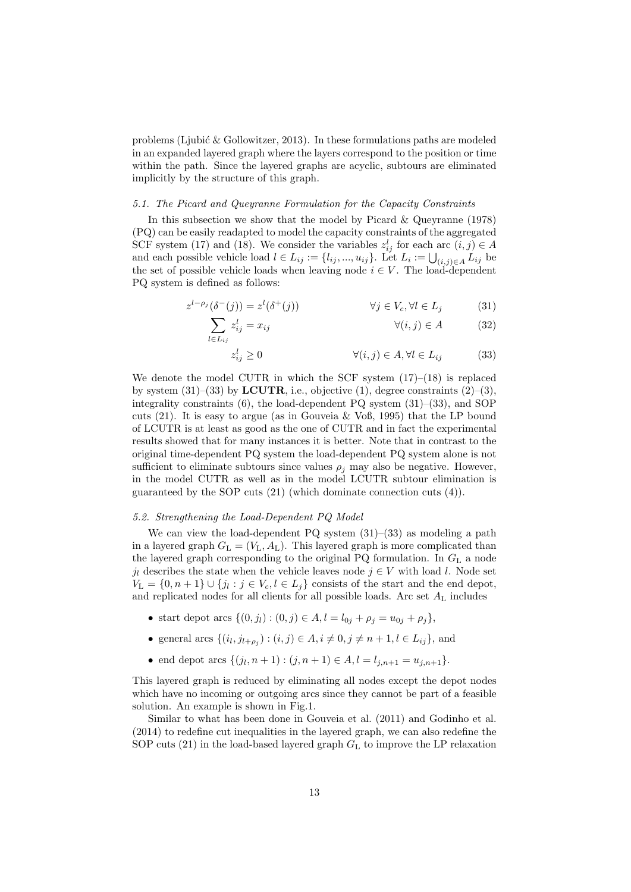problems (Ljubić  $\&$  Gollowitzer, 2013). In these formulations paths are modeled in an expanded layered graph where the layers correspond to the position or time within the path. Since the layered graphs are acyclic, subtours are eliminated implicitly by the structure of this graph.

## 5.1. The Picard and Queyranne Formulation for the Capacity Constraints

In this subsection we show that the model by Picard & Queyranne (1978) (PQ) can be easily readapted to model the capacity constraints of the aggregated SCF system (17) and (18). We consider the variables  $z_{ij}^l$  for each arc  $(i, j) \in A$ and each possible vehicle load  $l \in L_{ij} := \{l_{ij}, ..., u_{ij}\}\$ . Let  $L_i := \bigcup_{(i,j) \in A} L_{ij}$  be the set of possible vehicle loads when leaving node  $i \in V$ . The load-dependent PQ system is defined as follows:

$$
z^{l-\rho_j}(\delta^-(j)) = z^l(\delta^+(j)) \qquad \forall j \in V_c, \forall l \in L_j \qquad (31)
$$

$$
\sum_{l \in L_{ij}} z_{ij}^l = x_{ij} \qquad \qquad \forall (i, j) \in A \qquad (32)
$$

$$
z_{ij}^l \ge 0 \qquad \qquad \forall (i,j) \in A, \forall l \in L_{ij} \qquad (33)
$$

We denote the model CUTR in which the SCF system  $(17)–(18)$  is replaced by system  $(31)$ – $(33)$  by **LCUTR**, i.e., objective  $(1)$ , degree constraints  $(2)$ – $(3)$ , integrality constraints (6), the load-dependent PQ system (31)–(33), and SOP cuts  $(21)$ . It is easy to argue (as in Gouveia & Voß, 1995) that the LP bound of LCUTR is at least as good as the one of CUTR and in fact the experimental results showed that for many instances it is better. Note that in contrast to the original time-dependent PQ system the load-dependent PQ system alone is not sufficient to eliminate subtours since values  $\rho_j$  may also be negative. However, in the model CUTR as well as in the model LCUTR subtour elimination is guaranteed by the SOP cuts (21) (which dominate connection cuts (4)).

## 5.2. Strengthening the Load-Dependent PQ Model

We can view the load-dependent PQ system  $(31)$ – $(33)$  as modeling a path in a layered graph  $G_L = (V_L, A_L)$ . This layered graph is more complicated than the layered graph corresponding to the original PQ formulation. In  $G<sub>L</sub>$  a node  $j_l$  describes the state when the vehicle leaves node  $j \in V$  with load l. Node set  $V_{\mathcal{L}} = \{0, n+1\} \cup \{j_l : j \in V_c, l \in L_j\}$  consists of the start and the end depot, and replicated nodes for all clients for all possible loads. Arc set  $A_L$  includes

- start depot arcs  $\{(0, j_l) : (0, j) \in A, l = l_{0j} + \rho_j = u_{0j} + \rho_j\},\$
- general arcs  $\{(i_l, j_{l+\rho_j}) : (i, j) \in A, i \neq 0, j \neq n+1, l \in L_{ij}\}\$ , and
- end depot arcs  $\{(j_l, n+1) : (j, n+1) \in A, l = l_{j,n+1} = u_{j,n+1}\}.$

This layered graph is reduced by eliminating all nodes except the depot nodes which have no incoming or outgoing arcs since they cannot be part of a feasible solution. An example is shown in Fig.1.

Similar to what has been done in Gouveia et al. (2011) and Godinho et al. (2014) to redefine cut inequalities in the layered graph, we can also redefine the SOP cuts  $(21)$  in the load-based layered graph  $G<sub>L</sub>$  to improve the LP relaxation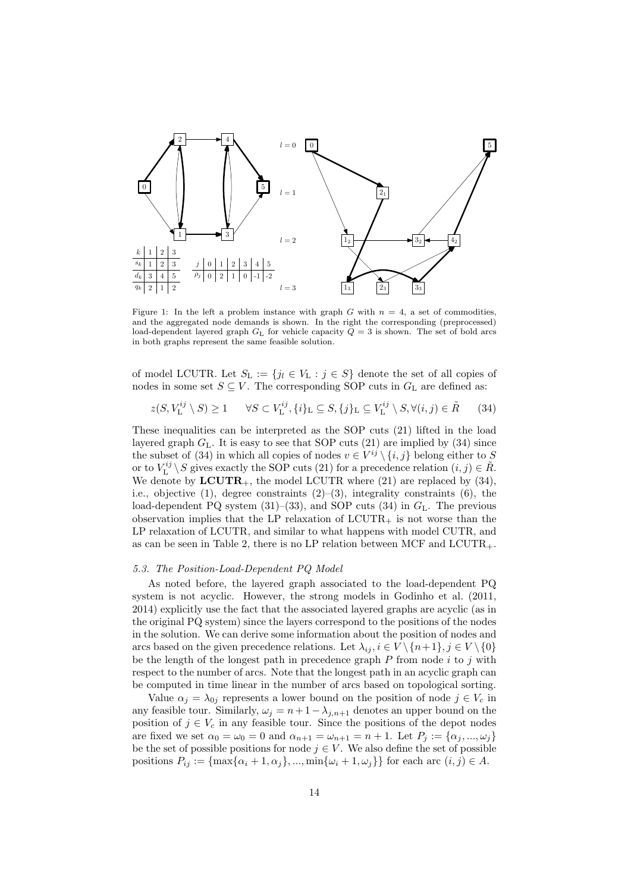

Figure 1: In the left a problem instance with graph G with  $n = 4$ , a set of commodities, and the aggregated node demands is shown. In the right the corresponding (preprocessed) load-dependent layered graph  $G<sub>L</sub>$  for vehicle capacity  $Q = 3$  is shown. The set of bold arcs in both graphs represent the same feasible solution.

of model LCUTR. Let  $S_{\text{L}} := \{j_l \in V_{\text{L}} : j \in S\}$  denote the set of all copies of nodes in some set  $S \subseteq V$ . The corresponding SOP cuts in  $G<sub>L</sub>$  are defined as:

$$
z(S, V_{\mathcal{L}}^{ij} \setminus S) \ge 1 \qquad \forall S \subset V_{\mathcal{L}}^{ij}, \{i\}_{\mathcal{L}} \subseteq S, \{j\}_{\mathcal{L}} \subseteq V_{\mathcal{L}}^{ij} \setminus S, \forall (i, j) \in \tilde{R} \tag{34}
$$

These inequalities can be interpreted as the SOP cuts (21) lifted in the load layered graph  $G_L$ . It is easy to see that SOP cuts (21) are implied by (34) since the subset of (34) in which all copies of nodes  $v \in V^{ij} \setminus \{i, j\}$  belong either to S or to  $V^{ij}_{\text{L}} \setminus S$  gives exactly the SOP cuts (21) for a precedence relation  $(i, j) \in \tilde{R}$ . We denote by  $LCUTR_+$ , the model LCUTR where (21) are replaced by (34), i.e., objective  $(1)$ , degree constraints  $(2)$ – $(3)$ , integrality constraints  $(6)$ , the load-dependent PQ system  $(31)$ – $(33)$ , and SOP cuts  $(34)$  in  $G<sub>L</sub>$ . The previous observation implies that the LP relaxation of  $LCUTR<sub>+</sub>$  is not worse than the LP relaxation of LCUTR, and similar to what happens with model CUTR, and as can be seen in Table 2, there is no LP relation between MCF and  $\text{LCUTR}_{++}$ .

#### 5.3. The Position-Load-Dependent PQ Model

As noted before, the layered graph associated to the load-dependent PQ system is not acyclic. However, the strong models in Godinho et al. (2011, 2014) explicitly use the fact that the associated layered graphs are acyclic (as in the original PQ system) since the layers correspond to the positions of the nodes in the solution. We can derive some information about the position of nodes and arcs based on the given precedence relations. Let  $\lambda_{ij}$ ,  $i \in V \setminus \{n+1\}$ ,  $j \in V \setminus \{0\}$ be the length of the longest path in precedence graph  $P$  from node  $i$  to  $j$  with respect to the number of arcs. Note that the longest path in an acyclic graph can be computed in time linear in the number of arcs based on topological sorting.

Value  $\alpha_j = \lambda_{0j}$  represents a lower bound on the position of node  $j \in V_c$  in any feasible tour. Similarly,  $\omega_j = n + 1 - \lambda_{j,n+1}$  denotes an upper bound on the position of  $j \in V_c$  in any feasible tour. Since the positions of the depot nodes are fixed we set  $\alpha_0 = \omega_0 = 0$  and  $\alpha_{n+1} = \omega_{n+1} = n+1$ . Let  $P_j := {\alpha_j, ..., \omega_j}$ be the set of possible positions for node  $j \in V$ . We also define the set of possible positions  $P_{ij} := \{ \max\{\alpha_i + 1, \alpha_j\}, \dots, \min\{\omega_i + 1, \omega_j\} \}$  for each arc  $(i, j) \in A$ .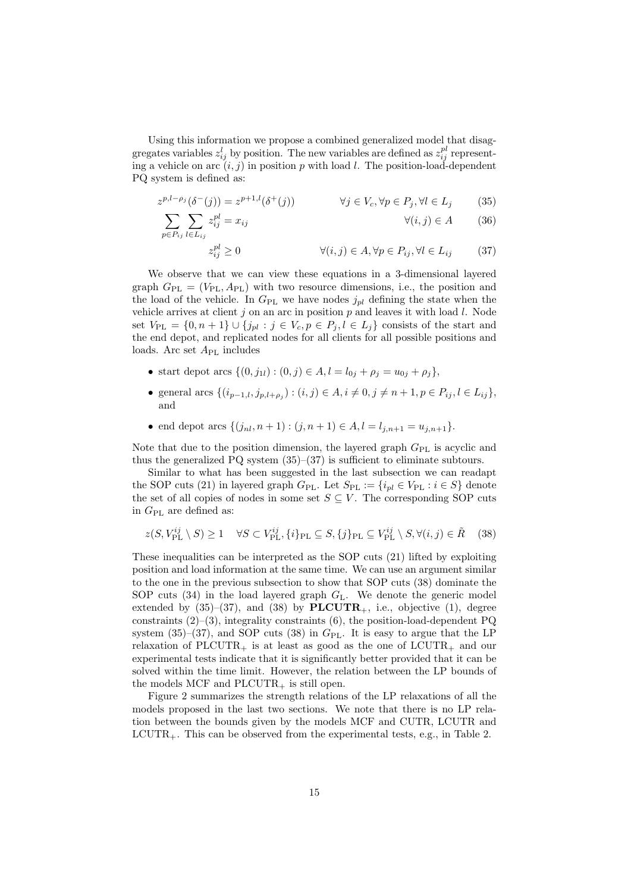Using this information we propose a combined generalized model that disaggregates variables  $z_{ij}^l$  by position. The new variables are defined as  $z_{ij}^{pl}$  representing a vehicle on arc  $(i, j)$  in position p with load l. The position-load-dependent PQ system is defined as:

$$
z^{p,l-\rho_j}(\delta^-(j)) = z^{p+1,l}(\delta^+(j)) \qquad \forall j \in V_c, \forall p \in P_j, \forall l \in L_j \tag{35}
$$

$$
\sum_{p \in P_{ij}} \sum_{l \in L_{ij}} z_{ij}^{pl} = x_{ij} \qquad \qquad \forall (i, j) \in A \qquad (36)
$$

$$
z_{ij}^{pl} \ge 0 \qquad \qquad \forall (i,j) \in A, \forall p \in P_{ij}, \forall l \in L_{ij} \qquad (37)
$$

We observe that we can view these equations in a 3-dimensional layered graph  $G_{PL} = (V_{PL}, A_{PL})$  with two resource dimensions, i.e., the position and the load of the vehicle. In  $G_{\text{PL}}$  we have nodes  $j_{nl}$  defining the state when the vehicle arrives at client  $j$  on an arc in position  $p$  and leaves it with load  $l$ . Node set  $V_{\text{PL}} = \{0, n+1\} \cup \{j_{pl} : j \in V_c, p \in P_j, l \in L_j\}$  consists of the start and the end depot, and replicated nodes for all clients for all possible positions and loads. Arc set  $A_{PL}$  includes

- start depot arcs  $\{(0, j_{1l}) : (0, j) \in A, l = l_{0j} + \rho_j = u_{0j} + \rho_j\},\$
- general arcs  $\{(i_{p-1,l}, j_{p,l+\rho_j}) : (i,j) \in A, i \neq 0, j \neq n+1, p \in P_{ij}, l \in L_{ij}\},\$ and
- end depot arcs  $\{(j_{nl}, n+1) : (j, n+1) \in A, l = l_{j,n+1} = u_{j,n+1}\}.$

Note that due to the position dimension, the layered graph  $G_{\text{PL}}$  is acyclic and thus the generalized  $PQ$  system  $(35)$ – $(37)$  is sufficient to eliminate subtours.

Similar to what has been suggested in the last subsection we can readapt the SOP cuts (21) in layered graph  $G_{PL}$ . Let  $S_{PL} := \{i_{pl} \in V_{PL} : i \in S\}$  denote the set of all copies of nodes in some set  $S \subseteq V$ . The corresponding SOP cuts in  $G_{\rm PL}$  are defined as:

$$
z(S, V_{\rm PL}^{ij} \setminus S) \ge 1 \quad \forall S \subset V_{\rm PL}^{ij}, \{i\}_{\rm PL} \subseteq S, \{j\}_{\rm PL} \subseteq V_{\rm PL}^{ij} \setminus S, \forall (i, j) \in \tilde{R} \quad (38)
$$

These inequalities can be interpreted as the SOP cuts (21) lifted by exploiting position and load information at the same time. We can use an argument similar to the one in the previous subsection to show that SOP cuts (38) dominate the SOP cuts  $(34)$  in the load layered graph  $G<sub>L</sub>$ . We denote the generic model extended by  $(35)-(37)$ , and  $(38)$  by  $\text{PLCUTR}_+$ , i.e., objective  $(1)$ , degree constraints  $(2)$ – $(3)$ , integrality constraints  $(6)$ , the position-load-dependent PQ system (35)–(37), and SOP cuts (38) in  $G_{\text{PL}}$ . It is easy to argue that the LP relaxation of PLCUTR<sub>+</sub> is at least as good as the one of LCUTR<sub>+</sub> and our experimental tests indicate that it is significantly better provided that it can be solved within the time limit. However, the relation between the LP bounds of the models MCF and  $PLCUTR<sub>+</sub>$  is still open.

Figure 2 summarizes the strength relations of the LP relaxations of all the models proposed in the last two sections. We note that there is no LP relation between the bounds given by the models MCF and CUTR, LCUTR and  $LCUTR<sub>+</sub>$ . This can be observed from the experimental tests, e.g., in Table 2.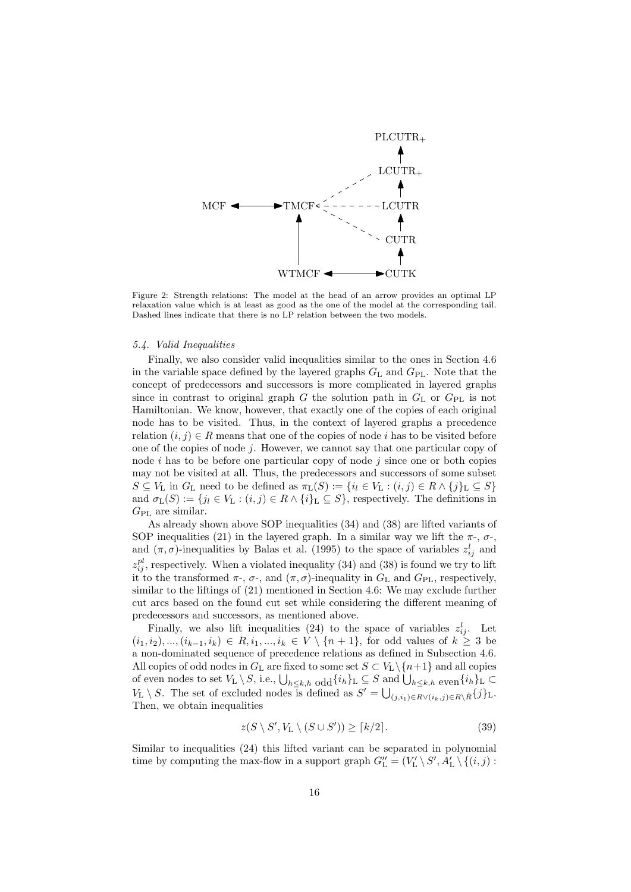

Figure 2: Strength relations: The model at the head of an arrow provides an optimal LP relaxation value which is at least as good as the one of the model at the corresponding tail. Dashed lines indicate that there is no LP relation between the two models.

#### 5.4. Valid Inequalities

Finally, we also consider valid inequalities similar to the ones in Section 4.6 in the variable space defined by the layered graphs  $G_L$  and  $G_{PL}$ . Note that the concept of predecessors and successors is more complicated in layered graphs since in contrast to original graph G the solution path in  $G<sub>L</sub>$  or  $G<sub>PL</sub>$  is not Hamiltonian. We know, however, that exactly one of the copies of each original node has to be visited. Thus, in the context of layered graphs a precedence relation  $(i, j) \in R$  means that one of the copies of node i has to be visited before one of the copies of node  $j$ . However, we cannot say that one particular copy of node i has to be before one particular copy of node i since one or both copies may not be visited at all. Thus, the predecessors and successors of some subset  $S \subseteq V_L$  in  $G_L$  need to be defined as  $\pi_L(S) := \{i_l \in V_L : (i,j) \in R \wedge \{j\}_L \subseteq S\}$ and  $\sigma_{L}(S) := \{j_{l} \in V_{L} : (i, j) \in R \wedge \{i\}_{L} \subseteq S\}$ , respectively. The definitions in  $G_{\rm PL}$  are similar.

As already shown above SOP inequalities (34) and (38) are lifted variants of SOP inequalities (21) in the layered graph. In a similar way we lift the  $\pi$ -,  $\sigma$ -, and  $(\pi, \sigma)$ -inequalities by Balas et al. (1995) to the space of variables  $z_{ij}^l$  and  $z_{ij}^{pl}$ , respectively. When a violated inequality (34) and (38) is found we try to lift it to the transformed  $\pi$ -,  $\sigma$ -, and  $(\pi, \sigma)$ -inequality in  $G_L$  and  $G_{PL}$ , respectively, similar to the liftings of (21) mentioned in Section 4.6: We may exclude further cut arcs based on the found cut set while considering the different meaning of predecessors and successors, as mentioned above.

Finally, we also lift inequalities (24) to the space of variables  $z_{ij}^l$ . Let  $(i_1, i_2), ..., (i_{k-1}, i_k) \in R, i_1, ..., i_k \in V \setminus \{n+1\}$ , for odd values of  $k \geq 3$  be a non-dominated sequence of precedence relations as defined in Subsection 4.6. All copies of odd nodes in  $G_L$  are fixed to some set  $S \subset V_L \setminus \{n+1\}$  and all copies of even nodes to set  $V_L \setminus S$ , i.e.,  $\bigcup_{h \leq k,h}$  odd $\{i_h\}_L \subseteq S$  and  $\bigcup_{h \leq k,h}$  even  $\{i_h\}_L \subset$  $V_L \setminus S$ . The set of excluded nodes is defined as  $S' = \bigcup_{(j,i_1) \in R \setminus (i_k,j) \in R \setminus \tilde{R}} \{j\}_L$ . Then, we obtain inequalities

$$
z(S \setminus S', V_{\mathcal{L}} \setminus (S \cup S')) \ge \lceil k/2 \rceil. \tag{39}
$$

Similar to inequalities (24) this lifted variant can be separated in polynomial time by computing the max-flow in a support graph  $G''_{\rm L} = (V'_{\rm L} \setminus S', A'_{\rm L} \setminus \{(i,j):$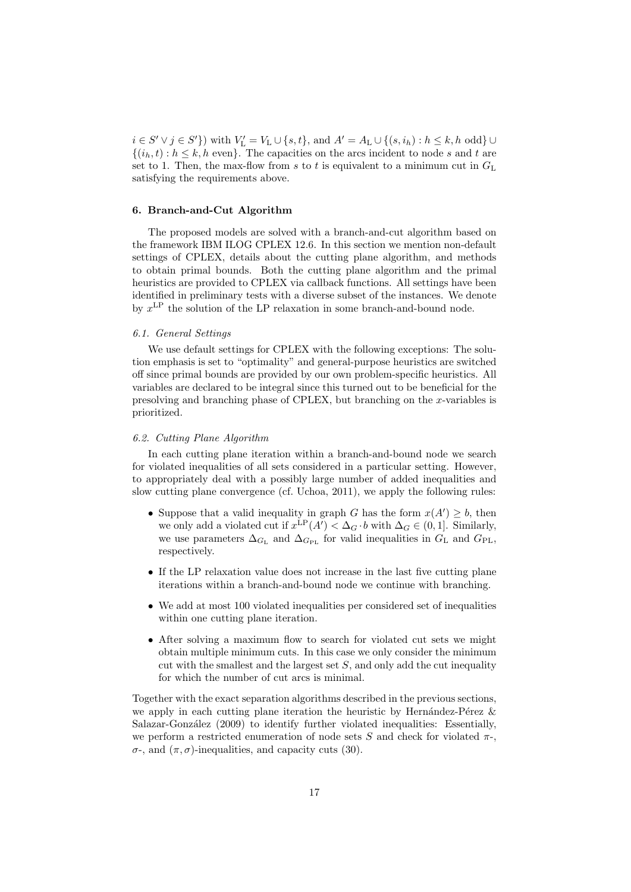$i \in S' \vee j \in S'$  with  $V'_{\text{L}} = V_{\text{L}} \cup \{s, t\}$ , and  $A' = A_{\text{L}} \cup \{(s, i_h) : h \leq k, h \text{ odd}\} \cup$  $\{(i_h,t): h \leq k, h \text{ even}\}.$  The capacities on the arcs incident to node s and t are set to 1. Then, the max-flow from s to t is equivalent to a minimum cut in  $G<sub>L</sub>$ satisfying the requirements above.

#### 6. Branch-and-Cut Algorithm

The proposed models are solved with a branch-and-cut algorithm based on the framework IBM ILOG CPLEX 12.6. In this section we mention non-default settings of CPLEX, details about the cutting plane algorithm, and methods to obtain primal bounds. Both the cutting plane algorithm and the primal heuristics are provided to CPLEX via callback functions. All settings have been identified in preliminary tests with a diverse subset of the instances. We denote by  $x^{\text{LP}}$  the solution of the LP relaxation in some branch-and-bound node.

## 6.1. General Settings

We use default settings for CPLEX with the following exceptions: The solution emphasis is set to "optimality" and general-purpose heuristics are switched off since primal bounds are provided by our own problem-specific heuristics. All variables are declared to be integral since this turned out to be beneficial for the presolving and branching phase of CPLEX, but branching on the x-variables is prioritized.

#### 6.2. Cutting Plane Algorithm

In each cutting plane iteration within a branch-and-bound node we search for violated inequalities of all sets considered in a particular setting. However, to appropriately deal with a possibly large number of added inequalities and slow cutting plane convergence (cf. Uchoa, 2011), we apply the following rules:

- Suppose that a valid inequality in graph G has the form  $x(A') \geq b$ , then we only add a violated cut if  $x^{\text{LP}}(A') < \Delta_G \cdot b$  with  $\Delta_G \in (0, 1]$ . Similarly, we use parameters  $\Delta_{G_{\text{PL}}}$  and  $\Delta_{G_{\text{PL}}}$  for valid inequalities in  $G_{\text{L}}$  and  $G_{\text{PL}}$ , respectively.
- If the LP relaxation value does not increase in the last five cutting plane iterations within a branch-and-bound node we continue with branching.
- We add at most 100 violated inequalities per considered set of inequalities within one cutting plane iteration.
- After solving a maximum flow to search for violated cut sets we might obtain multiple minimum cuts. In this case we only consider the minimum cut with the smallest and the largest set  $S$ , and only add the cut inequality for which the number of cut arcs is minimal.

Together with the exact separation algorithms described in the previous sections, we apply in each cutting plane iteration the heuristic by Hernández-Pérez  $\&$ Salazar-González (2009) to identify further violated inequalities: Essentially, we perform a restricted enumeration of node sets S and check for violated  $\pi$ -, σ-, and (π, σ)-inequalities, and capacity cuts (30).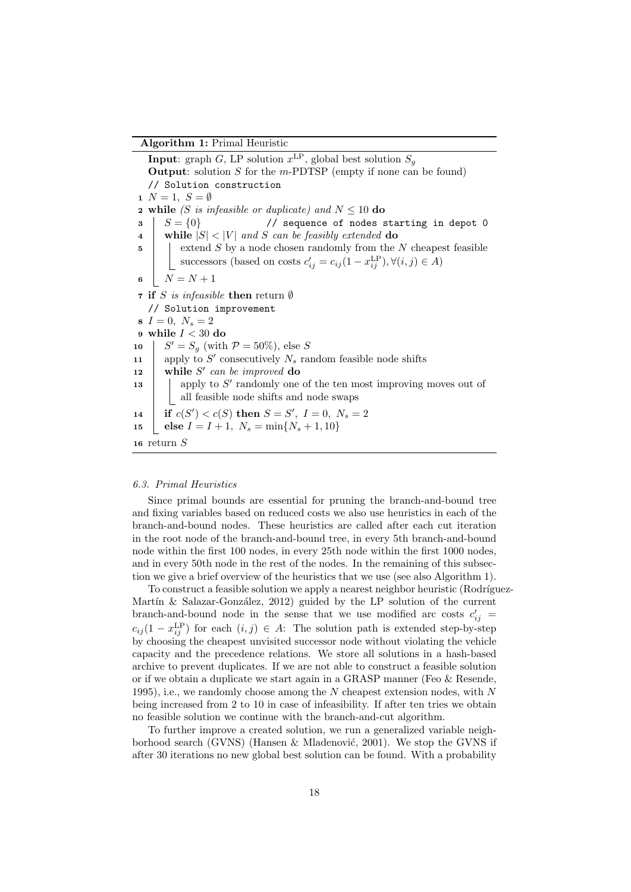Algorithm 1: Primal Heuristic

**Input**: graph G, LP solution  $x^{\text{LP}}$ , global best solution  $S_g$ **Output:** solution S for the m-PDTSP (empty if none can be found) // Solution construction  $1 N = 1, S = \emptyset$ **2** while (S is infeasible or duplicate) and  $N \leq 10$  do  $\mathbf{S} = \{0\}$  // sequence of nodes starting in depot 0 4 while  $|S| < |V|$  and S can be feasibly extended do  $\mathfrak{g}$  | extend S by a node chosen randomly from the N cheapest feasible successors (based on costs  $c'_{ij} = c_{ij} (1 - x_{ij}^{\text{LP}}), \forall (i, j) \in A$ ) 6  $N = N + 1$ **7** if S is infeasible then return  $\emptyset$ // Solution improvement  $8 I = 0, N_s = 2$ 9 while  $I < 30$  do 10 |  $S' = S_g$  (with  $\mathcal{P} = 50\%$ ), else S 11 | apply to  $S'$  consecutively  $N_s$  random feasible node shifts 12 while  $S'$  can be improved do 13 | apply to S' randomly one of the ten most improving moves out of all feasible node shifts and node swaps 14 **if**  $c(S') < c(S)$  then  $S = S'$ ,  $I = 0$ ,  $N_s = 2$ 15 else  $I = I + 1$ ,  $N_s = \min\{N_s + 1, 10\}$ <sup>16</sup> return S

## 6.3. Primal Heuristics

Since primal bounds are essential for pruning the branch-and-bound tree and fixing variables based on reduced costs we also use heuristics in each of the branch-and-bound nodes. These heuristics are called after each cut iteration in the root node of the branch-and-bound tree, in every 5th branch-and-bound node within the first 100 nodes, in every 25th node within the first 1000 nodes, and in every 50th node in the rest of the nodes. In the remaining of this subsection we give a brief overview of the heuristics that we use (see also Algorithm 1).

To construct a feasible solution we apply a nearest neighbor heuristic (Rodríguez-Martín  $\&$  Salazar-González, 2012) guided by the LP solution of the current branch-and-bound node in the sense that we use modified arc costs  $c'_{ij}$  =  $c_{ij} (1 - x_{ij}^{\text{LP}})$  for each  $(i, j) \in A$ : The solution path is extended step-by-step by choosing the cheapest unvisited successor node without violating the vehicle capacity and the precedence relations. We store all solutions in a hash-based archive to prevent duplicates. If we are not able to construct a feasible solution or if we obtain a duplicate we start again in a GRASP manner (Feo & Resende, 1995), i.e., we randomly choose among the N cheapest extension nodes, with  $N$ being increased from 2 to 10 in case of infeasibility. If after ten tries we obtain no feasible solution we continue with the branch-and-cut algorithm.

To further improve a created solution, we run a generalized variable neighborhood search (GVNS) (Hansen  $\&$  Mladenović, 2001). We stop the GVNS if after 30 iterations no new global best solution can be found. With a probability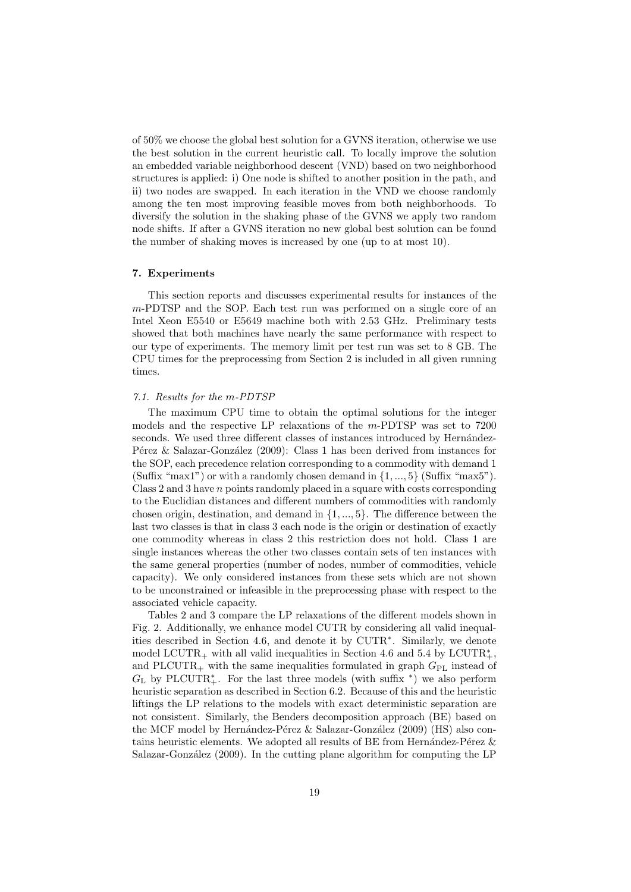of 50% we choose the global best solution for a GVNS iteration, otherwise we use the best solution in the current heuristic call. To locally improve the solution an embedded variable neighborhood descent (VND) based on two neighborhood structures is applied: i) One node is shifted to another position in the path, and ii) two nodes are swapped. In each iteration in the VND we choose randomly among the ten most improving feasible moves from both neighborhoods. To diversify the solution in the shaking phase of the GVNS we apply two random node shifts. If after a GVNS iteration no new global best solution can be found the number of shaking moves is increased by one (up to at most 10).

#### 7. Experiments

This section reports and discusses experimental results for instances of the m-PDTSP and the SOP. Each test run was performed on a single core of an Intel Xeon E5540 or E5649 machine both with 2.53 GHz. Preliminary tests showed that both machines have nearly the same performance with respect to our type of experiments. The memory limit per test run was set to 8 GB. The CPU times for the preprocessing from Section 2 is included in all given running times.

#### 7.1. Results for the m-PDTSP

The maximum CPU time to obtain the optimal solutions for the integer models and the respective LP relaxations of the m-PDTSP was set to 7200 seconds. We used three different classes of instances introduced by Hernández-Pérez & Salazar-González (2009): Class 1 has been derived from instances for the SOP, each precedence relation corresponding to a commodity with demand 1 (Suffix "max1") or with a randomly chosen demand in  $\{1, ..., 5\}$  (Suffix "max5"). Class  $2$  and  $3$  have  $n$  points randomly placed in a square with costs corresponding to the Euclidian distances and different numbers of commodities with randomly chosen origin, destination, and demand in {1, ..., 5}. The difference between the last two classes is that in class 3 each node is the origin or destination of exactly one commodity whereas in class 2 this restriction does not hold. Class 1 are single instances whereas the other two classes contain sets of ten instances with the same general properties (number of nodes, number of commodities, vehicle capacity). We only considered instances from these sets which are not shown to be unconstrained or infeasible in the preprocessing phase with respect to the associated vehicle capacity.

Tables 2 and 3 compare the LP relaxations of the different models shown in Fig. 2. Additionally, we enhance model CUTR by considering all valid inequalities described in Section 4.6, and denote it by CUTR<sup>∗</sup> . Similarly, we denote model LCUTR<sub>+</sub> with all valid inequalities in Section 4.6 and 5.4 by LCUTR<sup>\*</sup><sub>+</sub>, and PLCUTR<sub>+</sub> with the same inequalities formulated in graph  $G_{PL}$  instead of  $G_{\text{L}}$  by PLCUTR<sup>\*</sup><sub>+</sub>. For the last three models (with suffix <sup>\*</sup>) we also perform heuristic separation as described in Section 6.2. Because of this and the heuristic liftings the LP relations to the models with exact deterministic separation are not consistent. Similarly, the Benders decomposition approach (BE) based on the MCF model by Hernández-Pérez  $&$  Salazar-González (2009) (HS) also contains heuristic elements. We adopted all results of BE from Hernández-Pérez  $\&$ Salazar-González (2009). In the cutting plane algorithm for computing the LP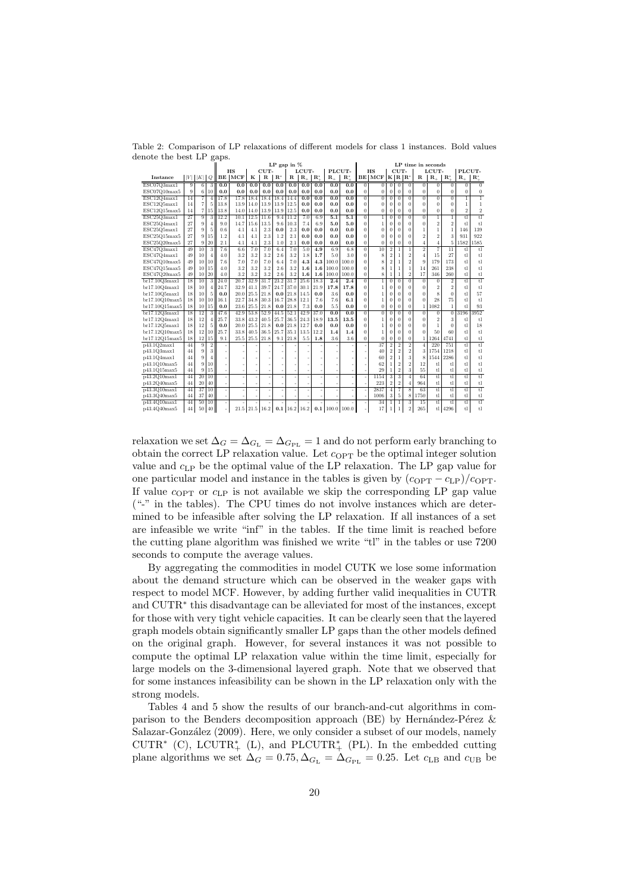|                | ~~                                                 |                 |                 | $\sigma$ <sup>w</sup> r $\sim$ |      |      |             | LP gap in $%$  |                 |                |                        |                  |                          |                |                 |                           |                           |                |                | LP time in seconds      |                        |                |                         |
|----------------|----------------------------------------------------|-----------------|-----------------|--------------------------------|------|------|-------------|----------------|-----------------|----------------|------------------------|------------------|--------------------------|----------------|-----------------|---------------------------|---------------------------|----------------|----------------|-------------------------|------------------------|----------------|-------------------------|
|                |                                                    |                 |                 |                                | HS   |      | CUT-        |                |                 | LCUT-          |                        | PLCUT-           |                          |                | HS              |                           | CUT-                      |                |                | LCUT-                   |                        | PLCUT-         |                         |
| Instance       | $\vert\vert V\vert\,\vert\,\vert K\vert\,\vert\,Q$ |                 |                 | BE                             | MCF  | к    | $\mathbf R$ | $\mathbf{R}^*$ | R               | $\mathbf{R}_+$ | $\mathbf{R}^*_{\perp}$ | $\mathbf{R}_{+}$ | $\mathbf{R}^*$           |                | <b>BE MCF</b>   |                           | $K\ R\ R^*$               |                | $\mathbf R$    | $\mathbf{R}_{+}$        | $\mathbf{R}^*_{\perp}$ | $\mathbf{R}_+$ | $\mathbf{R}^*_{+}$      |
| ESC07Q3max1    | 9                                                  | $\overline{6}$  | 3               | 0.0                            | 0.0  | 0.0  | 0.0         | 0.0            | 0.0             | 0.0            | 0.0                    | 0.0              | 0.0                      | $\overline{0}$ | $\overline{0}$  | $\overline{0}$            | $\overline{0}$            | $\overline{0}$ | $\overline{0}$ | $\overline{0}$          | $\overline{0}$         | $\overline{0}$ | $\overline{0}$          |
| ESC07Q10max5   | 9                                                  | 6               | 10              | 0.0                            | 0.0  | 0.0  | 0.0         | 0.0            | 0.0             | 0.0            | 0.0                    | 0.0              | 0.0                      | $\theta$       | $\overline{0}$  | $\overline{0}$            | $\overline{0}$            | $\overline{0}$ | $\overline{0}$ | $\overline{0}$          | $\Omega$               | $\theta$       | $\bf{0}$                |
| ESC12Q4max1    | 14                                                 | $\overline{7}$  | $\overline{4}$  | 17.8                           | 17.8 | 18.4 | 18.4        | 18.4           | 14.4            | 0.0            | 0.0                    | 0.0              | 0.0                      | $\overline{0}$ | $\overline{0}$  | $\overline{0}$            | $\overline{0}$            | $\overline{0}$ | $\overline{0}$ | $\overline{0}$          | $\overline{0}$         | $\overline{1}$ | $\overline{1}$          |
| ESC12Q5max1    | 14                                                 | $\overline{7}$  | 5               | 13.8                           | 13.9 | 14.0 | 13.9        | 13.9           | 12.5            | 0.0            | 0.0                    | 0.0              | 0.0                      | $\theta$       | $\Omega$        | $\Omega$                  | $\Omega$                  | $\theta$       | $\theta$       | $\Omega$                | $\Omega$               | $\overline{1}$ | $\mathbf{1}$            |
| ESC12Q15max5   | 14                                                 | $\overline{7}$  | 15              | 13.8                           | 14.0 | 14.0 | 13.9        | 13.9           | 12.5            | 0.0            | 0.0                    | 0.0              | 0.0                      | $\theta$       | $\overline{0}$  | $\bf{0}$                  | $\overline{0}$            | $\overline{0}$ | $\overline{0}$ | $\overline{0}$          | $\overline{0}$         | $\overline{2}$ | $\,2$                   |
| ESC25Q3max1    | 27                                                 | 9               | 3               | 12.2                           | 10.1 | 12.5 | 11.6        | 9.4            | 11.2            | 7.0            | 6.9                    | 5.1              | 5.1                      | $\overline{0}$ | $\mathbf{1}$    | $\Omega$                  | $\theta$                  | $\overline{0}$ | $\overline{0}$ | $\mathbf{1}$            | $\mathbf{1}$           | tl             | tl                      |
| ESC25Q4max1    | 27                                                 | 9               | $\overline{4}$  | 9.0                            | 14.7 | 15.6 | 13.5        | 9.6            | 10.3            | 7.4            | 6.9                    | 5.0              | 5.0                      | $\theta$       | 1               | $\Omega$                  | $\Omega$                  | $\theta$       | $\overline{0}$ | $\overline{2}$          | $\overline{2}$         | t              | t                       |
| ESC25Q5max1    | 27                                                 | 9               | 5               | 0.6                            | 4.1  | 4.1  | 2.3         | 0.0            | 2.3             | 0.0            | 0.0                    | 0.0              | 0.0                      | $\theta$       | $\overline{0}$  | $\bf{0}$                  | $\Omega$                  | $\Omega$       | $\mathbf{1}$   | $\mathbf{1}$            | $\mathbf{1}$           | 146            | 139                     |
| ESC25Q15max5   | 27                                                 | 9               | 15              | 1.2                            | 4.1  | 4.1  | 2.3         | 1.2            | 2.1             | 0.0            | 0.0                    | 0.0              | 0.0                      | 0              | $\Omega$        | $\theta$                  | $\theta$                  | $\theta$       | $\overline{2}$ | $\overline{2}$          | 3                      | 931            | 922                     |
| ESC25Q20max5   | 27                                                 | 9               | 20              | 2.1                            | 4.1  | 4.1  | 2.3         | 1.0            | 2.1             | 0.0            | 0.0                    | 0.0              | 0.0                      | 0              | $\overline{0}$  | $\bf{0}$                  | $\overline{0}$            | $\theta$       | $\overline{4}$ | $\overline{4}$          | 5                      | 1582           | 1585                    |
| ESC47Q3max1    | 49                                                 | $\overline{10}$ |                 | 7.6                            | 6.6  | 7.0  | 7.0         | 6.4            | 7.0             | 5.0            | 4.9                    | 6.9              | 6.8                      | $\overline{0}$ | $\overline{10}$ | $\overline{2}$            | $\overline{1}$            | ī              | $\overline{2}$ | 7                       | 11                     | tl             | $\overline{\mathbf{t}}$ |
| ESC47Q4max1    | 49                                                 | 10              | $\overline{4}$  | 4.0                            | 3.2  | 3.2  | 3.2         | 2.6            | 3.2             | 1.8            | 1.7                    | 5.0              | 3.0                      | $\theta$       | 8               | $\overline{2}$            | $\mathbf{1}$              | $\overline{2}$ | $\overline{4}$ | 15                      | 27                     | t1             | tl                      |
| ESC47Q10max5   | 49                                                 | 10              | 10              | 7.6                            | 7.0  | 7.0  | 7.0         | 6.4            | 7.0             | 4.3            | 4.3                    | 100.0            | 100.0                    | $\theta$       | 8               | $\,2$                     | $\mathbf{1}$              | $\overline{2}$ | 9              | 179                     | 173                    | $t$ l          | tl                      |
| ESC47Q15max5   | 49                                                 | 10              | 15              | 4.0                            | 3.2  | 3.2  | 3.2         | 2.6            | 3.2             | 1.6            | 1.6                    | 100.0            | 100.0                    | 0              | 8               | 1                         | 1                         | $\mathbf{1}$   | 14             | 261                     | 238                    | t1             | tl                      |
| ESC47Q20max5   | 49                                                 | 10              | 20              | 4.0                            | 3.2  | 3.2  | 3.2         | 2.6            | 3.2             | 1.6            | 1.6                    | 100.0            | 100.0                    | 0              | 8               | $\mathbf{1}$              | 1                         | $\overline{2}$ | 17             | 346                     | 260                    | tl             | tl                      |
| br17.10Q3max1  | $\overline{18}$                                    | $\overline{10}$ |                 | 24.0                           | 20.7 | 32.9 | 31.7        | 23.2           | 31.7            | 25.6           | 18.3                   | 2.4              | $\overline{2.4}$         | $\overline{0}$ | $\overline{1}$  | $\overline{0}$            | $\overline{0}$            | $\overline{0}$ | $\overline{0}$ | $\overline{0}$          | $\overline{2}$         | t              | $\overline{\mathbf{t}}$ |
| br17.10Q4max1  | 18                                                 | 10              | $\overline{4}$  | 24.7                           | 32.9 | 41.1 | 39.7        | 24.7           | 37.0            | 30.1           | 21.9                   | 17.8             | 17.8                     | 0              | 1               | $\Omega$                  | $\theta$                  | $\theta$       | $\overline{0}$ | $\overline{2}$          | $\overline{2}$         | t1             | tl                      |
| br17.10Q5max1  | 18                                                 | 10              | 5               | 0.0                            | 20.0 | 25.5 | 21.8        | 0.0            | 21.8            | 14.5           | 0.0                    | 3.6              | 0.0                      | $\theta$       | 1               | $\Omega$                  | $\Omega$                  | $\Omega$       | $\theta$       | $\overline{\mathbf{S}}$ | $\Omega$               | t1             | 57                      |
| br17.10Q10max5 | 18                                                 | 10              | 10              | 16.1                           | 22.7 | 34.8 | 30.3        | 16.7           | 28.8            | 12.1           | 7.6                    | 7.6              | 6.1                      | 0              | 1               | $\bf{0}$                  | $\theta$                  | $\overline{0}$ | $\theta$       | 28                      | 75                     | t1             | tl                      |
| br17.10Q15max5 | 18                                                 | 10              | 15              | 0.0                            | 23.6 |      | $25.5$ 21.8 | 0.0            | 21.8            | 7.3            | 0.0                    | 5.5              | 0.0                      | 0              | $\mathbf{0}$    | $\bf{0}$                  | $\overline{0}$            | $\theta$       | $\mathbf{1}$   | 1082                    | 1                      | t1             | 93                      |
| br17.12Q3max1  | 18                                                 | 12              | 3               | 47.6                           | 42.9 | 53.8 | 52.9        | 44.5           | 52.1            | 42.9           | 37.0                   | 0.0              | 0.0                      | $\theta$       | $\overline{0}$  | $\bf{0}$                  | $\theta$                  | $\Omega$       | $\overline{0}$ | $\theta$                | $\bf{0}$               | 3196           | 3952                    |
| br17.12Q4max1  | 18                                                 | 12              | $\overline{4}$  | 25.7                           | 33.8 | 43.2 | 40.5        | 25.7           | 36.5            | 24.3           | 18.9                   | 13.5             | 13.5                     | 0              | 1               | $\Omega$                  | $\Omega$                  | $\Omega$       | $\bf{0}$       | $\overline{2}$          | 3                      | tl             | tl                      |
| br17.12Q5max1  | 18                                                 | 12              | 5               | 0.0                            | 20.0 | 25.5 | 21.8        | 0.0            | 21.8            | 12.7           | 0.0                    | 0.0              | 0.0                      | $\theta$       | 1               | $\Omega$                  | $\theta$                  | $\Omega$       | $\theta$       | 1                       | 0                      | t.             | 18                      |
| br17.12O10max5 | 18                                                 | 12              | 10              | 25.7                           | 33.8 | 40.5 | 36.5        | 25.7           | 35.1            | 13.5           | 12.2                   | 1.4              | 1.4                      |                | 1               | $\theta$                  | $\theta$                  | $\theta$       | $\theta$       | 50                      | 60                     | tl             | tl                      |
| br17.12O15max5 | 18                                                 | 12              | 15              | 9.1                            | 25.5 | 25.5 | 21.8        | 9.1            | 21.8            | 5.5            | 1.8                    | 3.6              | 3.6                      | 0              | $\overline{0}$  | $\bf{0}$                  | $\overline{0}$            | $\Omega$       | $\mathbf{1}$   | 1264                    | 4741                   | t1             | tl                      |
| p43.1Q2max1    | 44                                                 | 9               | $\overline{2}$  |                                |      |      |             |                |                 |                |                        |                  |                          |                | 37              | $\overline{2}$            | $\overline{2}$            | $\overline{2}$ | $\overline{4}$ | 220                     | 751                    | tl             | tl                      |
| p43.1Q3max1    | 44                                                 | 9               | 3               |                                |      |      |             |                |                 |                |                        |                  |                          |                | 40              | $\overline{2}$            | $\overline{2}$            | $\overline{2}$ | 3              | 1754                    | 1218                   | tl             | tl                      |
| p43.1O4max1    | 44                                                 | 9               | $\overline{4}$  |                                |      |      |             |                |                 |                |                        |                  |                          |                | 60              | $\overline{2}$            | $\mathbf{1}$              | 3              | 8              | 1544                    | 2286                   | t1             | t1                      |
| p43.1Q10max5   | 44                                                 | 9               | 10              |                                |      |      |             |                |                 |                |                        |                  |                          |                | 62              |                           | $\overline{2}$            | $\overline{2}$ | 12             | tl                      | tl                     | tl             | tl                      |
| p43.1Q15max5   | 44                                                 | 9               | 15              |                                |      |      |             |                |                 |                |                        |                  |                          |                | 29              | $\mathbf{1}$              | $\overline{2}$            | 3              | 55             | tl                      | tl                     | tl             | tl                      |
| p43.2Q10max1   | 44                                                 | $\overline{20}$ | $\overline{10}$ |                                | ×,   |      |             |                |                 | ×,             |                        |                  |                          |                | 1154            | $\overline{\overline{3}}$ | $\overline{\overline{3}}$ | $\overline{4}$ | 64             | τĪ                      | t                      | tl             | t                       |
| p43.2Q40max5   | 44                                                 | 20              | 40              |                                |      |      |             |                |                 |                |                        |                  | $\overline{\phantom{a}}$ |                | 223             | $\overline{2}$            | $\overline{2}$            | $\overline{4}$ | 964            | tl                      | tl                     | tl             | tl                      |
| p43.3Q10max1   | 44                                                 | 37              | 10              |                                | i.   |      |             |                |                 |                |                        |                  |                          |                | 2837            | $\overline{4}$            | $\overline{7}$            | $\overline{8}$ | 63             | t                       | t                      | t1             | $\overline{\mathbf{t}}$ |
| p43.3Q40max5   | 44                                                 | 37              | 40              |                                |      |      |             |                |                 |                |                        |                  |                          |                | 1006            | 3                         | $\overline{5}$            | 8              | 1750           | tl                      | tl                     | tl             | tl                      |
| p43.4Q10max1   | 44                                                 | 50              | 10              |                                |      |      |             |                |                 |                |                        |                  |                          |                | 34              | $\mathbf{1}$              | $\overline{1}$            | 3              | 15             | tl                      | t                      | t              | t                       |
| p43.4Q40max5   | 44                                                 | 50              | 40              |                                | 21.5 |      | $21.5$ 16.2 |                | $0.1$ 16.2 16.2 |                |                        |                  | $0.1$ 100.0 100.0        |                | 17              | $\mathbf{1}$              | $\mathbf{1}$              | $\overline{2}$ | 265            | tl I                    | 4296                   | tl             | t                       |

Table 2: Comparison of LP relaxations of different models for class 1 instances. Bold values denote the best LP gaps.

relaxation we set  $\Delta_G = \Delta_{G_{\text{PL}}} = \Delta_{G_{\text{PL}}} = 1$  and do not perform early branching to obtain the correct LP relaxation value. Let  $c_{\text{OPT}}$  be the optimal integer solution value and  $c_{\text{LP}}$  be the optimal value of the LP relaxation. The LP gap value for one particular model and instance in the tables is given by  $(c_{\text{OPT}} - c_{\text{LP}})/c_{\text{OPT}}$ . If value  $c_{\text{OPT}}$  or  $c_{\text{LP}}$  is not available we skip the corresponding LP gap value ("-" in the tables). The CPU times do not involve instances which are determined to be infeasible after solving the LP relaxation. If all instances of a set are infeasible we write "inf" in the tables. If the time limit is reached before the cutting plane algorithm was finished we write "tl" in the tables or use 7200 seconds to compute the average values.

By aggregating the commodities in model CUTK we lose some information about the demand structure which can be observed in the weaker gaps with respect to model MCF. However, by adding further valid inequalities in CUTR and CUTR<sup>∗</sup> this disadvantage can be alleviated for most of the instances, except for those with very tight vehicle capacities. It can be clearly seen that the layered graph models obtain significantly smaller LP gaps than the other models defined on the original graph. However, for several instances it was not possible to compute the optimal LP relaxation value within the time limit, especially for large models on the 3-dimensional layered graph. Note that we observed that for some instances infeasibility can be shown in the LP relaxation only with the strong models.

Tables 4 and 5 show the results of our branch-and-cut algorithms in comparison to the Benders decomposition approach (BE) by Hernández-Pérez  $\&$ Salazar-González (2009). Here, we only consider a subset of our models, namely CUTR<sup>\*</sup> (C), LCUTR<sup>\*</sup><sub>+</sub> (L), and PLCUTR<sup>\*</sup><sub>+</sub> (PL). In the embedded cutting plane algorithms we set  $\Delta_G = 0.75, \Delta_{G_{\rm L}} = \Delta_{G_{\rm PL}} = 0.25$ . Let  $c_{\rm LB}$  and  $c_{\rm UB}$  be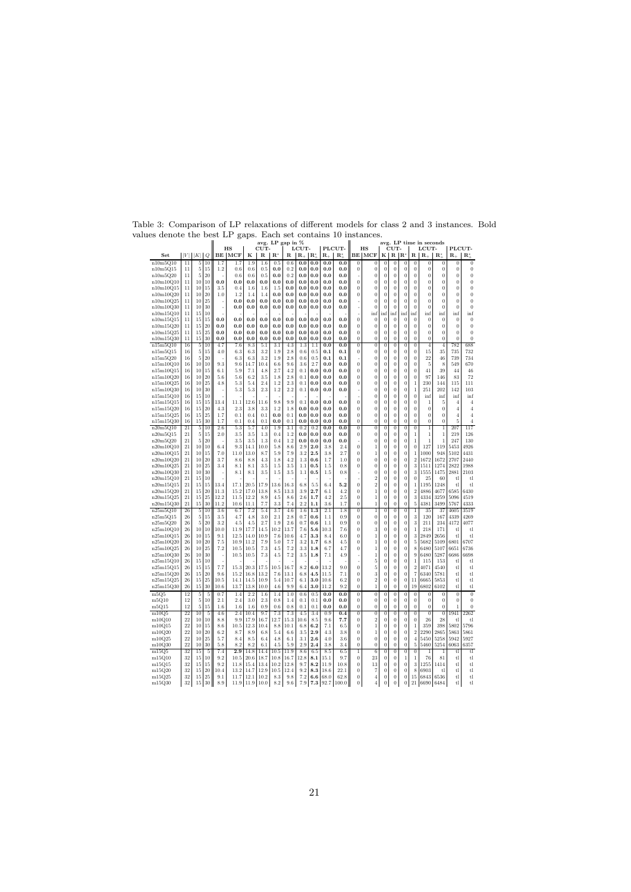| values denote the best LP gaps. Each set contains 10 instances. |          |                |                |              |                       |              |                     |                 |                  |                           |            |                      |                              |                                      |                                    |                                    |                            |                                    |                                  |                            |                     |                            |                      |
|-----------------------------------------------------------------|----------|----------------|----------------|--------------|-----------------------|--------------|---------------------|-----------------|------------------|---------------------------|------------|----------------------|------------------------------|--------------------------------------|------------------------------------|------------------------------------|----------------------------|------------------------------------|----------------------------------|----------------------------|---------------------|----------------------------|----------------------|
|                                                                 |          |                |                |              |                       |              |                     |                 | avg. LP gap in % |                           |            |                      |                              |                                      |                                    |                                    |                            |                                    |                                  | avg. LP time in seconds    |                     |                            |                      |
| Set                                                             | V        | K              | Q              |              | HS<br><b>BE   MCF</b> | к            | CUT-<br>$\mathbf R$ | $\mathbf{R}^*$  | R.               | LCUT-<br>$\mathbf{R}_{+}$ | IR.        | $R_{\perp}$          | PLCUT-<br>$\mathbf{R}^*_{+}$ |                                      | HS<br><b>BE MCF</b>                | к                                  | CUT-<br>R <sub>1</sub>     | $\mathbf{R}^*$                     | R.                               | LCUT-<br>$R_{+}$           | $\mathbf{R}^*$      | PLCUT-<br>$R_{-}$          | $\mathbf{R}^*$       |
| n10m5Q10                                                        | 11       | 5              | 10             | 1.7          | 1.7                   | 1.9          | 1.6                 | 0.5             | 0.6              | 0.0                       | 0.0        | 0.0                  | 0.0                          | $\overline{0}$                       | $\boldsymbol{0}$                   | $\overline{0}$                     | $\overline{0}$             | 0                                  | $\overline{0}$                   | $\overline{0}$             | $\bf{0}$            | $\overline{0}$             | $\overline{0}$       |
| $n10m5Q15$                                                      | 11       | 5              | 15             | 1.2          | 0.6                   | 0.6          | 0.5                 | $_{0.0}$        | 0.2              | 0.0                       | 0.0        | $_{0.0}$             | 0.0                          | $\boldsymbol{0}$                     | 0                                  | $\boldsymbol{0}$                   | $\bf{0}$                   | $\Omega$                           | $\boldsymbol{0}$                 | $\bf{0}$                   | $\bf{0}$            | $\Omega$                   | $\boldsymbol{0}$     |
| n10m5Q20                                                        | 11       | 5              | 20             |              | 0.6                   | $0.6\,$      | 0.5                 | 0.0             | 0.2              | $_{0.0}$                  | $_{0.0}$   | $_{0.0}$             | 0.0                          |                                      | 0                                  | $\boldsymbol{0}$                   | 0                          | 0                                  | $\boldsymbol{0}$                 | 0                          | 0                   | $\theta$                   | $\bf{0}$             |
| n10m10Q10                                                       | 11       | 10             | 10             | 0.0          | $_{0.0}$              | 0.0          | $_{0.0}$            | 0.0             | 0.0              | 0.0                       | 0.0        | $_{0.0}$             | 0.0                          | $\bf{0}$                             | 0                                  | $\bf{0}$                           | 0                          | 0                                  | 0                                | $\bf{0}$                   | 0                   | $\bf{0}$                   | $\bf{0}$             |
| n10m10Q15                                                       | 11       | 10             | 15             | 3.5          | 0.4                   | 1.6          | 1.6                 | 1.5             | 0.0              | 0.0                       | 0.0        | 0.0                  | 0.0                          | $\bf{0}$                             | $\boldsymbol{0}$                   | $\boldsymbol{0}$                   | $\bf{0}$                   | $\bf{0}$                           | $\bf{0}$                         | $\bf{0}$                   | 0                   | $\bf{0}$                   | $\bf{0}$             |
| n10m10Q20                                                       | 11       | 10             | 20             | 1.0          | 1.2                   | 1.4          | 1.4                 | 0.0             | 0.0              | 0.0                       | 0.0        | 0.0                  | 0.0                          | $\bf{0}$                             | $\bf{0}$                           | $\boldsymbol{0}$                   | $\bf{0}$                   | $\Omega$                           | $\bf{0}$                         | $\overline{0}$             | $\boldsymbol{0}$    | $\bf{0}$                   | $\boldsymbol{0}$     |
| n10m10Q25                                                       | 11       | 10             | 25             |              | 0.0                   | 0.0          | 0.0                 | 0.0             | 0.0              | 0.0                       | 0.0        | 0.0                  | 0.0                          |                                      | $\overline{0}$                     | $\Omega$                           | $\overline{0}$             | $\overline{0}$                     | $\overline{0}$                   | $\overline{0}$             | $\overline{0}$      | $\theta$                   | $\theta$             |
| n10m10Q30                                                       | 11       | 10             | 30             | J.           | $_{0.0}$              | 0.0          | 0.0                 | 0.0             | 0.0              | 0.0                       | 0.0        | 0.0                  | 0.0                          |                                      | $\overline{0}$                     | $\overline{0}$                     | $\overline{0}$             | $\overline{0}$                     | $\overline{0}$                   | $\overline{0}$             | $\Omega$            | $\Omega$                   | $\overline{0}$       |
| n10m15Q10                                                       | 11       | 15             | 10             |              |                       |              |                     |                 |                  |                           |            |                      |                              |                                      | inf                                | inf                                | inf                        | inf                                | inf                              | inf                        | inf                 | inf                        | inf                  |
| n10m15Q15                                                       | 11       | 15             | 15             | 0.0          | 0.0                   | 0.0          | 0.0                 | 0.0             | 0.0              | 0.0                       | 0.0        | $_{0.0}$             | 0.0                          | $\bf{0}$                             | $\boldsymbol{0}$                   | $\boldsymbol{0}$                   | $\bf{0}$                   | $\boldsymbol{0}$                   | $\boldsymbol{0}$                 | $\bf{0}$                   | $\bf{0}$            | $\boldsymbol{0}$           | $\bf{0}$             |
| n10m15Q20                                                       | 11       | 15<br>15       | 20<br>25       | 0.0<br>0.0   | $_{0.0}$<br>0.0       | 0.0<br>0.0   | $_{0.0}$<br>0.0     | 0.0<br>0.0      | 0.0<br>0.0       | 0.0<br>0.0                | 0.0<br>0.0 | $_{0.0}$<br>0.0      | 0.0<br>0.0                   | $\bf{0}$<br>$\overline{0}$           | $\boldsymbol{0}$<br>$\overline{0}$ | $\boldsymbol{0}$<br>$\overline{0}$ | $\bf{0}$<br>$\overline{0}$ | $\overline{0}$<br>$\overline{0}$   | $\bf{0}$<br>$\overline{0}$       | $\bf{0}$<br>$\overline{0}$ | 0<br>$\overline{0}$ | $\Omega$<br>$\overline{0}$ | $\bf{0}$<br>$\theta$ |
| n10m15Q25<br>n10m15Q30                                          | 11<br>11 | 15             | 30             | 0.0          | $_{0.0}$              | 0.0          | 0.0                 | 0.0             | 0.0              | 0.0                       | 0.0        | 0.0                  | 0.0                          | 0                                    | 0                                  | $\boldsymbol{0}$                   | $\boldsymbol{0}$           | $\overline{0}$                     | $\overline{0}$                   | $\boldsymbol{0}$           | $\overline{0}$      | $\theta$                   | $\bf{0}$             |
| n15m5Q10                                                        | 16       | $\overline{5}$ | 10             | 4.7          | 7.6                   | 8.3          | 5.1                 | 3.1             | 4.3              | 1.3                       | 1.1        | 0.0                  | 0.0                          | $\overline{0}$                       | $\overline{0}$                     | $\overline{0}$                     | $\overline{0}$             | $\overline{0}$                     | $\overline{0}$                   | $\overline{4}$             | $\overline{4}$      | 782                        | 688                  |
| n15m5Q15                                                        | 16       | 5              | 15             | 4.0          | 6.3                   | 6.3          | 3.2                 | 1.9             | 2.8              | 0.6                       | $_{0.5}$   | 0.1                  | 0.1                          | 0                                    | 0                                  | $\bf{0}$                           | 0                          | 0                                  | 0                                | 15                         | 35                  | 735                        | 732                  |
| n15m5Q20                                                        | 16       | 5              | 20             |              | 6.3                   | 6.3          | 3.2                 | 1.9             | 2.8              | 0.6                       | 0.5        | 0.1                  | 0.1                          |                                      | $\Omega$                           | $\Omega$                           | $\bf{0}$                   | $\overline{0}$                     | $\overline{0}$                   | 22                         | 46                  | 739                        | 734                  |
| n15m10Q10                                                       | 16       | 10             | 10             | 9.3          | 9.6                   | 14.7         | 10.4                | 6.6             | 9.6              | 3.6                       | 2.7        | 0.0                  | 0.0                          | $\bf{0}$                             | $\bf{0}$                           | $\boldsymbol{0}$                   | $\bf{0}$                   | $\bf{0}$                           | $\bf{0}$                         | 5                          | 8                   | 549                        | 670                  |
| n15m10Q15                                                       | 16       | 10             | 15             | 6.1          | 5.9                   | 7.1          | 4.8                 | 2.7             | 4.2              | 0.1                       | 0.0        | 0.0                  | 0.0                          | $\Omega$                             | $\bf{0}$                           | $\boldsymbol{0}$                   | $\overline{0}$             | $\overline{0}$                     | $\overline{0}$                   | 41                         | 39                  | 44                         | 46                   |
| n15m10Q20                                                       | 16       | 10             | 20             | 5.6          | 5.6                   | 6.2          | 3.5                 | 1.8             | 2.8              | 0.1                       | 0.0        | $_{0.0}$             | 0.0                          | $\bf{0}$                             | 0                                  | $\boldsymbol{0}$                   | $\bf{0}$                   | 0                                  | $\bf{0}$                         | 97                         | 146                 | 83                         | 72                   |
| n15m10Q25                                                       | 16       | 10             | 25             | 4.8          | 5.3                   | 5.4          | 2.4                 | 1.2             | 2.3              | 0.1                       | 0.0        | $_{0.0}$             | 0.0                          | $\bf{0}$                             | $\boldsymbol{0}$                   | $\boldsymbol{0}$                   | $\bf{0}$                   | 0                                  | 1                                | 230                        | 144                 | 115                        | 111                  |
| n15m10Q30                                                       | 16       | 10             | 30             |              | 5.3                   | 5.3          | 2.3                 | 1.2             | 2.2              | 0.1                       | 0.0        | 0.0                  | 0.0                          |                                      | $\boldsymbol{0}$                   | $\bf{0}$                           | $\bf{0}$                   | 0                                  | $\mathbf{1}$                     | 251                        | 202                 | 142                        | 103                  |
| n15m15Q10                                                       | 16       | 15             | 10             |              |                       |              |                     |                 |                  |                           |            |                      |                              |                                      | $\boldsymbol{0}$                   | $\boldsymbol{0}$                   | $\bf{0}$                   | 0                                  | $\boldsymbol{0}$                 | inf                        | inf                 | inf                        | inf                  |
| n15m15Q15                                                       | 16       | 15             | 15             | 13.4         | 11.1                  | 12.6         | 11.6                | 9.8             | 9.9              | 0.1                       | 0.0        | 0.0                  | 0.0                          | $\overline{0}$                       | $\boldsymbol{0}$                   | $\bf{0}$                           | $\overline{0}$             | $\overline{0}$                     | $\overline{0}$                   | 1                          | 5                   | $\overline{4}$             | $\overline{4}$       |
| n15m15Q20                                                       | 16       | 15             | 20             | 4.3          | 2.3                   | 3.8          | 3.3                 | 1.2             | 1.8              | 0.0                       | 0.0        | $_{0.0}$             | 0.0                          | $\bf{0}$                             | $\boldsymbol{0}$                   | $\boldsymbol{0}$                   | $\bf{0}$                   | $\overline{0}$                     | $\bf{0}$                         | $\bf{0}$                   | $\bf{0}$            | $\overline{4}$             | $\overline{4}$       |
| n15m15Q25                                                       | 16       | 15             | 25             | 1.7          | 0.1                   | 0.4          | 0.1                 | 0.0             | 0.1              | 0.0                       | 0.0        | 0.0                  | 0.0                          | $\bf{0}$                             | 0                                  | $\boldsymbol{0}$                   | $\boldsymbol{0}$           | $\overline{0}$                     | $\overline{0}$                   | $\overline{0}$<br>$\bf{0}$ | $\bf{0}$            | $\overline{4}$             | $\overline{4}$       |
| n15m15Q30<br>n20m5Q10                                           | 16<br>21 | 15<br>5        | 30<br>10       | 1.7<br>2.6   | 0.1<br>5.3            | 0.4<br>5.7   | 0.1<br>4.0          | $_{0.0}$<br>1.9 | 0.1<br>3.1       | 0.0<br>0.2                | 0.0<br>0.2 | $_{0.0}$<br>$_{0.0}$ | 0.0<br>0.0                   | 0<br>$\overline{0}$                  | 0<br>$\overline{0}$                | 0<br>0                             | 0<br>$\overline{0}$        | 0<br>$\overline{0}$                | 0<br>$\overline{0}$              | $\overline{1}$             | 0<br>$\overline{1}$ | 5<br>207                   | 4<br>117             |
| n20m5Q15                                                        | 21       | 5              | 15             | 2.0          | 3.5                   | 3.5          | 1.3                 | 0.4             | 1.2              | 0.0                       | 0.0        | 0.0                  | 0.0                          | $\boldsymbol{0}$                     | $\boldsymbol{0}$                   | $\boldsymbol{0}$                   | $\bf{0}$                   | 0                                  | $\,1$                            | $\,1\,$                    | $\mathbf{1}$        | 219                        | 126                  |
| n20m5Q20                                                        | 21       | 5              | 20             |              | 3.5                   | 3.5          | $1.3\,$             | 0.4             | 1.2              | 0.0                       | 0.0        | $_{0.0}$             | 0.0                          |                                      | $\boldsymbol{0}$                   | $\boldsymbol{0}$                   | $\bf{0}$                   | $\Omega$                           | 1                                | 1                          | 1                   | 247                        | 130                  |
| n20m10Q10                                                       | 21       | 10             | 10             | 6.4          | 9.3                   | 14.1         | 10.0                | 5.8             | 8.6              | 2.9                       | 2.0        | 3.8                  | 2.4                          | $\bf{0}$                             | 1                                  | $\bf{0}$                           | $\bf{0}$                   | 0                                  | $\bf{0}$                         | 127                        | 119                 | 5453                       | 4926                 |
| n20m10Q15                                                       | 21       | 10             | 15             | 7.0          | 11.0                  | 13.0         | 8.7                 | 5.9             | 7.9              | 3.2                       | 2.5        | 3.8                  | 2.7                          | $\Omega$                             | 1                                  | $\bf{0}$                           | $\bf{0}$                   | 0                                  | 1                                | 1000                       | 948                 | 5102                       | 4431                 |
| n20m10Q20                                                       | 21       | 10             | 20             | 3.7          | 8.6                   | 8.8          | 4.3                 | 1.8             | 4.2              | 1.3                       | 0.6        | 1.7                  | 1.0                          | $\bf{0}$                             | $\boldsymbol{0}$                   | $\bf{0}$                           | $\bf{0}$                   | 0                                  | $\overline{2}$                   | 1672                       | 1672                | 2707                       | 2440                 |
| n20m10Q25                                                       | 21       | 10             | 25             | 3.4          | 8.1                   | 8.1          | 3.5                 | 1.5             | 3.5              | 1.1                       | 0.5        | 1.5                  | 0.8                          | $\bf{0}$                             | $\boldsymbol{0}$                   | $\boldsymbol{0}$                   | $\overline{0}$             | 0                                  | 3                                | 1511                       | 1274                | 2822                       | 1988                 |
| n20m10Q30                                                       | 21       | 10             | 30             |              | 8.1                   | 8.1          | 3.5                 | 1.5             | 3.5              | 1.1                       | 0.5        | 1.5                  | 0.8                          |                                      | $\boldsymbol{0}$                   | $\boldsymbol{0}$                   | $\overline{0}$             | $\overline{0}$                     | 3                                | 1555                       | 1475                | 2881                       | 2103                 |
| n20m15Q10                                                       | 21       | 15             | 10             |              |                       |              |                     |                 |                  |                           |            |                      |                              |                                      | $\overline{2}$                     | $\boldsymbol{0}$                   | $\bf{0}$                   | $\overline{0}$                     | $\bf{0}$                         | 25                         | 60                  | tl                         | tl                   |
| n20m15Q15                                                       | 21       | 15             | 15             | 13.4         | 17.1                  | 20.5         | 17.9                | 13.6            | 16.3             | 6.8                       | 5.5        | 6.4                  | 5.2                          | $\bf{0}$                             | $\,2$                              | $\boldsymbol{0}$                   | $\boldsymbol{0}$           | 0                                  | $\mathbf{1}$                     | 1195                       | 1248                | tl                         | tl                   |
| n20m15Q20                                                       | 21<br>21 | 15<br>15       | 20<br>25       | 11.3<br>12.2 | 15.2<br>11.5          | 17.0<br>12.2 | 13.8                | 8.5             | 13.3             | 3.9<br>2.6                | 2.7<br>1.7 | 6.1<br>4.2           | 4.2<br>2.5                   | $\bf{0}$<br>$\overline{0}$           | $\,1$<br>$\,1$                     | $\boldsymbol{0}$                   | $\bf{0}$<br>$\bf{0}$       | $\boldsymbol{0}$<br>$\overline{0}$ | $\overline{2}$<br>3              | 4886<br>4334               | 4677                | 6585<br>5096               | 6430<br>4519         |
| n20m15Q25<br>n20m15Q30                                          | 21       | 15             | 30             | 11.2         | 10.6                  | 11.1         | 8.9<br>7.7          | 4.5<br>3.3      | 8.6<br>7.4       | 2.2                       | 1.1        | 3.6                  | 1.7                          | $\overline{0}$                       | $\mathbf{1}$                       | $\bf{0}$<br>$\overline{0}$         | $\overline{0}$             | $\overline{0}$                     | 5                                | 4381                       | 3259<br>3499        | 5767                       | 4333                 |
| n25m5Q10                                                        | 26       | $\overline{5}$ | 10             | 3.6          | 6.7                   | 7.2          | 5.4                 | 3.7             | 4.6              | 1.6                       | 1.3        | 2.1                  | 1.8                          | $\overline{0}$                       | $\mathbf{1}$                       | $\overline{0}$                     | $\overline{0}$             | $\overline{0}$                     | $\overline{1}$                   | 35                         | 37                  | 4605                       | 3519                 |
| n25m5Q15                                                        | 26       | $\,$ 5         | 15             | 3.5          | 4.7                   | 4.8          | 3.0                 | 2.1             | 2.8              | 0.7                       | 0.6        | 1.1                  | 0.9                          | $\bf{0}$                             | $\boldsymbol{0}$                   | $\boldsymbol{0}$                   | $\overline{0}$             | $\overline{0}$                     | $\sqrt{3}$                       | 120                        | 167                 | 4339                       | 4269                 |
| n25m5Q20                                                        | 26       | 5              | 20             | 3.2          | 4.5                   | 4.5          | 2.7                 | 1.9             | 2.6              | 0.7                       | $_{0.6}$   | 1.1                  | $_{0.9}$                     | $\bf{0}$                             | 0                                  | $\bf{0}$                           | $\bf{0}$                   | 0                                  | 3                                | 211                        | 234                 | 4172                       | 4077                 |
| n25m10Q10                                                       | 26       | 10             | 10             | 10.0         | 11.9                  | 17.7         | 14.5                | 10.2            | 13.7             | 7.6                       | 5.6        | 10.3                 | 7.6                          | $\overline{0}$                       | 3                                  | $\boldsymbol{0}$                   | $\bf{0}$                   | $\overline{0}$                     | $\mathbf{1}$                     | 218                        | 171                 | tl                         | tl                   |
| n25m10Q15                                                       | 26       | 10             | 15             | 9.1          | 12.5                  | 14.0         | 10.9                | 7.6             | 10.6             | 4.7                       | 3.3        | 8.4                  | 6.0                          | $\bf{0}$                             | $\,1$                              | $\boldsymbol{0}$                   | $\overline{0}$             | $\bf{0}$                           | 3                                | 2849                       | 2656                | tl                         | tl                   |
| n25m10Q20                                                       | 26       | 10             | 20             | 7.5          | 10.9                  | 11.2         | 7.9                 | 5.0             | 7.7              | 3.2                       | 1.7        | 6.8                  | 4.5                          | $\boldsymbol{0}$                     | $\,1$                              | $\boldsymbol{0}$                   | $\bf{0}$                   | 0                                  | 5                                | 5682                       | 5109                | 6801                       | 6707                 |
| n25m10Q25                                                       | 26       | 10             | 25             | 7.2          | 10.5                  | 10.5         | 7.3                 | 4.5             | 7.2              | 3.3                       | 1.8        | 6.7                  | 4.7                          | $\boldsymbol{0}$                     | 1                                  | $\bf{0}$                           | $\bf{0}$                   | 0                                  | 8                                | 6480                       | 5107                | 6651                       | 6736                 |
| n25m10Q30                                                       | 26       | 10             | 30             |              | 10.5                  | 10.5         | 7.3                 | 4.5             | 7.2              | 3.5                       | 1.8        | 7.1                  | 4.9                          |                                      | 1                                  | $\bf{0}$                           | $\bf{0}$                   | 0                                  | 9                                | 6480                       | 5287                | 6686                       | 6698                 |
| n25m15Q10                                                       | 26       | 15             | 10             |              |                       |              |                     |                 |                  |                           |            |                      |                              |                                      | 5                                  | $\bf{0}$                           | $\bf{0}$                   | 0                                  | $\mathbf{1}$                     | 115                        | 153                 | tl                         | tl                   |
| n25m15Q15                                                       | 26<br>26 | 15<br>15       | 15<br>20       | 7.7<br>9.6   | 15.3<br>15.2          | 20.3<br>16.8 | 17.5<br>13.2        | 10.5<br>7.6     | 16.7<br>13.1     | 8.2<br>6.8                | 6.0<br>4.5 | 13.2<br>11.5         | 9.0<br>7.1                   | $\boldsymbol{0}$<br>$\overline{0}$   | 5<br>3                             | $\Omega$<br>$\overline{0}$         | $\bf{0}$<br>$\overline{0}$ | 0<br>$\overline{0}$                | $\overline{2}$<br>$\overline{7}$ | 4071<br>6340               | 4540<br>5781        | tl<br>tl                   | tl<br>tl             |
| n25m15Q20<br>n25m15Q25                                          | 26       | 15             | 25             | 10.5         | 14.1                  | 14.5         | 10.9                | 5.4             | 10.7             | 6.1                       | 3.0        | 10.6                 | 6.2                          | $\bf{0}$                             | $\overline{2}$                     | $\boldsymbol{0}$                   | $\bf{0}$                   | 0                                  | 11                               | 6665                       | 5853                | tl                         | tl                   |
| n25m15Q30                                                       | 26       | 15             | 30             | 10.6         | 13.7                  | 13.8         | 10.0                | 4.6             | 9.9              | 6.4                       | 3.0        | 11.2                 | 9.2                          | $\overline{0}$                       | $\mathbf{1}$                       | $\overline{0}$                     | $\overline{0}$             | $\overline{0}$                     | 19                               | 6802                       | 6102                | $t$ l                      | $t$ l                |
| m5Q5                                                            | 12       | 5              | 5              | 0.7          | 1.4                   | 2.2          | 1.6                 | 1.4             | 1.0              | 0.6                       | 0.5        | 0.0                  | 0.0                          | $\overline{0}$                       | $\overline{0}$                     | $\boldsymbol{0}$                   | $\overline{0}$             | $\overline{0}$                     | $\boldsymbol{0}$                 | 0                          | $\bf{0}$            | $\boldsymbol{0}$           | $\overline{0}$       |
| m5Q10                                                           | 12       | $\overline{5}$ | 10             | 2.1          | 2.4                   | 3.0          | $2.3\,$             | 0.8             | 1.4              | $_{0.1}$                  | $_{0.1}$   | $_{0.0}$             | 0.0                          | 0                                    | 0                                  | $\bf{0}$                           | $\bf{0}$                   | $\boldsymbol{0}$                   | $\boldsymbol{0}$                 | $\Omega$                   | $\Omega$            | $\bf{0}$                   | $\bf{0}$             |
| m5Q15                                                           | 12       | 5              | 15             | 1.6          | 1.6                   | 1.6          | 0.9                 | 0.6             | 0.8              | 0.1                       | 0.1        | $_{0.0}$             | 0.0                          | $\boldsymbol{0}$                     | $\boldsymbol{0}$                   | $\boldsymbol{0}$                   | $\boldsymbol{0}$           | $\boldsymbol{0}$                   | $\boldsymbol{0}$                 | $\overline{0}$             | $\bf{0}$            | 1                          | $\bf{0}$             |
| m10Q5                                                           | 22       | 10             | 5              | 4.6          | 2.4                   | 10.4         | 9.7                 | 7.3             | 7.3              | 4.5                       | 3.4        | 0.9                  | 0.4                          | $\overline{0}$                       | $\bf{0}$                           | $\bf{0}$                           | $\overline{0}$             | $\overline{0}$                     | $\overline{0}$                   | $\overline{0}$             | $\theta$            | 1941                       | 2262                 |
| m10Q10                                                          | 22       | 10             | 10             | 8.8          | 9.9                   | 17.9         | 16.7                | 12.7            | 15.3             | 10.6                      | 8.5        | 9.6                  | 7.7                          | $\bf{0}$                             | $\overline{2}$                     | $\boldsymbol{0}$                   | $\overline{0}$             | $\overline{0}$                     | $\boldsymbol{0}$                 | 26                         | 28                  | tl                         | $t$ l                |
| m10Q15                                                          | 22       | 10             | 15             | 8.6          | 10.5                  | 12.3         | 10.4                | 8.8             | 10.1             | 6.8                       | 6.2        | 7.1                  | 6.5                          | $\Omega$                             | 1                                  | $\bf{0}$                           | $\overline{0}$             | $\boldsymbol{0}$                   | $\mathbf{1}$                     | 359                        | 398                 | 5802                       | 5796                 |
| m10Q20                                                          | 22       | 10             | 20             | 6.2          | 8.7                   | 8.9          | 6.8                 | 5.4             | 6.6              | 3.5                       | 2.9        | 4.3                  | 3.8                          | $\theta$                             | 1                                  | $\boldsymbol{0}$                   | $\bf{0}$                   | $\boldsymbol{0}$                   | $\,2\,$                          | 2290                       | 2865                | 5863                       | 5861                 |
| m10Q25                                                          | 22       | 10             | 25             | 5.7          | 8.4                   | 8.5          | 6.4                 | 4.8             | 6.1              | 3.1                       | 2.6        | 4.0                  | 3.6                          | $\bf{0}$                             | $\boldsymbol{0}$                   | $\boldsymbol{0}$                   | $\overline{0}$             | 0                                  | $\overline{4}$                   | 5450                       | 5258                | 5942                       | 5927                 |
| m10Q30                                                          | 22       | 10             | 30             | 5.8          | 8.2                   | 8.2          | 6.1                 | 4.5             | 5.9              | 2.9                       | 2.4        | 3.8                  | 3.4                          | $\bf{0}$                             | $\boldsymbol{0}$                   | $\boldsymbol{0}$                   | $\bf{0}$                   | 0                                  | 5                                | 5460                       | 5254                | 6063                       | 6357                 |
| m15Q5                                                           | 32       | 15             | $\overline{5}$ | 7.4          | 2.9                   | 14.8         | 14.4                | 10.5            | 11.9             | 8.6                       | 6.5        | 8.5                  | 6.5                          | $\overline{1}$                       | $\overline{6}$                     | $\overline{0}$                     | $\overline{0}$             | $\overline{0}$                     | $\overline{0}$                   | 1                          | 1                   | t.                         | tl                   |
| m15Q10                                                          | 32       | 15             | 10             | 9.2          | $10.5\,$              | $20.6\,$     | 18.7                | 10.8            | 16.7             | 12.8                      | 8.1        | 15.1                 | 9.7                          | $\boldsymbol{0}$<br>$\boldsymbol{0}$ | 23                                 | $\boldsymbol{0}$                   | 0                          | 1<br>0                             | $1\,$                            | 76                         | 81                  | tl                         | tl                   |
| m15Q15<br>m15Q20                                                | 32<br>32 | 15<br>15       | 15<br>20       | 9.2<br>10.4  | 11.8<br>13.2          | 15.4<br>14.7 | 13.4<br>12.9        | 10.2<br>10.5    | 12.8<br>12.4     | 9.7<br>9.2                | 8.2<br>8.3 | 11.9<br>18.6         | 10.8<br>22.1                 | 0                                    | 13<br>7                            | $\boldsymbol{0}$<br>$\bf{0}$       | 0<br>0                     | 0                                  | $\boldsymbol{3}$<br>8            | 1255<br>6903               | 1414<br>tl          | tl<br>tl                   | tl<br>tl             |
| m15Q25                                                          | 32       | 15             | 25             | 9.1          | 11.7                  | 12.1         | 10.2                | 8.3             | 9.8              | 7.2                       | 6.6        | 68.0                 | 62.8                         | $\overline{0}$                       | $\overline{4}$                     | $\bf{0}$                           | $\overline{0}$             | $\mathbf{0}$                       | 15                               | 6843                       | 6536                | tl                         | tl                   |
| m15Q30                                                          | 32       | 15             | 30             | 8.9          | 11.9                  | 11.9         | 10.0                | $8.2\,$         | 9.6              | 7.9                       | 7.3        | 92.7                 | 100.0                        | $\theta$                             | $\overline{4}$                     | $\boldsymbol{0}$                   | $\overline{0}$             | $\Omega$                           | 21                               | 6690                       | 6484                | tl                         | tl                   |

Table 3: Comparison of LP relaxations of different models for class 2 and 3 instances. Bold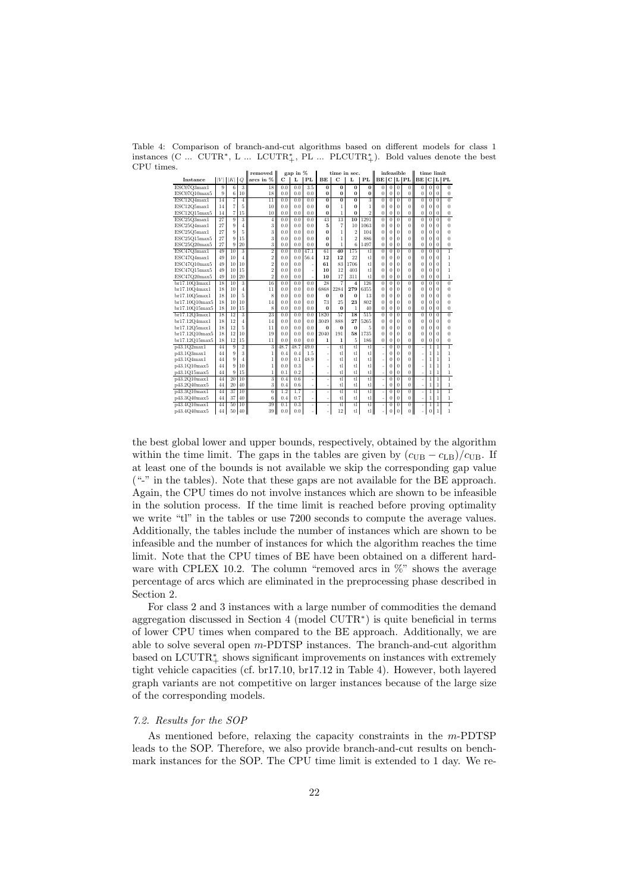Table 4: Comparison of branch-and-cut algorithms based on different models for class 1 instances (C ... CUTR<sup>\*</sup>, L ... LCUTR<sup>\*</sup><sub>+</sub></sub>, PL ... PLCUTR<sup>\*</sup><sub>+</sub>). Bold values denote the best CPU times.

| o.             |             |                 |                           | removed                   |      | gap in $%$ |                  |                 |                          | time in sec.            |                        |                | infeasible     |                |                |                |                | time limit     |                |
|----------------|-------------|-----------------|---------------------------|---------------------------|------|------------|------------------|-----------------|--------------------------|-------------------------|------------------------|----------------|----------------|----------------|----------------|----------------|----------------|----------------|----------------|
| Instance       | $ V $ $ K $ |                 | $\mathcal{Q}$             | arcs in %                 | C    | L          | PL               | BE              | $\mathbf C$              | L                       | PL                     |                |                |                | BE C L PL      | BE C L PL      |                |                |                |
| ESCO7Q3max1    | 9           | $\overline{6}$  | $\overline{3}$            | 18                        | 0.0  | 0.0        | $\overline{3.5}$ | 0               | 0                        | $\bf{0}$                | $\overline{0}$         | $\Omega$       | $\bf{0}$       | 0              | $\overline{0}$ | $\bf{0}$       | $\bf{0}$       | $\overline{0}$ | $\overline{0}$ |
| ESC07Q10max5   | 9           | 6               | 10                        | 18                        | 0.0  | 0.0        | 0.0              | $\Omega$        | $\Omega$                 | $\Omega$                | $\bf{0}$               | $\overline{0}$ | $\theta$       | $\overline{0}$ | $\Omega$       | $\overline{0}$ | $\theta$       | $\overline{0}$ | $\Omega$       |
| ESC12Q4max1    | 14          | 7               | $\overline{4}$            | $\overline{11}$           | 0.0  | 0.0        | 0.0              | $\overline{0}$  | $\overline{0}$           | $\overline{0}$          | 3                      | $\overline{0}$ | $\Omega$       | $\Omega$       | $\overline{0}$ | $\overline{0}$ | $\theta$       | $\Omega$       | $\overline{0}$ |
| ESC12Q5max1    | 14          | $\overline{7}$  | 5                         | 10                        | 0.0  | 0.0        | 0.0              | $\bf{0}$        | 1                        | $\Omega$                | $\mathbf{1}$           | $\Omega$       | $\Omega$       | $\theta$       | $\Omega$       | $\theta$       | $\theta$       | $\Omega$       | $\theta$       |
| ESC12Q15max5   | 14          | $\overline{7}$  | 15                        | 10                        | 0.0  | 0.0        | 0.0              | $\bf{0}$        | 1                        | $\Omega$                | $\overline{2}$         | $\overline{0}$ | 0              | 0              | $\theta$       | $\overline{0}$ | $\overline{0}$ | $\overline{0}$ | $\bf{0}$       |
| ESC25Q3max1    | 27          | $\overline{9}$  | $\overline{\overline{3}}$ | $\overline{4}$            | 0.0  | 0.0        | 0.0              | $\overline{43}$ | 13                       | $\overline{10}$         | 1291                   | $\overline{0}$ | $\overline{0}$ | $\overline{0}$ | $\overline{0}$ | $\overline{0}$ | $\overline{0}$ | $\overline{0}$ | $\overline{0}$ |
| ESC25Q4max1    | 27          | 9               | 4                         | 3                         | 0.0  | 0.0        | 0.0              | 5               | $\overline{7}$           | 10                      | 1063                   | $\Omega$       | 0              | $\Omega$       | $\theta$       | $\theta$       | $\theta$       | $\theta$       | $\theta$       |
| ESC25Q5max1    | 27          | 9               | 5                         | 3                         | 0.0  | 0.0        | 0.0              | $\bf{0}$        | 1                        | $\overline{2}$          | 104                    | $\Omega$       | 0              | $\Omega$       | $\theta$       | $\theta$       | $\theta$       | $\theta$       | $\theta$       |
| ESC25Q15max5   | 27          | 9               | 15                        | 3                         | 0.0  | 0.0        | 0.0              | 0               | 1                        | $\overline{2}$          | 886                    | $\theta$       | $\Omega$       | $\Omega$       | O              | $\theta$       | $\theta$       | $\theta$       | $\theta$       |
| ESC25Q20max5   | 27          | 9               | 20                        | 3                         | 0.0  | 0.0        | 0.0              | $\bf{0}$        | 1                        | 6                       | 1497                   | $\theta$       | $\Omega$       | $\Omega$       | $\theta$       | $\overline{0}$ | $\overline{0}$ | $\overline{0}$ | $\overline{0}$ |
| ESC47Q3max1    | 49          | $\overline{10}$ |                           | $\overline{2}$            | 0.0  | 0.0        | 47.1             | 61              | 40                       | 175                     | tI                     | $\overline{0}$ | $\overline{0}$ | $\overline{0}$ | $\overline{0}$ | $\overline{0}$ | $\overline{0}$ | $\overline{0}$ | T              |
| ESC47Q4max1    | 49          | 10              | $\overline{4}$            | $\,2$                     | 0.0  | 0.0        | 56.4             | 12              | 12                       | 22                      | t.1                    | $\Omega$       | 0              | $\theta$       | $\Omega$       | $\theta$       | $\theta$       | $\theta$       | $\mathbf{1}$   |
| ESC47Q10max5   | 49          | 10              | 10                        | $\overline{2}$            | 0.0  | 0.0        |                  | 61              | 83                       | 1706                    | tl                     | $\theta$       | $\Omega$       | $\theta$       | 0              | $\overline{0}$ | $\bf{0}$       | $\Omega$       | $\mathbf{1}$   |
| ESC47Q15max5   | 49          | 10              | 15                        | $\overline{2}$            | 0.0  | 0.0        |                  | 10              | 12                       | 403                     | t1                     | $\Omega$       | $\Omega$       | 0              | 0              | $\theta$       | $\Omega$       | $\Omega$       | $\mathbf{1}$   |
| ESC47Q20max5   | 49          | 10              | 20                        | $\overline{2}$            | 0.0  | 0.0        |                  | 10              | 17                       | 311                     | t1                     | $\overline{0}$ | $\theta$       | $\Omega$       | 0              | $\overline{0}$ | $\bf{0}$       | $\overline{0}$ | $\mathbf{1}$   |
| br17.10Q3max1  | 18          | 10              | 3                         | 16                        | 0.0  | 0.0        | 0.0              | 28              | 7                        | $\overline{\bf{4}}$     | 126                    | $\theta$       | $\Omega$       | $\theta$       | $\Omega$       | $\theta$       | $\theta$       | $\Omega$       | $\overline{0}$ |
| br17.10Q4max1  | 18          | 10              | $\overline{4}$            | 11                        | 0.0  | 0.0        | 0.0              | 6868            | 2284                     | 279                     | 6355                   | $\Omega$       | 0              | $\theta$       | $\theta$       | $\theta$       | $\theta$       | $\theta$       | $\Omega$       |
| br17.1005max1  | 18          | 10              | 5                         | 8                         | 0.0  | 0.0        | 0.0              | $\Omega$        | $\Omega$                 | $\Omega$                | 13                     | $\Omega$       | 0              | $\Omega$       | 0              | $\theta$       | $\theta$       | $\theta$       | $\theta$       |
| br17.10O10max5 | 18          | 10              | 10                        | 14                        | 0.0  | 0.0        | 0.0              | 73              | 25                       | 23                      | 802                    | $\Omega$       | O              | O              | 0              | $\theta$       | $\theta$       | $\theta$       | $\theta$       |
| br17.10Q15max5 | 18          | 10              | 15                        | 8                         | 0.0  | 0.0        | 0.0              | $\bf{0}$        | $\Omega$                 | $\mathbf{1}$            | 40                     | $\theta$       | $\Omega$       | $\theta$       | $\Omega$       | $\overline{0}$ | $\overline{0}$ | $\overline{0}$ | $\overline{0}$ |
| br17.12Q3max1  | 18          | 12              | 3                         | 23                        | 0.0  | 0.0        | 0.0              | 1820            | 57                       | 18                      | 515                    | $\theta$       | $\Omega$       | O              | $\Omega$       | $\overline{0}$ | $\theta$       | $\Omega$       | $\overline{0}$ |
| br17.12Q4max1  | 18          | 12              | $\overline{4}$            | 14                        | 0.0  | 0.0        | 0.0              | 3049            | 888                      | 27                      | 5265                   | $\Omega$       | 0              | $\theta$       | $\Omega$       | $\theta$       | $\theta$       | $\Omega$       | $\bf{0}$       |
| br17.12Q5max1  | 18          | 12              | 5                         | 11                        | 0.0  | 0.0        | 0.0              | $\Omega$        | $\Omega$                 | $\bf{0}$                | 5                      | $\Omega$       | $\Omega$       | $\theta$       | $\theta$       | $\overline{0}$ | $\overline{0}$ | $\Omega$       | $\overline{0}$ |
| br17.12O10max5 | 18          | 12              | 10                        | 19                        | 0.0  | 0.0        | 0.0              | 2040            | 191                      | 58                      | 1735                   | $\Omega$       | $\Omega$       | $\Omega$       | $\theta$       | $\theta$       | $\theta$       | $\Omega$       | $\theta$       |
| br17.12Q15max5 | 18          | 12              | 15                        | 11                        | 0.0  | 0.0        | 0.0              | 1               | $\mathbf{1}$             | 5                       | 186                    | $\overline{0}$ | $\theta$       | 0              | 0              | $\overline{0}$ | $\overline{0}$ | $\theta$       | $\bf{0}$       |
| p43.1Q2max1    | 44          | $\overline{9}$  | $\overline{2}$            | $\overline{3}$            | 48.7 | 48.7       | 49.0             |                 | t                        | t                       | t                      |                | 0              | $\overline{0}$ | $\overline{0}$ |                | 1              | 1              | T              |
| p43.1Q3max1    | 44          | 9               | 3                         | $\overline{1}$            | 0.4  | 0.4        | 1.5              |                 | t                        | t                       | t1                     | i,             | 0              | $\theta$       | $\theta$       |                | $\overline{1}$ | 1              | $\mathbf{1}$   |
| p43.1Q4max1    | 44          | 9               | 4                         | 1                         | 0.0  | 0.1        | 48.9             |                 | t1                       | tl                      | tl                     | i.             | $\Omega$       | $\Omega$       | 0              | L              | $\overline{1}$ | $\mathbf{1}$   | $\mathbf{1}$   |
| p43.1O10max5   | 44          | 9               | 10                        | 1                         | 0.0  | 0.3        |                  |                 | t                        | t                       | t.1                    | i.             | 0              | $\Omega$       | $\theta$       | ä,             | $\overline{1}$ | 1              | $\mathbf{1}$   |
| p43.1Q15max5   | 44          | 9               | 15                        | $\mathbf{1}$              | 0.1  | 0.2        |                  |                 | t1                       | tl                      | t1                     | $\overline{a}$ | $\theta$       | $\Omega$       | $\theta$       | ×,             | $\mathbf{1}$   | $\mathbf{1}$   | $\mathbf{1}$   |
| p43.2Q10max1   | 44          | $\overline{20}$ | $\overline{10}$           | $\overline{\overline{3}}$ | 0.4  | 0.6        |                  |                 | tl                       | t                       | τĪ                     | ı              | $\overline{0}$ | $\overline{0}$ | $\overline{0}$ | ×,             | ī              | ī              | T              |
| p43.2Q40max5   | 44          | 20              | 40                        | 3                         | 0.4  | 0.6        |                  |                 | t1                       | t                       | t1                     |                | $\theta$       | 0              | $\overline{0}$ | ä,             | $\mathbf{1}$   | $\mathbf{1}$   | $\mathbf{1}$   |
| p43.3Q10max1   | 44          | 37              | 10                        | $\overline{6}$            | 1.2  | 1.7        |                  | ×,              | t1                       | t                       | tl                     | i.             | $\Omega$       | $\Omega$       | $\overline{0}$ | ×,             | $\mathbf{1}$   | $\mathbf{1}$   | $\overline{1}$ |
| p43.3Q40max5   | 44          | 37              | 40                        | 6                         | 0.4  | 0.7        |                  |                 | t1                       | t                       | t.1                    |                | $\Omega$       | 0              | $\Omega$       | L,             | $\mathbf{1}$   | $\mathbf{1}$   | $\mathbf{1}$   |
| p43.4Q10max1   | 44          | $\overline{50}$ | $\overline{10}$           | 39                        | 0.1  | 0.3        |                  | $\overline{a}$  | $\overline{\mathrm{tl}}$ | $\overline{\mathbf{t}}$ | $\overline{\text{tl}}$ | i.             | $\overline{0}$ | $\overline{0}$ | $\overline{0}$ | ×,             | $\overline{1}$ | $\overline{1}$ | Ŧ              |
| p43.4Q40max5   | 44          | 50              | 40                        | 39                        | 0.0  | 0.0        |                  |                 | 12                       | t1                      | tl I                   |                | $\overline{0}$ | $\overline{0}$ | $\Omega$       | L,             | $\overline{0}$ | $\mathbf{1}$   | $\mathbf{1}$   |

the best global lower and upper bounds, respectively, obtained by the algorithm within the time limit. The gaps in the tables are given by  $(c_{UB} - c_{LB})/c_{UB}$ . If at least one of the bounds is not available we skip the corresponding gap value ("-" in the tables). Note that these gaps are not available for the BE approach. Again, the CPU times do not involve instances which are shown to be infeasible in the solution process. If the time limit is reached before proving optimality we write "tl" in the tables or use 7200 seconds to compute the average values. Additionally, the tables include the number of instances which are shown to be infeasible and the number of instances for which the algorithm reaches the time limit. Note that the CPU times of BE have been obtained on a different hardware with CPLEX 10.2. The column "removed arcs in  $\%$ " shows the average percentage of arcs which are eliminated in the preprocessing phase described in Section 2.

For class 2 and 3 instances with a large number of commodities the demand aggregation discussed in Section 4 (model CUTR<sup>∗</sup> ) is quite beneficial in terms of lower CPU times when compared to the BE approach. Additionally, we are able to solve several open m-PDTSP instances. The branch-and-cut algorithm based on LCUTR $_{+}^{*}$  shows significant improvements on instances with extremely tight vehicle capacities (cf. br17.10, br17.12 in Table 4). However, both layered graph variants are not competitive on larger instances because of the large size of the corresponding models.

#### 7.2. Results for the SOP

As mentioned before, relaxing the capacity constraints in the m-PDTSP leads to the SOP. Therefore, we also provide branch-and-cut results on benchmark instances for the SOP. The CPU time limit is extended to 1 day. We re-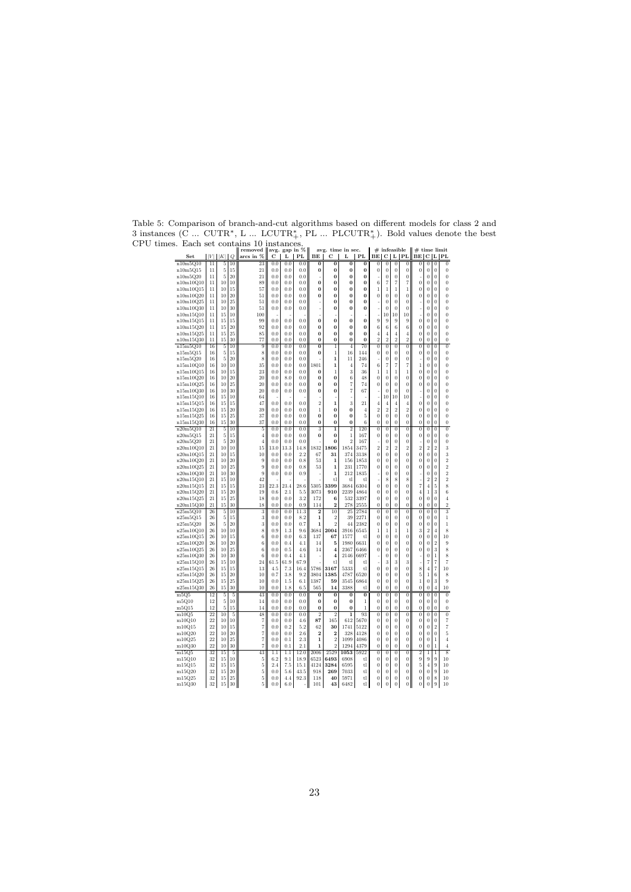| Set                    | $ V $ $ K $     |          | Q        | arcs in %                        | С               | L           | PL          | BE                         | С                                   | L                          | PL             | BE                         | С                          |                            | $L$   PL                           | BЕ                               |                            |                          | C L PL                     |
|------------------------|-----------------|----------|----------|----------------------------------|-----------------|-------------|-------------|----------------------------|-------------------------------------|----------------------------|----------------|----------------------------|----------------------------|----------------------------|------------------------------------|----------------------------------|----------------------------|--------------------------|----------------------------|
| n10m5Q10               | 11              | 5        | 10       | 23                               | 0.0             | 0.0         | 0.0         | $\bf{0}$                   | $\overline{0}$                      | $\overline{0}$             | $\overline{0}$ | 0                          | 0                          | $\overline{0}$             | $\overline{0}$                     | 0                                | $\theta$                   | $\overline{0}$           | $\overline{0}$             |
| n10m5Q15               | 11              | 5        | 15       | 21                               | $_{0.0}$        | 0.0         | 0.0         | 0                          | $\bf{0}$                            | 0                          | 0              | 0                          | 0                          | $\boldsymbol{0}$           | $\bf{0}$                           | 0                                | $\bf{0}$                   | $\bf{0}$                 | $\bf{0}$                   |
| n10m5Q20               | 11              | 5        | 20       | 21                               | 0.0             | 0.0         | 0.0         |                            | $\bf{0}$                            | 0                          | 0              |                            | 0                          | $\boldsymbol{0}$           | $\bf{0}$                           |                                  | $\bf{0}$                   | 0                        | $\bf{0}$                   |
| n10m10Q10              | 11              | 10       | 10       | 89                               | 0.0             | 0.0         | 0.0         | $\bf{0}$                   | $\bf{0}$                            | $\Omega$                   | $\bf{0}$       | 6                          | 7                          | $\overline{7}$             | $\overline{7}$                     | 0                                | $\boldsymbol{0}$           | 0                        | $\overline{0}$             |
| n10m10Q15              | 11              | 10       | 15       | 57                               | 0.0             | 0.0         | 0.0         | 0                          | 0                                   | 0                          | 0              | 1                          | 1                          | 1                          | $\mathbf{1}$                       | 0                                | $\bf{0}$                   | 0                        | 0<br>$\Omega$              |
| n10m10Q20<br>n10m10Q25 | 11<br>11        | 10<br>10 | 20<br>25 | 51<br>51                         | 0.0<br>0.0      | 0.0<br>0.0  | 0.0<br>0.0  | $\bf{0}$                   | $\bf{0}$<br>$\bf{0}$                | 0<br>O                     | $\bf{0}$<br>0  | $\bf{0}$                   | $\bf{0}$<br>$\overline{0}$ | $\bf{0}$<br>$\overline{0}$ | $\bf{0}$<br>$\theta$               | $\bf{0}$<br>J.                   | $\bf{0}$<br>0              | $\bf{0}$<br>$\Omega$     | 0                          |
| n10m10Q30              | 11              | 10       | 30       | 51                               | $_{0.0}$        | $_{0.0}$    | 0.0         |                            | 0                                   | 0                          | 0              |                            | 0                          | $\bf{0}$                   | 0                                  |                                  | 0                          | 0                        | 0                          |
| n10m15Q10              | 11              | 15       | 10       | 100                              |                 |             |             |                            |                                     |                            |                |                            | 10                         | 10                         | 10                                 |                                  | $\bf{0}$                   | $\bf{0}$                 | $\bf{0}$                   |
| n10m15Q15              | 11              | 15       | 15       | 99                               | 0.0             | 0.0         | 0.0         | $\bf{0}$                   | $\bf{0}$                            | $\bf{0}$                   | 0              | 9                          | 9                          | 9                          | 9                                  | 0                                | $\bf{0}$                   | 0                        | $\overline{0}$             |
| n10m15Q20              | 11              | 15       | 20       | 92                               | 0.0             | 0.0         | 0.0         | 0                          | 0                                   | 0                          | 0              | 6                          | 6                          | 6                          | 6                                  | 0                                | $\bf{0}$                   | 0                        | 0                          |
| n10m15O25              | 11              | 15       | 25       | 85                               | $_{0.0}$        | 0.0         | 0.0         | $\Omega$                   | $\Omega$                            | $\Omega$                   | $\bf{0}$       | $\overline{A}$             | $\overline{4}$             | $\overline{4}$             | $\overline{4}$                     | $\overline{0}$                   | $\theta$                   | $\overline{0}$           | $\overline{0}$             |
| n10m15Q30              | 11              | 15       | 30       | 77                               | $_{0.0}$        | 0.0         | 0.0         | $\Omega$                   | $\bf{0}$                            | O                          | Ó              | $\overline{2}$             | $\overline{2}$             | $\overline{2}$             | $\overline{2}$                     | $\overline{0}$                   | $\theta$                   | $\overline{0}$           | $\overline{0}$             |
| n15m5Q10               | 16              | 5        | 10       | 9                                | $_{0.0}$        | 0.0         | 0.0         | $\bf{0}$                   | 1                                   | $\overline{4}$             | 70             | $\bf{0}$                   | 0                          | $\bf{0}$                   | $\bf{0}$                           | $\bf{0}$                         | $\bf{0}$                   | 0                        | $\bf{0}$                   |
| n15m5Q15               | 16<br>16        | 5        | 15       | 8                                | 0.0             | 0.0         | 0.0         | $\bf{0}$                   | $\mathbf{1}$                        | 16                         | 144            | $\theta$                   | $\overline{0}$             | $\overline{0}$             | $\overline{0}$                     | 0                                | $\theta$                   | $\overline{0}$           | $\overline{0}$             |
| n15m5Q20<br>n15m10Q10  | 16              | 5<br>10  | 20<br>10 | 8<br>35                          | 0.0<br>$_{0.0}$ | 0.0<br>0.0  | 0.0<br>0.0  | 1801                       | 1<br>1                              | 11<br>$\overline{4}$       | 246<br>74      | 6                          | 0<br>7                     | $\boldsymbol{0}$<br>7      | $\bf{0}$<br>7                      | 1                                | $\bf{0}$<br>0              | 0<br>0                   | $\bf{0}$<br>0              |
| n15m10Q15              | 16              | 10       | 15       | 23                               | 0.0             | 0.0         | 0.0         | $\Omega$                   | $\mathbf{1}$                        | 3                          | 36             | $\mathbf{1}$               | 1                          | $\mathbf{1}$               | $\overline{1}$                     | $\overline{0}$                   | $\theta$                   | $\overline{0}$           | $\overline{0}$             |
| n15m10Q20              | 16              | 10       | 20       | 20                               | 0.0             | 8.0         | 0.0         | $\Omega$                   | $\bf{0}$                            | 6                          | 48             | 0                          | $\bf{0}$                   | $\bf{0}$                   | 0                                  | 0                                | $\bf{0}$                   | 0                        | 0                          |
| n15m10Q25              | 16              | 10       | 25       | 20                               | 0.0             | 0.0         | 0.0         | $\bf{0}$                   | $\bf{0}$                            | 7                          | 74             | 0                          | $\bf{0}$                   | $\bf{0}$                   | $\bf{0}$                           | $\boldsymbol{0}$                 | $\bf{0}$                   | $\bf{0}$                 | $\bf{0}$                   |
| n15m10Q30              | 16              | 10       | 30       | 20                               | 0.0             | 0.0         | 0.0         | $\bf{0}$                   | $\bf{0}$                            | 7                          | 67             |                            | $\overline{0}$             | $\overline{0}$             | $\overline{0}$                     | J.                               | $\overline{0}$             | $\overline{0}$           | $\overline{0}$             |
| n15m15Q10              | 16              | 15       | 10       | 64                               |                 |             |             |                            |                                     |                            |                |                            | 10                         | 10                         | 10                                 |                                  | $\bf{0}$                   | 0                        | 0                          |
| n15m15Q15              | 16              | 15       | 15       | 47                               | 0.0             | 0.0         | 0.0         | $\overline{\mathbf{2}}$    | $\mathbf{1}$                        | 3                          | 21             | $\overline{4}$             | 4                          | $\overline{4}$             | $\overline{4}$                     | $\boldsymbol{0}$                 | $\bf{0}$                   | 0                        | 0                          |
| n15m15Q20              | 16              | 15       | 20       | 39                               | 0.0             | 0.0         | 0.0         | $\overline{1}$             | $\bf{0}$                            | $\bf{0}$                   | 4              | $\overline{2}$             | $\overline{2}$             | $\overline{2}$             | $\overline{2}$                     | $\overline{0}$                   | $\theta$                   | $\Omega$                 | 0                          |
| n15m15Q25              | 16              | 15       | 25       | 37                               | $_{0.0}$        | 0.0         | 0.0         | $\bf{0}$                   | $\bf{0}$                            | $\bf{0}$                   | 5              | $\theta$                   | $\overline{0}$             | $\overline{0}$             | $\bf{0}$                           | $\overline{0}$                   | $\theta$                   | $\overline{0}$           | $\overline{0}$             |
| n15m15Q30              | 16              | 15       | 30       | 37                               | $_{0.0}$        | 0.0         | 0.0         | $\Omega$<br>$\overline{3}$ | $\bf{0}$<br>$\overline{\mathbf{1}}$ | $\bf{0}$<br>$\overline{2}$ | 6              | $\Omega$<br>$\overline{0}$ | $\overline{0}$             | $\bf{0}$                   | $\bf{0}$                           | $\overline{0}$<br>$\overline{0}$ | $\overline{0}$             | $\overline{0}$           | $\bf{0}$<br>$\overline{0}$ |
| n20m5Q10               | 21<br>21        | 5        | 10<br>15 | 5                                | $_{0.0}$<br>0.0 | 0.0<br>0.0  | 0.0         | $\Omega$                   | $\bf{0}$                            | 1                          | 120<br>167     |                            | $\overline{0}$             | $\overline{0}$<br>0        | $\overline{0}$<br>$\boldsymbol{0}$ |                                  | $\overline{0}$<br>$\bf{0}$ | $\overline{0}$           | $\bf{0}$                   |
| n20m5Q15<br>n20m5Q20   | 21              | 5<br>5   | 20       | $\overline{4}$<br>$\overline{4}$ | 0.0             | 0.0         | 0.0<br>0.0  |                            | $\bf{0}$                            | $\overline{2}$             | 167            | $\bf{0}$                   | 0<br>0                     | $\overline{0}$             | $\overline{0}$                     | 0                                | 0                          | 0<br>$\Omega$            | $\overline{0}$             |
| n20m10Q10              | 21              | 10       | 10       | 15                               | 13.0            | 13.3        | 14.8        | 1832                       | 1806                                | 1854                       | 3475           | $\overline{2}$             | $\overline{2}$             | $\overline{2}$             | $\overline{2}$                     | $\overline{2}$                   | $\overline{2}$             | $\overline{2}$           | 3                          |
| n20m10Q15              | 21              | 10       | 15       | 10                               | 0.0             | 0.0         | 2.2         | 67                         | 31                                  | 374                        | 3138           | $\bf{0}$                   | $\bf{0}$                   | $\bf{0}$                   | $\bf{0}$                           | 0                                | $\bf{0}$                   | $\bf{0}$                 | 3                          |
| n20m10Q20              | 21              | 10       | 20       | 9                                | 0.0             | 0.0         | 0.8         | 53                         | 1                                   | 156                        | 1853           | $\overline{0}$             | $\overline{0}$             | $\overline{0}$             | $\overline{0}$                     | $\overline{0}$                   | $\overline{0}$             | $\Omega$                 | $\overline{2}$             |
| n20m10Q25              | 21              | 10       | 25       | 9                                | 0.0             | 0.0         | 0.8         | 53                         | 1                                   | 231                        | 1770           | 0                          | $\theta$                   | $\Omega$                   | 0                                  | 0                                | 0                          | 0                        | $\overline{2}$             |
| n20m10Q30              | 21              | 10       | 30       | 9                                | 0.0             | 0.0         | 0.9         |                            | 1                                   | 212                        | 1835           |                            | 0                          | $\bf{0}$                   | $\bf{0}$                           | J.                               | $\bf{0}$                   | 0                        | $\overline{2}$             |
| n20m15Q10              | 21              | 15       | 10       | 42                               |                 |             |             |                            | tl                                  | tl                         | tl             |                            | 8                          | 8                          | 8                                  | J.                               | $\overline{2}$             | $\overline{2}$           | $\overline{2}$             |
| n20m15Q15<br>n20m15Q20 | 21<br>21        | 15<br>15 | 15<br>20 | 23<br>19                         | 22.3<br>0.6     | 23.4<br>2.1 | 28.6<br>5.5 | 5305<br>3073               | 3399<br>910                         | 3684<br>2239               | 6304<br>4864   | $\bf{0}$<br>$\Omega$       | $\bf{0}$<br>$\theta$       | $\overline{0}$<br>$\bf{0}$ | $\bf{0}$<br>$\bf{0}$               | $\overline{7}$<br>$\overline{4}$ | 4<br>$\mathbf{1}$          | 5<br>3                   | 8<br>6                     |
| n20m15Q25              | 21              | 15       | 25       | 18                               | 0.0             | 0.0         | 3.2         | 172                        | 6                                   | 532                        | 3397           | $\overline{0}$             | $\bf{0}$                   | $\overline{0}$             | $\bf{0}$                           | $\overline{0}$                   | $\overline{0}$             | $\bf{0}$                 | $\overline{4}$             |
| n20m15Q30              | 21              | 15       | 30       | 18                               | $_{0.0}$        | 0.0         | 0.9         | 114                        | $\mathbf{2}$                        | 278                        | 2555           | $\bf{0}$                   | $\bf{0}$                   | $\bf{0}$                   | $\bf{0}$                           | 0                                | $\bf{0}$                   | $\bf{0}$                 | $\overline{2}$             |
| n25m5Q10               | 26              | 5        | 10       |                                  | $_{0.0}$        | 0.0         | 11.3        | $\overline{2}$             | 10                                  | 25                         | 2784           | $\overline{0}$             | $\bf{0}$                   | $\bf{0}$                   | $\overline{0}$                     | $\overline{0}$                   | $\bf{0}$                   | $\bf{0}$                 | $\overline{\overline{3}}$  |
| n25m5Q15               | 26              | 5        | 15       | 3                                | $_{0.0}$        | 0.0         | 8.2         | $\mathbf{1}$               | $\overline{2}$                      | 39                         | 2271           | $\bf{0}$                   | 0                          | $\bf{0}$                   | $\bf{0}$                           | 0                                | $\Omega$                   | $\Omega$                 | 1                          |
| n25m5Q20               | 26              | 5        | 20       | 3                                | $_{0.0}$        | 0.0         | 0.7         | 1                          | $\overline{2}$                      | 44                         | 2382           | 0                          | $\theta$                   | $\Omega$                   | 0                                  | 0                                | $\Omega$                   | $\Omega$                 | 1                          |
| n25m10Q10              | 26              | 10       | 10       | 8                                | 0.9             | 1.3         | 9.6         | 3684                       | 2004                                | 3916                       | 6545           | 1                          | 1                          | 1                          | $\mathbf{1}$                       | 3                                | $\overline{2}$             | $\overline{4}$           | 8                          |
| n25m10Q15              | 26              | 10       | 15       | 6                                | 0.0             | 0.0         | 6.3         | 137                        | 67                                  | 1577                       | t.             | 0                          | 0                          | $\bf{0}$                   | 0                                  | 0                                | 0                          | 0                        | 10                         |
| n25m10Q20              | 26              | 10       | 20       | 6                                | 0.0             | 0.4         | 4.1         | 14                         | 5                                   | 1980                       | 6631           | 0                          | 0                          | $\bf{0}$                   | 0                                  | 0                                | 0                          | 2                        | 9                          |
| n25m10Q25              | 26              | 10       | 25       | 6                                | 0.0             | 0.5         | 4.6         | 14                         | $\overline{4}$                      | 2367                       | 6466           | $\bf{0}$                   | $\overline{0}$             | $\overline{0}$             | $\bf{0}$                           | 0                                | $\theta$                   | 3                        | 8                          |
| n25m10Q30<br>n25m15Q10 | 26<br>26        | 10<br>15 | 30<br>10 | 6<br>24                          | 0.0<br>61.5     | 0.4<br>61.9 | 4.1<br>67.9 |                            | $\overline{\bf 4}$<br>t.            | 2146<br>tl                 | 6697<br>$t$ l  |                            | 0<br>3                     | $\bf{0}$<br>3              | 0<br>3                             | í,                               | $\bf{0}$<br>7              | 1<br>7                   | 8<br>7                     |
| n25m15Q15              | 26              | 15       | 15       | 13                               | 4.5             | 7.3         | 16.4        | 5786                       | 3167                                | 5333                       | t1             | $\theta$                   | $\overline{0}$             | $\overline{0}$             | $\bf{0}$                           | 8                                | $\overline{4}$             | $\overline{7}$           | 10                         |
| n25m15Q20              | 26              | 15       | 20       | 10                               | 0.7             | 3.8         | 9.2         | 3804                       | 1385                                | 4787                       | 6520           | 0                          | 0                          | $\bf{0}$                   | 0                                  | 5                                | $\mathbf{1}$               | 6                        | 8                          |
| n25m15Q25              | 26              | 15       | 25       | 10                               | 0.0             | 1.5         | 6.1         | 1387                       | 59                                  | 3545                       | 6864           | $\bf{0}$                   | $\bf{0}$                   | $\boldsymbol{0}$           | $\bf{0}$                           | $\mathbf{1}$                     | $\overline{0}$             | 3                        | 9                          |
| n25m15Q30              | 26              | 15       | 30       | 10                               | 0.0             | 1.8         | 6.5         | 565                        | 14                                  | 3388                       | tl             | $\theta$                   | $\overline{0}$             | $\overline{0}$             | $\overline{0}$                     | 0                                | $\bf{0}$                   | $\overline{4}$           | 10                         |
| m5O5                   | 12              | 5        | 5        | 43                               | $_{0.0}$        | 0.0         | $_{0.0}$    | 0                          | 0                                   | 0                          | 0              | 0                          | 0                          | 0                          | 0                                  | 0                                | 0                          | 0                        | 0                          |
| m5Q10                  | 12              | 5        | 10       | 14                               | 0.0             | 0.0         | 0.0         | $\bf{0}$                   | $\bf{0}$                            | $\bf{0}$                   | 1              | $\theta$                   | $\theta$                   | $\overline{0}$             | $\bf{0}$                           | $\overline{0}$                   | $\bf{0}$                   | $\Omega$                 | $\bf{0}$                   |
| m5Q15                  | 12              | 5        | 15       | 14                               | 0.0             | 0.0         | 0.0         | $\bf{0}$                   | $\bf{0}$                            | $\bf{0}$                   | 1              | $\theta$                   | $\bf{0}$                   | $\boldsymbol{0}$           | $\bf{0}$                           | $\overline{0}$                   | $\bf{0}$                   | 0                        | $\bf{0}$                   |
| m10Q5                  | $\overline{22}$ | 10       | 5        | 48                               | $_{0.0}$        | 0.0         | 0.0         | $\overline{2}$             | $\overline{2}$                      | $\mathbf{1}$               | 93             | $\theta$                   | 0                          | $\overline{0}$             | $\overline{0}$                     | $\overline{0}$                   | $\theta$                   | $\overline{0}$           | $\overline{0}$             |
| m10Q10                 | 22              | 10       | 10       | 7                                | 0.0             | 0.0         | 4.6         | 87                         | 165                                 | 612                        | 5670           | $\Omega$                   | $\theta$                   | $\bf{0}$                   | 0                                  | 0                                | $\Omega$                   | $\Omega$                 | 7                          |
| m10Q15                 | 22<br>22        | 10<br>10 | 15<br>20 | $\overline{7}$                   | $_{0.0}$<br>0.0 | 0.2<br>0.0  | 5.2<br>2.6  | 62<br>$\overline{2}$       | 30<br>$\overline{2}$                | 1741<br>328                | 5122           | $\Omega$<br>$\overline{0}$ | $\theta$                   | $\Omega$<br>$\overline{0}$ | 0                                  | 0                                | $\Omega$                   | $\overline{2}$           | 7<br>5                     |
| m10Q20<br>m10Q25       | 22              | 10       | 25       | 7<br>$\overline{7}$              | $_{0.0}$        | 0.1         | 2.3         | $\mathbf{1}$               | $\overline{2}$                      | 1099                       | 4128<br>4086   | $\overline{0}$             | $\bf{0}$<br>$\overline{0}$ | $\bf{0}$                   | $\bf{0}$<br>$\bf{0}$               | $\bf{0}$<br>$\overline{0}$       | $\bf{0}$<br>$\bf{0}$       | $\bf{0}$<br>$\mathbf{1}$ | $\overline{4}$             |
| m10Q30                 | 22              | 10       | 30       | 7                                | 0.0             | 0.1         | 2.1         | 1                          | $\overline{2}$                      | 1294                       | 4379           | $\Omega$                   | $\overline{0}$             | $\boldsymbol{0}$           | $\bf{0}$                           | 0                                | $\bf{0}$                   | 1                        | $\overline{4}$             |
| m15Q5                  | 32              | 15       | 5        | 43                               | 1.1             | 1.1         | 12.0        | 2006                       | 2529                                | 1053                       | 5922           | $\overline{0}$             | 0                          | $\bf{0}$                   | $\bf{0}$                           | $\overline{2}$                   | $\mathbf{1}$               | $\mathbf{1}$             | 8                          |
| m15Q10                 | 32              | 15       | 10       | 5                                | 6.2             | 9.1         | 18.9        | 6523                       | 6493                                | 6908                       | tl             | $\Omega$                   | 0                          | $\Omega$                   | $\bf{0}$                           | 9                                | 9                          | 9                        | 10                         |
| m15Q15                 | 32              | 15       | 15       | 5                                | 2.4             | 7.5         | 15.1        | 4124                       | 3284                                | 6595                       | tl             | 0                          | $\bf{0}$                   | $\theta$                   | $\bf{0}$                           | 5                                | 4                          | 9                        | 10                         |
| m15Q20                 | 32              | 15       | 20       | 5                                | 0.0             | 5.6         | 43.5        | 918                        | 269                                 | 7033                       | tl             | $\overline{0}$             | $\overline{0}$             | $\overline{0}$             | $\overline{0}$                     | $\overline{0}$                   | $\overline{0}$             | 9                        | 10                         |
| m15Q25                 | 32              | 15       | 25       | 5                                | 0.0             | 4.4         | 92.3        | 118                        | 40                                  | 5971                       | tl             | 0                          | 0                          | $\boldsymbol{0}$           | 0                                  | 0                                | $\bf{0}$                   | 8                        | 10                         |
| m15Q30                 | 32              | 15       | 30       | 5 <sup>1</sup>                   | 0.0             | 6.0         |             | 101                        | 43                                  | 6482                       | t1             | $\boldsymbol{0}$           | 0                          | $\boldsymbol{0}$           | $\overline{0}$                     | 0                                | $\bf{0}$                   | 9                        | 10                         |

Table 5: Comparison of branch-and-cut algorithms based on different models for class 2 and 3 instances (C ... CUTR\*, L ... LCUTR\*, PL ... PLCUTR\*). Bold values denote the best<br>CPU times. Each set contains 10 instances.<br>set  $||V|| ||K|| |e||$  removed  $||wg||$  sag in  $\% ||$  arg,  $|| \times ||$  arg in  $||V||$  . Let  $|| ||\times || \times ||$   $|| \times ||$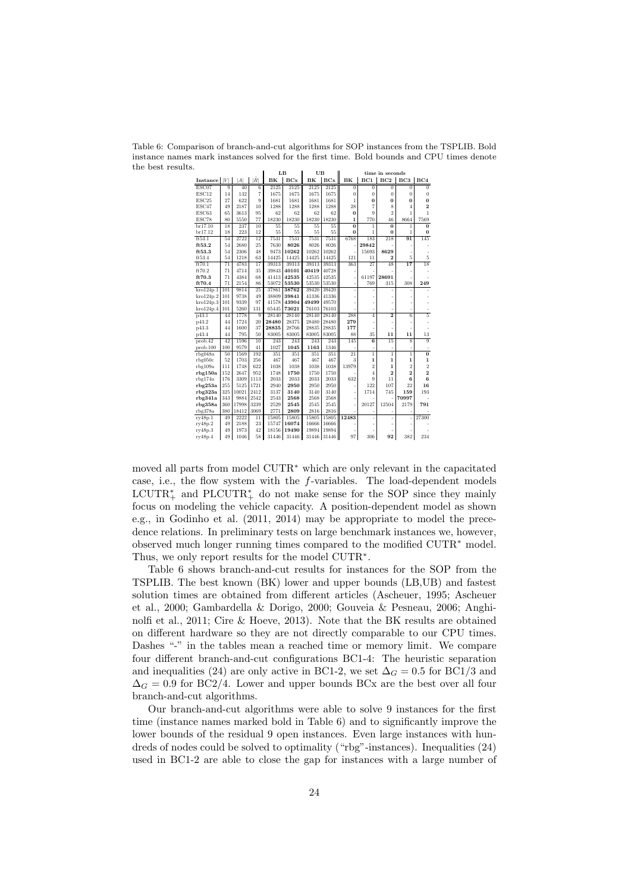Table 6: Comparison of branch-and-cut algorithms for SOP instances from the TSPLIB. Bold instance names mark instances solved for the first time. Bold bounds and CPU times denote the best results.

|                   |                 |       |                 |                 | LB              | UB              |       |                |                | time in seconds |                 |                  |
|-------------------|-----------------|-------|-----------------|-----------------|-----------------|-----------------|-------|----------------|----------------|-----------------|-----------------|------------------|
| Instance          | V               | A     | ۱Ř              | BK              | BCx             | BK              | BCx   | BK             | BC1            | BC2             | BC3             | BC4              |
| ESC07             | $\overline{9}$  | 40    | $\overline{6}$  | 2125            | 2125            | 2125            | 2125  | $\overline{0}$ | $\overline{0}$ | $\overline{0}$  | $\overline{0}$  | $\overline{0}$   |
| ESC12             | 14              | 132   | $\overline{7}$  | 1675            | 1675            | 1675            | 1675  | $\overline{0}$ | $\bf{0}$       | $\overline{0}$  | $\overline{0}$  | $\overline{0}$   |
| ESC <sub>25</sub> | 27              | 622   | 9               | 1681            | 1681            | 1681            | 1681  | $\mathbf{1}$   | $\bf{0}$       | $\bf{0}$        | $\bf{0}$        | $\bf{0}$         |
| ESC47             | 49              | 2187  | 10              | 1288            | 1288            | 1288            | 1288  | 28             | $\overline{7}$ | 8               | 4               | $\boldsymbol{2}$ |
| ESC63             | 65              | 3613  | 95              | 62              | 62              | 62              | 62    | $\bf{0}$       | 9              | $\overline{2}$  | 1               | 1                |
| ESC78             | 80              | 5550  | 77              | 18230           | 18230           | 18230           | 18230 | $\mathbf{1}$   | 770            | 46              | 8664            | 7569             |
| br17.10           | 18              | 237   | 10              | $\overline{55}$ | $\overline{55}$ | $\overline{55}$ | 55    | $\overline{0}$ | $\mathbf{1}$   | $\overline{0}$  | $\mathbf{1}$    | $\overline{0}$   |
| br17.12           | 18              | 223   | 12              | 55              | 55              | 55              | 55    | $\bf{0}$       | $\mathbf{1}$   | $\bf{0}$        | $\mathbf{1}$    | $\bf{0}$         |
| ft53.1            | 54              | 2722  | 12              | 7531            | 7531            | 7531            | 7531  | 6768           | 183            | 218             | $\overline{91}$ | 145              |
| ft53.2            | 54              | 2680  | 25              | 7630            | 8026            | 8026            | 8026  |                | 29842          |                 |                 |                  |
| ft53.3            | 54              | 2306  | 48              | 9473            | 10262           | 10262           | 10262 |                | 15693          | 8629            |                 |                  |
| ft53.4            | 54              | 1218  | 63              | 14425           | 14425           | 14425           | 14425 | 121            | 11             | $\overline{2}$  | 5               | $\overline{5}$   |
| ft70.1            | $\overline{71}$ | 4783  | $\overline{17}$ | 39313           | 39313           | 39313           | 39313 | 363            | 27             | 48              | $\overline{17}$ | $\overline{18}$  |
| ft70.2            | 71              | 4714  | 35              | 39843           | 40101           | 40419           | 40728 |                |                |                 |                 |                  |
| ft70.3            | 71              | 4384  | 68              | 41413           | 42535           | 42535           | 42535 |                | 61197          | 28691           |                 |                  |
| ft70.4            | 71              | 2154  | 86              | 53072           | 53530           | 53530           | 53530 | i.             | 769            | 315             | 308             | 249              |
| $k$ ro $124p.1$   | 101             | 9814  | 25              | 37861           | 38762           | 39420           | 39420 |                |                |                 |                 |                  |
| kro124p.2         | 101             | 9738  | 49              | 38809           | 39841           | 41336           | 41336 |                |                |                 |                 |                  |
| kro124p.3         | 101             | 9339  | 97              | 41578           | 43904           | 49499           | 49570 |                |                |                 |                 |                  |
| kro124p.4         | 101             | 5260  | 131             | 65445           | 73021           | 76103           | 76103 |                | ÷              |                 |                 |                  |
| p43.1             | 44              | 1778  | 9               | 28140           | 28140           | 28140           | 28140 | 288            | $\overline{4}$ | $\overline{2}$  | 6               | $\overline{5}$   |
| p43.2             | 44              | 1724  | 20              | 28480           | 28375           | 28480           | 28480 | 279            |                |                 |                 |                  |
| p43.3             | 44              | 1600  | 37              | 28835           | 28766           | 28835           | 28835 | 177            |                | ×,              |                 |                  |
| p43.4             | 44              | 795   | 50              | 83005           | 83005           | 83005           | 83005 | 88             | 35             | 11              | 11              | 13               |
| prob.42           | $\overline{42}$ | 1596  | $\overline{10}$ | 243             | 243             | 243             | 243   | 145            | $\overline{6}$ | $\overline{15}$ | $\overline{s}$  | $\overline{9}$   |
| prob.100          | 100             | 9579  | 41              | 1027            | 1045            | 1163            | 1346  |                | ÷              | ÷               | $\overline{a}$  |                  |
| rbg048a           | 50              | 1569  | 192             | 351             | 351             | 351             | 351   | $^{21}$        | $\mathbf{1}$   | $\mathbf{1}$    | $\overline{1}$  | $\overline{0}$   |
| rbg050c           | 52              | 1703  | 256             | 467             | 467             | 467             | 467   | 3              | $\mathbf 1$    | $\mathbf 1$     | $\mathbf{1}$    | $\mathbf 1$      |
| rbg109a           | 111             | 1748  | 622             | 1038            | 1038            | 1038            | 1038  | 13979          | $\overline{2}$ | $\mathbf{1}$    | $\overline{2}$  | $\overline{2}$   |
| rbg150a           | 152             | 2647  | 952             | 1748            | 1750            | 1750            | 1750  |                | $\overline{4}$ | $\overline{2}$  | $\overline{2}$  | $\overline{2}$   |
| rbg174a           | 176             | 3309  | 1113            | 2033            | 2033            | 2033            | 2033  | 632            | 9              | 11              | 6               | 6                |
| rbg253a           | 255             | 5125  | 1721            | 2940            | 2950            | 2950            | 2950  |                | 122            | 107             | 22              | 16               |
| $r$ bg $323a$     | 325             | 10021 | 2412            | 3137            | 3140            | 3140            | 3140  |                | 1714           | 745             | 159             | 193              |
| rbg341a           | 343             | 9884  | 2542            | 2543            | 2568            | 2568            | 2568  |                |                |                 | 70997           |                  |
| rbg358a           | 360             | 17998 | 3239            | 2529            | 2545            | 2545            | 2545  |                | 20127          | 12504           | 2179            | 791              |
| $r$ bg $378a$     | 380             | 18412 | 3069            | 2771            | 2809            | 2816            | 2816  |                |                |                 |                 |                  |
| ry48p.1           | 49              | 2222  | $\overline{11}$ | 15805           | 15805           | 15805           | 15805 | 12483          | i.             | ä,              | j,              | 27300            |
| ry48p.2           | 49              | 2188  | 23              | 15747           | 16074           | 16666           | 16666 |                |                |                 |                 |                  |
| ry48p.3           | 49              | 1973  | 42              | 18156           | 19490           | 19894           | 19894 |                |                |                 |                 |                  |
| ry48p.4           | 49              | 1046  | 58              | 31446           | 31446           | 31446           | 31446 | 97             | 306            | 92              | 382             | 234              |

moved all parts from model CUTR<sup>∗</sup> which are only relevant in the capacitated case, i.e., the flow system with the f-variables. The load-dependent models  $\text{LCUTR}^*_{+}$  and  $\text{PLCUTR}^*_{+}$  do not make sense for the SOP since they mainly focus on modeling the vehicle capacity. A position-dependent model as shown e.g., in Godinho et al. (2011, 2014) may be appropriate to model the precedence relations. In preliminary tests on large benchmark instances we, however, observed much longer running times compared to the modified CUTR<sup>∗</sup> model. Thus, we only report results for the model CUTR<sup>∗</sup>.

Table 6 shows branch-and-cut results for instances for the SOP from the TSPLIB. The best known (BK) lower and upper bounds (LB,UB) and fastest solution times are obtained from different articles (Ascheuer, 1995; Ascheuer et al., 2000; Gambardella & Dorigo, 2000; Gouveia & Pesneau, 2006; Anghinolfi et al., 2011; Cire & Hoeve, 2013). Note that the BK results are obtained on different hardware so they are not directly comparable to our CPU times. Dashes "-" in the tables mean a reached time or memory limit. We compare four different branch-and-cut configurations BC1-4: The heuristic separation and inequalities (24) are only active in BC1-2, we set  $\Delta_G = 0.5$  for BC1/3 and  $\Delta_G = 0.9$  for BC2/4. Lower and upper bounds BCx are the best over all four branch-and-cut algorithms.

Our branch-and-cut algorithms were able to solve 9 instances for the first time (instance names marked bold in Table 6) and to significantly improve the lower bounds of the residual 9 open instances. Even large instances with hundreds of nodes could be solved to optimality ("rbg"-instances). Inequalities (24) used in BC1-2 are able to close the gap for instances with a large number of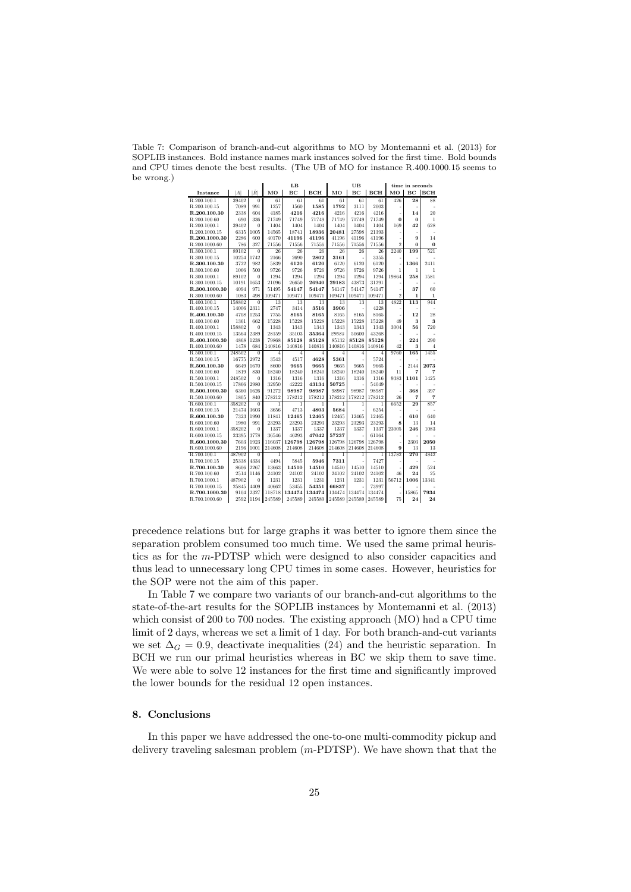Table 7: Comparison of branch-and-cut algorithms to MO by Montemanni et al. (2013) for SOPLIB instances. Bold instance names mark instances solved for the first time. Bold bounds and CPU times denote the best results. (The UB of MO for instance R.400.1000.15 seems to be wrong.)

| LB<br>UB<br>time in seconds<br>Ř<br>MO<br>BC<br>BC<br>BC.<br><b>BCH</b><br> A <br>BCH<br>MО<br>BCH<br>MO<br>Instance<br>R.200.100.1<br>$\overline{28}$<br>39402<br>61<br>61<br>61<br>61<br>61<br>426<br>88<br>$\bf{0}$<br>61<br>991<br>1560<br>1585<br>R.200.100.15<br>7089<br>1257<br>1792<br>3111<br>2003<br>604<br>4216<br>4216<br>4216<br>4216<br>4216<br>R.200.100.30<br>2338<br>4185<br>14<br>20<br>J.<br>R.200.100.60<br>336<br>71749<br>71749<br>71749<br>71749<br>71749<br>$\bf{0}$<br>690<br>71749<br>$\bf{0}$<br>1<br>628<br>R.200.1000.1<br>39402<br>1404<br>1404<br>1404<br>1404<br>1404<br>1404<br>169<br>42<br>0<br>6315<br>1005<br>14565<br>18936<br>20481<br>27598<br>21393<br>R.200.1000.15<br>18741<br>40170<br>41196<br>R.200.1000.30<br>2286<br>600<br>41196<br>41196<br>41196<br>41196<br>9<br>14<br>R.200.1000.60<br>327<br>$\overline{2}$<br>$\Omega$<br>786<br>71556<br>71556<br>71556<br>71556<br>71556<br>71556<br>$\bf{0}$<br>R.300.100.1<br>89102<br>2240<br>521<br>$\overline{0}$<br>26<br>26<br>26<br>26<br>26<br>26<br>199<br>2802<br>R.300.100.15<br>10254<br>1742<br>2166<br>2690<br>3161<br>3355<br>R.300.100.30<br>3722<br>982<br>5839<br>6120<br>6120<br>6120<br>6120<br>6120<br>1366<br>2411<br>9726<br>9726<br>R.300.100.60<br>1066<br>500<br>9726<br>9726<br>9726<br>9726<br>1<br>1<br>1<br>1294<br>1294<br>1294<br>1294<br>258<br>1581<br>R.300.1000.1<br>89102<br>1294<br>1294<br>19864<br>0<br>10191<br>1653<br>21096<br>26650<br>26940<br>29183<br>43873<br>31291<br>R.300.1000.15<br>971<br>37<br>R.300.1000.30<br>4094<br>51495<br>54147<br>54147<br>54147<br>54147<br>54147<br>60<br>÷,<br>$\overline{2}$<br>R.300.1000.60<br>1083<br>498<br>109471<br>109471<br>109471<br>109471<br>109471<br>109471<br>$\mathbf{1}$<br>$\mathbf{1}$<br>158802<br>$\overline{13}$<br>4822<br>$\overline{113}$<br>944<br>R.400.100.1<br>$\overline{0}$<br>13<br>13<br>13<br>13<br>13<br>2311<br>2747<br>3906<br>4228<br>R.400.100.15<br>14006<br>3414<br>3516<br>R.400.100.30<br>4708<br>1253<br>7755<br>8165<br>8165<br>8165<br>8165<br>8165<br>12<br>28<br>15228<br>15228<br>15228<br>15228<br>15228<br>R.400.100.60<br>1361<br>662<br>15228<br>49<br>3<br>3<br>R.400.1000.1<br>158802<br>$\overline{0}$<br>1343<br>1343<br>1343<br>1343<br>1343<br>1343<br>3004<br>56<br>720<br>13564<br>2389<br>28159<br>35103<br>35364<br>29685<br>50600<br>43268<br>R.400.1000.15<br>R.400.1000.30<br>4868<br>1238<br>79868<br>85128<br>85128<br>85132<br>85128<br>85128<br>224<br>290<br>1478<br>684<br>140816<br>42<br>3<br>R.400.1000.60<br>140816<br>140816<br>140816<br>140816<br>140816<br>$\overline{4}$<br>248502<br>9760<br>165<br>1455<br>R.500.100.1<br>$\theta$<br>$\overline{4}$<br>$\overline{4}$<br>$\overline{4}$<br>4<br>4<br>4<br>2972<br>4628<br>R.500.100.15<br>16775<br>3543<br>4517<br>5361<br>5724<br>2073<br>R.500.100.30<br>1670<br>8600<br>9665<br>9665<br>9665<br>9665<br>9665<br>2144<br>6649<br>830<br>18240<br>18240<br>18240<br>18240<br>18240<br>R.500.100.60<br>1819<br>18240<br>11<br>7<br>7<br>248502<br>1316<br>1316<br>1316<br>9383<br>1101<br>1425<br>R.500.1000.1<br>$\overline{0}$<br>1316<br>1316<br>1316<br>R.500.1000.15<br>17866<br>2980<br>32950<br>42222<br>43134<br>50725<br>54049<br>98987<br>98987<br>98987<br>397<br>R.500.1000.30<br>6360<br>1626<br>91272<br>98987<br>98987<br>368<br>1805<br>178212<br>178212<br>178212<br>178212<br>178212<br>178212<br>26<br>R.500.1000.60<br>840<br>7<br>7<br>6652<br>29<br>857<br>R.600.100.1<br>358202<br>$\theta$<br>1<br>$\mathbf{1}$<br>1<br>1<br>1<br>1<br>R.600.100.15<br>21474<br>3603<br>3656<br>4713<br>4803<br>5684<br>6254<br>R.600.100.30<br>7323<br>1990<br>11841<br>12465<br>12465<br>12465<br>12465<br>12465<br>640<br>610<br>23293<br>R.600.100.60<br>1980<br>991<br>23293<br>23293<br>23293<br>23293<br>23293<br>8<br>13<br>14<br>358202<br>1337<br>1337<br>1337<br>1337<br>1337<br>1337<br>23005<br>246<br>1083<br>R.600.1000.1<br>$\theta$<br>R.600.1000.15<br>23395<br>3778<br>36546<br>46293<br>47042<br>57237<br>61164 |
|------------------------------------------------------------------------------------------------------------------------------------------------------------------------------------------------------------------------------------------------------------------------------------------------------------------------------------------------------------------------------------------------------------------------------------------------------------------------------------------------------------------------------------------------------------------------------------------------------------------------------------------------------------------------------------------------------------------------------------------------------------------------------------------------------------------------------------------------------------------------------------------------------------------------------------------------------------------------------------------------------------------------------------------------------------------------------------------------------------------------------------------------------------------------------------------------------------------------------------------------------------------------------------------------------------------------------------------------------------------------------------------------------------------------------------------------------------------------------------------------------------------------------------------------------------------------------------------------------------------------------------------------------------------------------------------------------------------------------------------------------------------------------------------------------------------------------------------------------------------------------------------------------------------------------------------------------------------------------------------------------------------------------------------------------------------------------------------------------------------------------------------------------------------------------------------------------------------------------------------------------------------------------------------------------------------------------------------------------------------------------------------------------------------------------------------------------------------------------------------------------------------------------------------------------------------------------------------------------------------------------------------------------------------------------------------------------------------------------------------------------------------------------------------------------------------------------------------------------------------------------------------------------------------------------------------------------------------------------------------------------------------------------------------------------------------------------------------------------------------------------------------------------------------------------------------------------------------------------------------------------------------------------------------------------------------------------------------------------------------------------------------------------------------------------------------------------------------------------------------------------------------------------------------------------------------------------------------------------------------------------------------------------------------------------------------------------------------------------------------------------------------------------------------------------------------------------------------------------------------------------------------------------------------------------------------------------------------------------------------------------------------------------------------------------------|
|                                                                                                                                                                                                                                                                                                                                                                                                                                                                                                                                                                                                                                                                                                                                                                                                                                                                                                                                                                                                                                                                                                                                                                                                                                                                                                                                                                                                                                                                                                                                                                                                                                                                                                                                                                                                                                                                                                                                                                                                                                                                                                                                                                                                                                                                                                                                                                                                                                                                                                                                                                                                                                                                                                                                                                                                                                                                                                                                                                                                                                                                                                                                                                                                                                                                                                                                                                                                                                                                                                                                                                                                                                                                                                                                                                                                                                                                                                                                                                                                                                                            |
|                                                                                                                                                                                                                                                                                                                                                                                                                                                                                                                                                                                                                                                                                                                                                                                                                                                                                                                                                                                                                                                                                                                                                                                                                                                                                                                                                                                                                                                                                                                                                                                                                                                                                                                                                                                                                                                                                                                                                                                                                                                                                                                                                                                                                                                                                                                                                                                                                                                                                                                                                                                                                                                                                                                                                                                                                                                                                                                                                                                                                                                                                                                                                                                                                                                                                                                                                                                                                                                                                                                                                                                                                                                                                                                                                                                                                                                                                                                                                                                                                                                            |
|                                                                                                                                                                                                                                                                                                                                                                                                                                                                                                                                                                                                                                                                                                                                                                                                                                                                                                                                                                                                                                                                                                                                                                                                                                                                                                                                                                                                                                                                                                                                                                                                                                                                                                                                                                                                                                                                                                                                                                                                                                                                                                                                                                                                                                                                                                                                                                                                                                                                                                                                                                                                                                                                                                                                                                                                                                                                                                                                                                                                                                                                                                                                                                                                                                                                                                                                                                                                                                                                                                                                                                                                                                                                                                                                                                                                                                                                                                                                                                                                                                                            |
|                                                                                                                                                                                                                                                                                                                                                                                                                                                                                                                                                                                                                                                                                                                                                                                                                                                                                                                                                                                                                                                                                                                                                                                                                                                                                                                                                                                                                                                                                                                                                                                                                                                                                                                                                                                                                                                                                                                                                                                                                                                                                                                                                                                                                                                                                                                                                                                                                                                                                                                                                                                                                                                                                                                                                                                                                                                                                                                                                                                                                                                                                                                                                                                                                                                                                                                                                                                                                                                                                                                                                                                                                                                                                                                                                                                                                                                                                                                                                                                                                                                            |
|                                                                                                                                                                                                                                                                                                                                                                                                                                                                                                                                                                                                                                                                                                                                                                                                                                                                                                                                                                                                                                                                                                                                                                                                                                                                                                                                                                                                                                                                                                                                                                                                                                                                                                                                                                                                                                                                                                                                                                                                                                                                                                                                                                                                                                                                                                                                                                                                                                                                                                                                                                                                                                                                                                                                                                                                                                                                                                                                                                                                                                                                                                                                                                                                                                                                                                                                                                                                                                                                                                                                                                                                                                                                                                                                                                                                                                                                                                                                                                                                                                                            |
|                                                                                                                                                                                                                                                                                                                                                                                                                                                                                                                                                                                                                                                                                                                                                                                                                                                                                                                                                                                                                                                                                                                                                                                                                                                                                                                                                                                                                                                                                                                                                                                                                                                                                                                                                                                                                                                                                                                                                                                                                                                                                                                                                                                                                                                                                                                                                                                                                                                                                                                                                                                                                                                                                                                                                                                                                                                                                                                                                                                                                                                                                                                                                                                                                                                                                                                                                                                                                                                                                                                                                                                                                                                                                                                                                                                                                                                                                                                                                                                                                                                            |
|                                                                                                                                                                                                                                                                                                                                                                                                                                                                                                                                                                                                                                                                                                                                                                                                                                                                                                                                                                                                                                                                                                                                                                                                                                                                                                                                                                                                                                                                                                                                                                                                                                                                                                                                                                                                                                                                                                                                                                                                                                                                                                                                                                                                                                                                                                                                                                                                                                                                                                                                                                                                                                                                                                                                                                                                                                                                                                                                                                                                                                                                                                                                                                                                                                                                                                                                                                                                                                                                                                                                                                                                                                                                                                                                                                                                                                                                                                                                                                                                                                                            |
|                                                                                                                                                                                                                                                                                                                                                                                                                                                                                                                                                                                                                                                                                                                                                                                                                                                                                                                                                                                                                                                                                                                                                                                                                                                                                                                                                                                                                                                                                                                                                                                                                                                                                                                                                                                                                                                                                                                                                                                                                                                                                                                                                                                                                                                                                                                                                                                                                                                                                                                                                                                                                                                                                                                                                                                                                                                                                                                                                                                                                                                                                                                                                                                                                                                                                                                                                                                                                                                                                                                                                                                                                                                                                                                                                                                                                                                                                                                                                                                                                                                            |
|                                                                                                                                                                                                                                                                                                                                                                                                                                                                                                                                                                                                                                                                                                                                                                                                                                                                                                                                                                                                                                                                                                                                                                                                                                                                                                                                                                                                                                                                                                                                                                                                                                                                                                                                                                                                                                                                                                                                                                                                                                                                                                                                                                                                                                                                                                                                                                                                                                                                                                                                                                                                                                                                                                                                                                                                                                                                                                                                                                                                                                                                                                                                                                                                                                                                                                                                                                                                                                                                                                                                                                                                                                                                                                                                                                                                                                                                                                                                                                                                                                                            |
|                                                                                                                                                                                                                                                                                                                                                                                                                                                                                                                                                                                                                                                                                                                                                                                                                                                                                                                                                                                                                                                                                                                                                                                                                                                                                                                                                                                                                                                                                                                                                                                                                                                                                                                                                                                                                                                                                                                                                                                                                                                                                                                                                                                                                                                                                                                                                                                                                                                                                                                                                                                                                                                                                                                                                                                                                                                                                                                                                                                                                                                                                                                                                                                                                                                                                                                                                                                                                                                                                                                                                                                                                                                                                                                                                                                                                                                                                                                                                                                                                                                            |
|                                                                                                                                                                                                                                                                                                                                                                                                                                                                                                                                                                                                                                                                                                                                                                                                                                                                                                                                                                                                                                                                                                                                                                                                                                                                                                                                                                                                                                                                                                                                                                                                                                                                                                                                                                                                                                                                                                                                                                                                                                                                                                                                                                                                                                                                                                                                                                                                                                                                                                                                                                                                                                                                                                                                                                                                                                                                                                                                                                                                                                                                                                                                                                                                                                                                                                                                                                                                                                                                                                                                                                                                                                                                                                                                                                                                                                                                                                                                                                                                                                                            |
|                                                                                                                                                                                                                                                                                                                                                                                                                                                                                                                                                                                                                                                                                                                                                                                                                                                                                                                                                                                                                                                                                                                                                                                                                                                                                                                                                                                                                                                                                                                                                                                                                                                                                                                                                                                                                                                                                                                                                                                                                                                                                                                                                                                                                                                                                                                                                                                                                                                                                                                                                                                                                                                                                                                                                                                                                                                                                                                                                                                                                                                                                                                                                                                                                                                                                                                                                                                                                                                                                                                                                                                                                                                                                                                                                                                                                                                                                                                                                                                                                                                            |
|                                                                                                                                                                                                                                                                                                                                                                                                                                                                                                                                                                                                                                                                                                                                                                                                                                                                                                                                                                                                                                                                                                                                                                                                                                                                                                                                                                                                                                                                                                                                                                                                                                                                                                                                                                                                                                                                                                                                                                                                                                                                                                                                                                                                                                                                                                                                                                                                                                                                                                                                                                                                                                                                                                                                                                                                                                                                                                                                                                                                                                                                                                                                                                                                                                                                                                                                                                                                                                                                                                                                                                                                                                                                                                                                                                                                                                                                                                                                                                                                                                                            |
|                                                                                                                                                                                                                                                                                                                                                                                                                                                                                                                                                                                                                                                                                                                                                                                                                                                                                                                                                                                                                                                                                                                                                                                                                                                                                                                                                                                                                                                                                                                                                                                                                                                                                                                                                                                                                                                                                                                                                                                                                                                                                                                                                                                                                                                                                                                                                                                                                                                                                                                                                                                                                                                                                                                                                                                                                                                                                                                                                                                                                                                                                                                                                                                                                                                                                                                                                                                                                                                                                                                                                                                                                                                                                                                                                                                                                                                                                                                                                                                                                                                            |
|                                                                                                                                                                                                                                                                                                                                                                                                                                                                                                                                                                                                                                                                                                                                                                                                                                                                                                                                                                                                                                                                                                                                                                                                                                                                                                                                                                                                                                                                                                                                                                                                                                                                                                                                                                                                                                                                                                                                                                                                                                                                                                                                                                                                                                                                                                                                                                                                                                                                                                                                                                                                                                                                                                                                                                                                                                                                                                                                                                                                                                                                                                                                                                                                                                                                                                                                                                                                                                                                                                                                                                                                                                                                                                                                                                                                                                                                                                                                                                                                                                                            |
|                                                                                                                                                                                                                                                                                                                                                                                                                                                                                                                                                                                                                                                                                                                                                                                                                                                                                                                                                                                                                                                                                                                                                                                                                                                                                                                                                                                                                                                                                                                                                                                                                                                                                                                                                                                                                                                                                                                                                                                                                                                                                                                                                                                                                                                                                                                                                                                                                                                                                                                                                                                                                                                                                                                                                                                                                                                                                                                                                                                                                                                                                                                                                                                                                                                                                                                                                                                                                                                                                                                                                                                                                                                                                                                                                                                                                                                                                                                                                                                                                                                            |
|                                                                                                                                                                                                                                                                                                                                                                                                                                                                                                                                                                                                                                                                                                                                                                                                                                                                                                                                                                                                                                                                                                                                                                                                                                                                                                                                                                                                                                                                                                                                                                                                                                                                                                                                                                                                                                                                                                                                                                                                                                                                                                                                                                                                                                                                                                                                                                                                                                                                                                                                                                                                                                                                                                                                                                                                                                                                                                                                                                                                                                                                                                                                                                                                                                                                                                                                                                                                                                                                                                                                                                                                                                                                                                                                                                                                                                                                                                                                                                                                                                                            |
|                                                                                                                                                                                                                                                                                                                                                                                                                                                                                                                                                                                                                                                                                                                                                                                                                                                                                                                                                                                                                                                                                                                                                                                                                                                                                                                                                                                                                                                                                                                                                                                                                                                                                                                                                                                                                                                                                                                                                                                                                                                                                                                                                                                                                                                                                                                                                                                                                                                                                                                                                                                                                                                                                                                                                                                                                                                                                                                                                                                                                                                                                                                                                                                                                                                                                                                                                                                                                                                                                                                                                                                                                                                                                                                                                                                                                                                                                                                                                                                                                                                            |
|                                                                                                                                                                                                                                                                                                                                                                                                                                                                                                                                                                                                                                                                                                                                                                                                                                                                                                                                                                                                                                                                                                                                                                                                                                                                                                                                                                                                                                                                                                                                                                                                                                                                                                                                                                                                                                                                                                                                                                                                                                                                                                                                                                                                                                                                                                                                                                                                                                                                                                                                                                                                                                                                                                                                                                                                                                                                                                                                                                                                                                                                                                                                                                                                                                                                                                                                                                                                                                                                                                                                                                                                                                                                                                                                                                                                                                                                                                                                                                                                                                                            |
|                                                                                                                                                                                                                                                                                                                                                                                                                                                                                                                                                                                                                                                                                                                                                                                                                                                                                                                                                                                                                                                                                                                                                                                                                                                                                                                                                                                                                                                                                                                                                                                                                                                                                                                                                                                                                                                                                                                                                                                                                                                                                                                                                                                                                                                                                                                                                                                                                                                                                                                                                                                                                                                                                                                                                                                                                                                                                                                                                                                                                                                                                                                                                                                                                                                                                                                                                                                                                                                                                                                                                                                                                                                                                                                                                                                                                                                                                                                                                                                                                                                            |
|                                                                                                                                                                                                                                                                                                                                                                                                                                                                                                                                                                                                                                                                                                                                                                                                                                                                                                                                                                                                                                                                                                                                                                                                                                                                                                                                                                                                                                                                                                                                                                                                                                                                                                                                                                                                                                                                                                                                                                                                                                                                                                                                                                                                                                                                                                                                                                                                                                                                                                                                                                                                                                                                                                                                                                                                                                                                                                                                                                                                                                                                                                                                                                                                                                                                                                                                                                                                                                                                                                                                                                                                                                                                                                                                                                                                                                                                                                                                                                                                                                                            |
|                                                                                                                                                                                                                                                                                                                                                                                                                                                                                                                                                                                                                                                                                                                                                                                                                                                                                                                                                                                                                                                                                                                                                                                                                                                                                                                                                                                                                                                                                                                                                                                                                                                                                                                                                                                                                                                                                                                                                                                                                                                                                                                                                                                                                                                                                                                                                                                                                                                                                                                                                                                                                                                                                                                                                                                                                                                                                                                                                                                                                                                                                                                                                                                                                                                                                                                                                                                                                                                                                                                                                                                                                                                                                                                                                                                                                                                                                                                                                                                                                                                            |
|                                                                                                                                                                                                                                                                                                                                                                                                                                                                                                                                                                                                                                                                                                                                                                                                                                                                                                                                                                                                                                                                                                                                                                                                                                                                                                                                                                                                                                                                                                                                                                                                                                                                                                                                                                                                                                                                                                                                                                                                                                                                                                                                                                                                                                                                                                                                                                                                                                                                                                                                                                                                                                                                                                                                                                                                                                                                                                                                                                                                                                                                                                                                                                                                                                                                                                                                                                                                                                                                                                                                                                                                                                                                                                                                                                                                                                                                                                                                                                                                                                                            |
|                                                                                                                                                                                                                                                                                                                                                                                                                                                                                                                                                                                                                                                                                                                                                                                                                                                                                                                                                                                                                                                                                                                                                                                                                                                                                                                                                                                                                                                                                                                                                                                                                                                                                                                                                                                                                                                                                                                                                                                                                                                                                                                                                                                                                                                                                                                                                                                                                                                                                                                                                                                                                                                                                                                                                                                                                                                                                                                                                                                                                                                                                                                                                                                                                                                                                                                                                                                                                                                                                                                                                                                                                                                                                                                                                                                                                                                                                                                                                                                                                                                            |
|                                                                                                                                                                                                                                                                                                                                                                                                                                                                                                                                                                                                                                                                                                                                                                                                                                                                                                                                                                                                                                                                                                                                                                                                                                                                                                                                                                                                                                                                                                                                                                                                                                                                                                                                                                                                                                                                                                                                                                                                                                                                                                                                                                                                                                                                                                                                                                                                                                                                                                                                                                                                                                                                                                                                                                                                                                                                                                                                                                                                                                                                                                                                                                                                                                                                                                                                                                                                                                                                                                                                                                                                                                                                                                                                                                                                                                                                                                                                                                                                                                                            |
|                                                                                                                                                                                                                                                                                                                                                                                                                                                                                                                                                                                                                                                                                                                                                                                                                                                                                                                                                                                                                                                                                                                                                                                                                                                                                                                                                                                                                                                                                                                                                                                                                                                                                                                                                                                                                                                                                                                                                                                                                                                                                                                                                                                                                                                                                                                                                                                                                                                                                                                                                                                                                                                                                                                                                                                                                                                                                                                                                                                                                                                                                                                                                                                                                                                                                                                                                                                                                                                                                                                                                                                                                                                                                                                                                                                                                                                                                                                                                                                                                                                            |
|                                                                                                                                                                                                                                                                                                                                                                                                                                                                                                                                                                                                                                                                                                                                                                                                                                                                                                                                                                                                                                                                                                                                                                                                                                                                                                                                                                                                                                                                                                                                                                                                                                                                                                                                                                                                                                                                                                                                                                                                                                                                                                                                                                                                                                                                                                                                                                                                                                                                                                                                                                                                                                                                                                                                                                                                                                                                                                                                                                                                                                                                                                                                                                                                                                                                                                                                                                                                                                                                                                                                                                                                                                                                                                                                                                                                                                                                                                                                                                                                                                                            |
|                                                                                                                                                                                                                                                                                                                                                                                                                                                                                                                                                                                                                                                                                                                                                                                                                                                                                                                                                                                                                                                                                                                                                                                                                                                                                                                                                                                                                                                                                                                                                                                                                                                                                                                                                                                                                                                                                                                                                                                                                                                                                                                                                                                                                                                                                                                                                                                                                                                                                                                                                                                                                                                                                                                                                                                                                                                                                                                                                                                                                                                                                                                                                                                                                                                                                                                                                                                                                                                                                                                                                                                                                                                                                                                                                                                                                                                                                                                                                                                                                                                            |
|                                                                                                                                                                                                                                                                                                                                                                                                                                                                                                                                                                                                                                                                                                                                                                                                                                                                                                                                                                                                                                                                                                                                                                                                                                                                                                                                                                                                                                                                                                                                                                                                                                                                                                                                                                                                                                                                                                                                                                                                                                                                                                                                                                                                                                                                                                                                                                                                                                                                                                                                                                                                                                                                                                                                                                                                                                                                                                                                                                                                                                                                                                                                                                                                                                                                                                                                                                                                                                                                                                                                                                                                                                                                                                                                                                                                                                                                                                                                                                                                                                                            |
|                                                                                                                                                                                                                                                                                                                                                                                                                                                                                                                                                                                                                                                                                                                                                                                                                                                                                                                                                                                                                                                                                                                                                                                                                                                                                                                                                                                                                                                                                                                                                                                                                                                                                                                                                                                                                                                                                                                                                                                                                                                                                                                                                                                                                                                                                                                                                                                                                                                                                                                                                                                                                                                                                                                                                                                                                                                                                                                                                                                                                                                                                                                                                                                                                                                                                                                                                                                                                                                                                                                                                                                                                                                                                                                                                                                                                                                                                                                                                                                                                                                            |
|                                                                                                                                                                                                                                                                                                                                                                                                                                                                                                                                                                                                                                                                                                                                                                                                                                                                                                                                                                                                                                                                                                                                                                                                                                                                                                                                                                                                                                                                                                                                                                                                                                                                                                                                                                                                                                                                                                                                                                                                                                                                                                                                                                                                                                                                                                                                                                                                                                                                                                                                                                                                                                                                                                                                                                                                                                                                                                                                                                                                                                                                                                                                                                                                                                                                                                                                                                                                                                                                                                                                                                                                                                                                                                                                                                                                                                                                                                                                                                                                                                                            |
|                                                                                                                                                                                                                                                                                                                                                                                                                                                                                                                                                                                                                                                                                                                                                                                                                                                                                                                                                                                                                                                                                                                                                                                                                                                                                                                                                                                                                                                                                                                                                                                                                                                                                                                                                                                                                                                                                                                                                                                                                                                                                                                                                                                                                                                                                                                                                                                                                                                                                                                                                                                                                                                                                                                                                                                                                                                                                                                                                                                                                                                                                                                                                                                                                                                                                                                                                                                                                                                                                                                                                                                                                                                                                                                                                                                                                                                                                                                                                                                                                                                            |
|                                                                                                                                                                                                                                                                                                                                                                                                                                                                                                                                                                                                                                                                                                                                                                                                                                                                                                                                                                                                                                                                                                                                                                                                                                                                                                                                                                                                                                                                                                                                                                                                                                                                                                                                                                                                                                                                                                                                                                                                                                                                                                                                                                                                                                                                                                                                                                                                                                                                                                                                                                                                                                                                                                                                                                                                                                                                                                                                                                                                                                                                                                                                                                                                                                                                                                                                                                                                                                                                                                                                                                                                                                                                                                                                                                                                                                                                                                                                                                                                                                                            |
|                                                                                                                                                                                                                                                                                                                                                                                                                                                                                                                                                                                                                                                                                                                                                                                                                                                                                                                                                                                                                                                                                                                                                                                                                                                                                                                                                                                                                                                                                                                                                                                                                                                                                                                                                                                                                                                                                                                                                                                                                                                                                                                                                                                                                                                                                                                                                                                                                                                                                                                                                                                                                                                                                                                                                                                                                                                                                                                                                                                                                                                                                                                                                                                                                                                                                                                                                                                                                                                                                                                                                                                                                                                                                                                                                                                                                                                                                                                                                                                                                                                            |
|                                                                                                                                                                                                                                                                                                                                                                                                                                                                                                                                                                                                                                                                                                                                                                                                                                                                                                                                                                                                                                                                                                                                                                                                                                                                                                                                                                                                                                                                                                                                                                                                                                                                                                                                                                                                                                                                                                                                                                                                                                                                                                                                                                                                                                                                                                                                                                                                                                                                                                                                                                                                                                                                                                                                                                                                                                                                                                                                                                                                                                                                                                                                                                                                                                                                                                                                                                                                                                                                                                                                                                                                                                                                                                                                                                                                                                                                                                                                                                                                                                                            |
|                                                                                                                                                                                                                                                                                                                                                                                                                                                                                                                                                                                                                                                                                                                                                                                                                                                                                                                                                                                                                                                                                                                                                                                                                                                                                                                                                                                                                                                                                                                                                                                                                                                                                                                                                                                                                                                                                                                                                                                                                                                                                                                                                                                                                                                                                                                                                                                                                                                                                                                                                                                                                                                                                                                                                                                                                                                                                                                                                                                                                                                                                                                                                                                                                                                                                                                                                                                                                                                                                                                                                                                                                                                                                                                                                                                                                                                                                                                                                                                                                                                            |
|                                                                                                                                                                                                                                                                                                                                                                                                                                                                                                                                                                                                                                                                                                                                                                                                                                                                                                                                                                                                                                                                                                                                                                                                                                                                                                                                                                                                                                                                                                                                                                                                                                                                                                                                                                                                                                                                                                                                                                                                                                                                                                                                                                                                                                                                                                                                                                                                                                                                                                                                                                                                                                                                                                                                                                                                                                                                                                                                                                                                                                                                                                                                                                                                                                                                                                                                                                                                                                                                                                                                                                                                                                                                                                                                                                                                                                                                                                                                                                                                                                                            |
|                                                                                                                                                                                                                                                                                                                                                                                                                                                                                                                                                                                                                                                                                                                                                                                                                                                                                                                                                                                                                                                                                                                                                                                                                                                                                                                                                                                                                                                                                                                                                                                                                                                                                                                                                                                                                                                                                                                                                                                                                                                                                                                                                                                                                                                                                                                                                                                                                                                                                                                                                                                                                                                                                                                                                                                                                                                                                                                                                                                                                                                                                                                                                                                                                                                                                                                                                                                                                                                                                                                                                                                                                                                                                                                                                                                                                                                                                                                                                                                                                                                            |
|                                                                                                                                                                                                                                                                                                                                                                                                                                                                                                                                                                                                                                                                                                                                                                                                                                                                                                                                                                                                                                                                                                                                                                                                                                                                                                                                                                                                                                                                                                                                                                                                                                                                                                                                                                                                                                                                                                                                                                                                                                                                                                                                                                                                                                                                                                                                                                                                                                                                                                                                                                                                                                                                                                                                                                                                                                                                                                                                                                                                                                                                                                                                                                                                                                                                                                                                                                                                                                                                                                                                                                                                                                                                                                                                                                                                                                                                                                                                                                                                                                                            |
| 1923<br>126798<br>126798<br>126798<br>126798<br>126798<br>2303<br>2050<br>R.600.1000.30<br>7603<br>116037                                                                                                                                                                                                                                                                                                                                                                                                                                                                                                                                                                                                                                                                                                                                                                                                                                                                                                                                                                                                                                                                                                                                                                                                                                                                                                                                                                                                                                                                                                                                                                                                                                                                                                                                                                                                                                                                                                                                                                                                                                                                                                                                                                                                                                                                                                                                                                                                                                                                                                                                                                                                                                                                                                                                                                                                                                                                                                                                                                                                                                                                                                                                                                                                                                                                                                                                                                                                                                                                                                                                                                                                                                                                                                                                                                                                                                                                                                                                                  |
| 2196<br>1001<br>214608<br>214608<br>214608<br>214608<br>214608<br>214608<br>9<br>R.600.1000.60<br>13<br>13                                                                                                                                                                                                                                                                                                                                                                                                                                                                                                                                                                                                                                                                                                                                                                                                                                                                                                                                                                                                                                                                                                                                                                                                                                                                                                                                                                                                                                                                                                                                                                                                                                                                                                                                                                                                                                                                                                                                                                                                                                                                                                                                                                                                                                                                                                                                                                                                                                                                                                                                                                                                                                                                                                                                                                                                                                                                                                                                                                                                                                                                                                                                                                                                                                                                                                                                                                                                                                                                                                                                                                                                                                                                                                                                                                                                                                                                                                                                                 |
| 1<br>ī<br>13782<br>270<br>4842<br>R.700.100.1<br>487902<br>$\theta$<br>$\overline{1}$<br>1<br>1<br>1                                                                                                                                                                                                                                                                                                                                                                                                                                                                                                                                                                                                                                                                                                                                                                                                                                                                                                                                                                                                                                                                                                                                                                                                                                                                                                                                                                                                                                                                                                                                                                                                                                                                                                                                                                                                                                                                                                                                                                                                                                                                                                                                                                                                                                                                                                                                                                                                                                                                                                                                                                                                                                                                                                                                                                                                                                                                                                                                                                                                                                                                                                                                                                                                                                                                                                                                                                                                                                                                                                                                                                                                                                                                                                                                                                                                                                                                                                                                                       |
| 4334<br>R.700.100.15<br>25338<br>4494<br>5845<br>5946<br>7311<br>7427                                                                                                                                                                                                                                                                                                                                                                                                                                                                                                                                                                                                                                                                                                                                                                                                                                                                                                                                                                                                                                                                                                                                                                                                                                                                                                                                                                                                                                                                                                                                                                                                                                                                                                                                                                                                                                                                                                                                                                                                                                                                                                                                                                                                                                                                                                                                                                                                                                                                                                                                                                                                                                                                                                                                                                                                                                                                                                                                                                                                                                                                                                                                                                                                                                                                                                                                                                                                                                                                                                                                                                                                                                                                                                                                                                                                                                                                                                                                                                                      |
| R.700.100.30<br>2267<br>13663<br>14510<br>429<br>524<br>8606<br>14510<br>14510<br>14510<br>14510                                                                                                                                                                                                                                                                                                                                                                                                                                                                                                                                                                                                                                                                                                                                                                                                                                                                                                                                                                                                                                                                                                                                                                                                                                                                                                                                                                                                                                                                                                                                                                                                                                                                                                                                                                                                                                                                                                                                                                                                                                                                                                                                                                                                                                                                                                                                                                                                                                                                                                                                                                                                                                                                                                                                                                                                                                                                                                                                                                                                                                                                                                                                                                                                                                                                                                                                                                                                                                                                                                                                                                                                                                                                                                                                                                                                                                                                                                                                                           |
| R.700.100.60<br>24102<br>24102<br>24102<br>24102<br>24102<br>24102<br>46<br>24<br>25<br>2514<br>1146                                                                                                                                                                                                                                                                                                                                                                                                                                                                                                                                                                                                                                                                                                                                                                                                                                                                                                                                                                                                                                                                                                                                                                                                                                                                                                                                                                                                                                                                                                                                                                                                                                                                                                                                                                                                                                                                                                                                                                                                                                                                                                                                                                                                                                                                                                                                                                                                                                                                                                                                                                                                                                                                                                                                                                                                                                                                                                                                                                                                                                                                                                                                                                                                                                                                                                                                                                                                                                                                                                                                                                                                                                                                                                                                                                                                                                                                                                                                                       |
| 487902<br>R.700.1000.1<br>$\overline{0}$<br>1231<br>1231<br>1231<br>1231<br>1231<br>1231<br>56712<br>1006<br>13341                                                                                                                                                                                                                                                                                                                                                                                                                                                                                                                                                                                                                                                                                                                                                                                                                                                                                                                                                                                                                                                                                                                                                                                                                                                                                                                                                                                                                                                                                                                                                                                                                                                                                                                                                                                                                                                                                                                                                                                                                                                                                                                                                                                                                                                                                                                                                                                                                                                                                                                                                                                                                                                                                                                                                                                                                                                                                                                                                                                                                                                                                                                                                                                                                                                                                                                                                                                                                                                                                                                                                                                                                                                                                                                                                                                                                                                                                                                                         |
| 25845<br>4409<br>66837<br>R.700.1000.15<br>40662<br>53455<br>54351<br>73997                                                                                                                                                                                                                                                                                                                                                                                                                                                                                                                                                                                                                                                                                                                                                                                                                                                                                                                                                                                                                                                                                                                                                                                                                                                                                                                                                                                                                                                                                                                                                                                                                                                                                                                                                                                                                                                                                                                                                                                                                                                                                                                                                                                                                                                                                                                                                                                                                                                                                                                                                                                                                                                                                                                                                                                                                                                                                                                                                                                                                                                                                                                                                                                                                                                                                                                                                                                                                                                                                                                                                                                                                                                                                                                                                                                                                                                                                                                                                                                |
| 9104<br>2327<br>134474<br>7934<br>R.700.1000.30<br>118718<br>134474<br>134474<br>134474<br>134474<br>15865                                                                                                                                                                                                                                                                                                                                                                                                                                                                                                                                                                                                                                                                                                                                                                                                                                                                                                                                                                                                                                                                                                                                                                                                                                                                                                                                                                                                                                                                                                                                                                                                                                                                                                                                                                                                                                                                                                                                                                                                                                                                                                                                                                                                                                                                                                                                                                                                                                                                                                                                                                                                                                                                                                                                                                                                                                                                                                                                                                                                                                                                                                                                                                                                                                                                                                                                                                                                                                                                                                                                                                                                                                                                                                                                                                                                                                                                                                                                                 |
| 245589<br>2592<br>1194<br>245589<br>245589<br>245589<br>245589<br>245589<br>75<br>24<br>24<br>R.700.1000.60                                                                                                                                                                                                                                                                                                                                                                                                                                                                                                                                                                                                                                                                                                                                                                                                                                                                                                                                                                                                                                                                                                                                                                                                                                                                                                                                                                                                                                                                                                                                                                                                                                                                                                                                                                                                                                                                                                                                                                                                                                                                                                                                                                                                                                                                                                                                                                                                                                                                                                                                                                                                                                                                                                                                                                                                                                                                                                                                                                                                                                                                                                                                                                                                                                                                                                                                                                                                                                                                                                                                                                                                                                                                                                                                                                                                                                                                                                                                                |

precedence relations but for large graphs it was better to ignore them since the separation problem consumed too much time. We used the same primal heuristics as for the m-PDTSP which were designed to also consider capacities and thus lead to unnecessary long CPU times in some cases. However, heuristics for the SOP were not the aim of this paper.

In Table 7 we compare two variants of our branch-and-cut algorithms to the state-of-the-art results for the SOPLIB instances by Montemanni et al. (2013) which consist of 200 to 700 nodes. The existing approach (MO) had a CPU time limit of 2 days, whereas we set a limit of 1 day. For both branch-and-cut variants we set  $\Delta_G = 0.9$ , deactivate inequalities (24) and the heuristic separation. In BCH we run our primal heuristics whereas in BC we skip them to save time. We were able to solve 12 instances for the first time and significantly improved the lower bounds for the residual 12 open instances.

## 8. Conclusions

In this paper we have addressed the one-to-one multi-commodity pickup and delivery traveling salesman problem  $(m-PDTSP)$ . We have shown that that the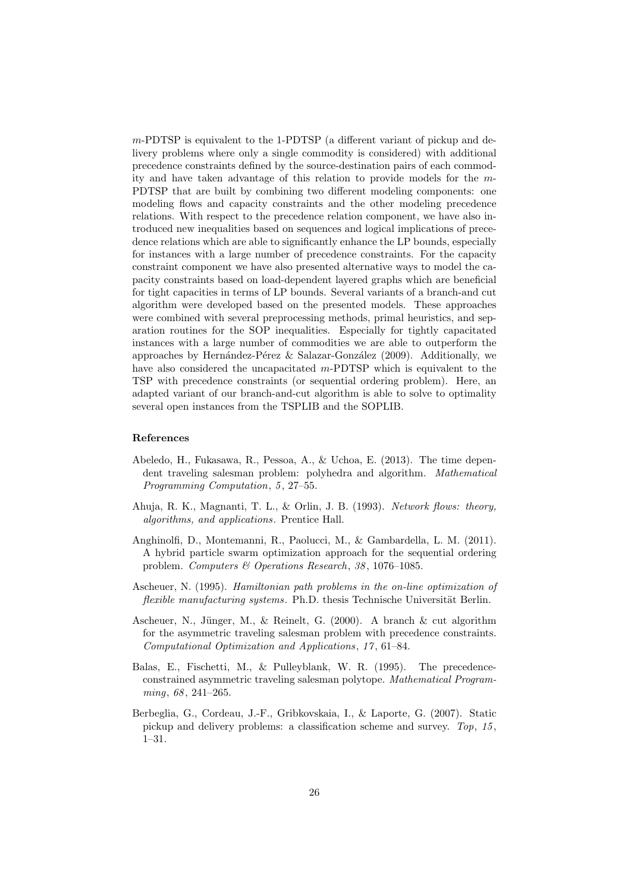m-PDTSP is equivalent to the 1-PDTSP (a different variant of pickup and delivery problems where only a single commodity is considered) with additional precedence constraints defined by the source-destination pairs of each commodity and have taken advantage of this relation to provide models for the m-PDTSP that are built by combining two different modeling components: one modeling flows and capacity constraints and the other modeling precedence relations. With respect to the precedence relation component, we have also introduced new inequalities based on sequences and logical implications of precedence relations which are able to significantly enhance the LP bounds, especially for instances with a large number of precedence constraints. For the capacity constraint component we have also presented alternative ways to model the capacity constraints based on load-dependent layered graphs which are beneficial for tight capacities in terms of LP bounds. Several variants of a branch-and cut algorithm were developed based on the presented models. These approaches were combined with several preprocessing methods, primal heuristics, and separation routines for the SOP inequalities. Especially for tightly capacitated instances with a large number of commodities we are able to outperform the approaches by Hernández-Pérez & Salazar-González (2009). Additionally, we have also considered the uncapacitated m-PDTSP which is equivalent to the TSP with precedence constraints (or sequential ordering problem). Here, an adapted variant of our branch-and-cut algorithm is able to solve to optimality several open instances from the TSPLIB and the SOPLIB.

#### References

- Abeledo, H., Fukasawa, R., Pessoa, A., & Uchoa, E. (2013). The time dependent traveling salesman problem: polyhedra and algorithm. Mathematical Programming Computation, 5, 27-55.
- Ahuja, R. K., Magnanti, T. L., & Orlin, J. B. (1993). Network flows: theory, algorithms, and applications. Prentice Hall.
- Anghinolfi, D., Montemanni, R., Paolucci, M., & Gambardella, L. M. (2011). A hybrid particle swarm optimization approach for the sequential ordering problem. Computers & Operations Research, 38, 1076-1085.
- Ascheuer, N. (1995). Hamiltonian path problems in the on-line optimization of flexible manufacturing systems. Ph.D. thesis Technische Universität Berlin.
- Ascheuer, N., Jünger, M., & Reinelt, G. (2000). A branch & cut algorithm for the asymmetric traveling salesman problem with precedence constraints. Computational Optimization and Applications, 17 , 61–84.
- Balas, E., Fischetti, M., & Pulleyblank, W. R. (1995). The precedenceconstrained asymmetric traveling salesman polytope. Mathematical Programming, 68, 241-265.
- Berbeglia, G., Cordeau, J.-F., Gribkovskaia, I., & Laporte, G. (2007). Static pickup and delivery problems: a classification scheme and survey. Top, 15, 1–31.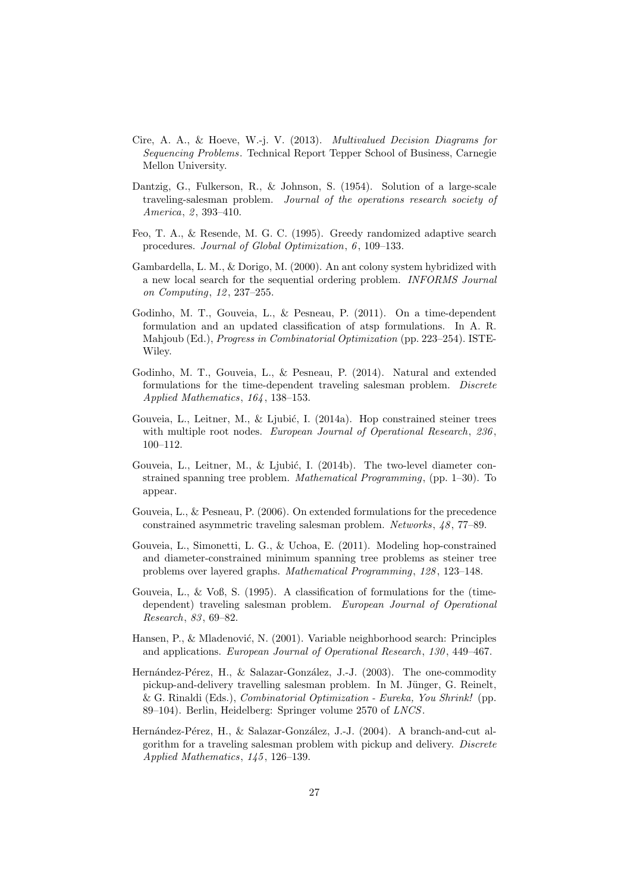- Cire, A. A., & Hoeve, W.-j. V. (2013). Multivalued Decision Diagrams for Sequencing Problems. Technical Report Tepper School of Business, Carnegie Mellon University.
- Dantzig, G., Fulkerson, R., & Johnson, S. (1954). Solution of a large-scale traveling-salesman problem. Journal of the operations research society of America, 2, 393-410.
- Feo, T. A., & Resende, M. G. C. (1995). Greedy randomized adaptive search procedures. Journal of Global Optimization, 6, 109–133.
- Gambardella, L. M., & Dorigo, M. (2000). An ant colony system hybridized with a new local search for the sequential ordering problem. INFORMS Journal on Computing, 12, 237-255.
- Godinho, M. T., Gouveia, L., & Pesneau, P. (2011). On a time-dependent formulation and an updated classification of atsp formulations. In A. R. Mahjoub (Ed.), Progress in Combinatorial Optimization (pp. 223–254). ISTE-Wiley.
- Godinho, M. T., Gouveia, L., & Pesneau, P. (2014). Natural and extended formulations for the time-dependent traveling salesman problem. Discrete Applied Mathematics, 164 , 138–153.
- Gouveia, L., Leitner, M., & Ljubić, I.  $(2014a)$ . Hop constrained steiner trees with multiple root nodes. European Journal of Operational Research, 236, 100–112.
- Gouveia, L., Leitner, M., & Ljubić, I. (2014b). The two-level diameter constrained spanning tree problem. Mathematical Programming, (pp. 1–30). To appear.
- Gouveia, L., & Pesneau, P. (2006). On extended formulations for the precedence constrained asymmetric traveling salesman problem. Networks, 48 , 77–89.
- Gouveia, L., Simonetti, L. G., & Uchoa, E. (2011). Modeling hop-constrained and diameter-constrained minimum spanning tree problems as steiner tree problems over layered graphs. Mathematical Programming, 128 , 123–148.
- Gouveia, L., & Voß, S. (1995). A classification of formulations for the (timedependent) traveling salesman problem. European Journal of Operational Research, 83 , 69–82.
- Hansen, P., & Mladenović, N. (2001). Variable neighborhood search: Principles and applications. European Journal of Operational Research, 130 , 449–467.
- Hernández-Pérez, H., & Salazar-González, J.-J. (2003). The one-commodity pickup-and-delivery travelling salesman problem. In M. Jünger, G. Reinelt, & G. Rinaldi (Eds.), Combinatorial Optimization - Eureka, You Shrink! (pp. 89–104). Berlin, Heidelberg: Springer volume 2570 of LNCS.
- Hernández-Pérez, H., & Salazar-González, J.-J. (2004). A branch-and-cut algorithm for a traveling salesman problem with pickup and delivery. Discrete Applied Mathematics, 145 , 126–139.